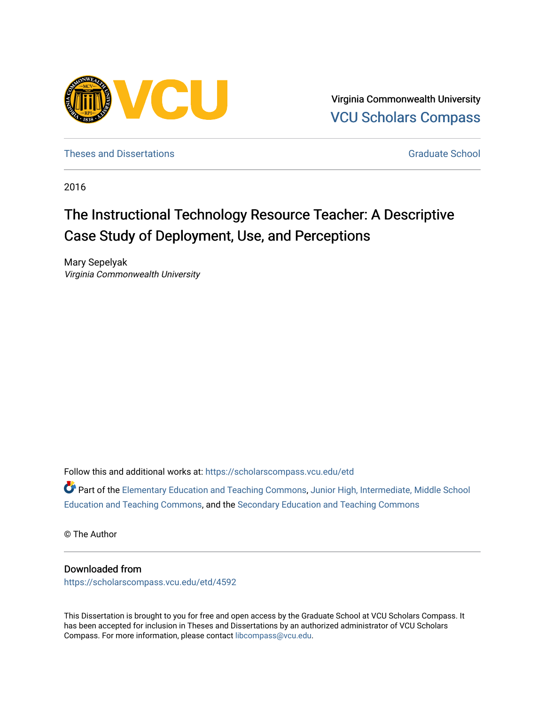

Virginia Commonwealth University [VCU Scholars Compass](https://scholarscompass.vcu.edu/) 

[Theses and Dissertations](https://scholarscompass.vcu.edu/etd) [Graduate School](https://scholarscompass.vcu.edu/gradschool) and Dissertations Graduate School and Dissertations Graduate School and Dissertations Graduate School and Dissertations Graduate School and Dissertations Graduate School and Dissert

2016

# The Instructional Technology Resource Teacher: A Descriptive Case Study of Deployment, Use, and Perceptions

Mary Sepelyak Virginia Commonwealth University

Follow this and additional works at: [https://scholarscompass.vcu.edu/etd](https://scholarscompass.vcu.edu/etd?utm_source=scholarscompass.vcu.edu%2Fetd%2F4592&utm_medium=PDF&utm_campaign=PDFCoverPages) 

Part of the [Elementary Education and Teaching Commons,](http://network.bepress.com/hgg/discipline/805?utm_source=scholarscompass.vcu.edu%2Fetd%2F4592&utm_medium=PDF&utm_campaign=PDFCoverPages) [Junior High, Intermediate, Middle School](http://network.bepress.com/hgg/discipline/807?utm_source=scholarscompass.vcu.edu%2Fetd%2F4592&utm_medium=PDF&utm_campaign=PDFCoverPages)  [Education and Teaching Commons,](http://network.bepress.com/hgg/discipline/807?utm_source=scholarscompass.vcu.edu%2Fetd%2F4592&utm_medium=PDF&utm_campaign=PDFCoverPages) and the [Secondary Education and Teaching Commons](http://network.bepress.com/hgg/discipline/809?utm_source=scholarscompass.vcu.edu%2Fetd%2F4592&utm_medium=PDF&utm_campaign=PDFCoverPages)

© The Author

#### Downloaded from

[https://scholarscompass.vcu.edu/etd/4592](https://scholarscompass.vcu.edu/etd/4592?utm_source=scholarscompass.vcu.edu%2Fetd%2F4592&utm_medium=PDF&utm_campaign=PDFCoverPages) 

This Dissertation is brought to you for free and open access by the Graduate School at VCU Scholars Compass. It has been accepted for inclusion in Theses and Dissertations by an authorized administrator of VCU Scholars Compass. For more information, please contact [libcompass@vcu.edu](mailto:libcompass@vcu.edu).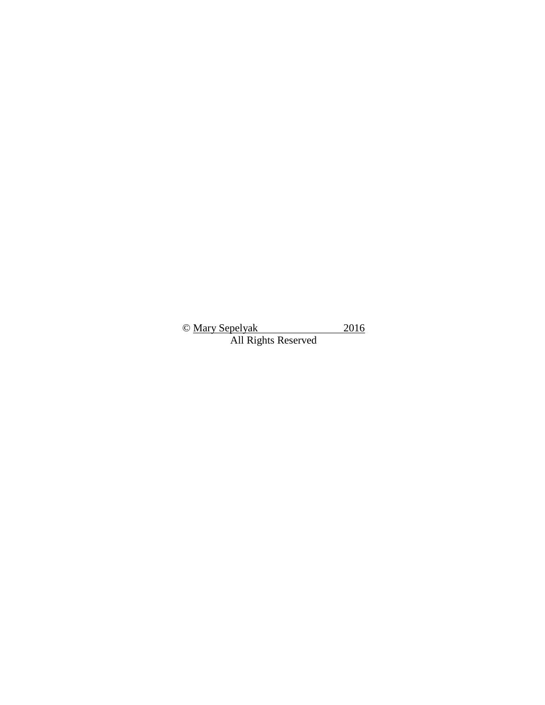© Mary Sepelyak 2016 All Rights Reserved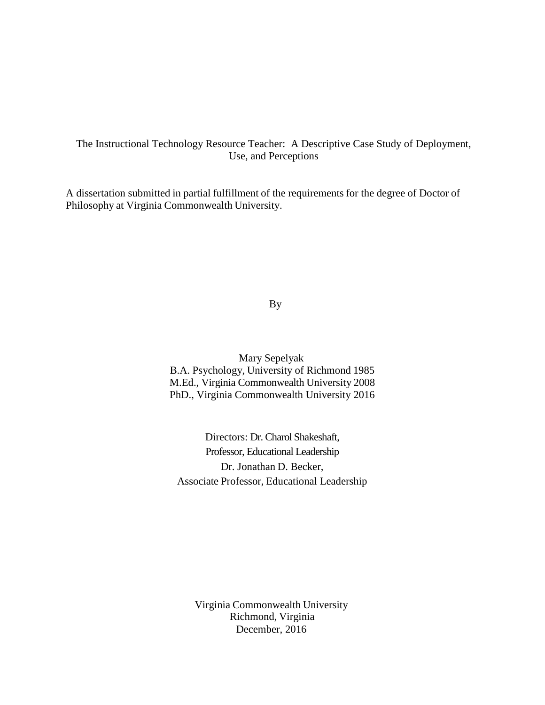### The Instructional Technology Resource Teacher: A Descriptive Case Study of Deployment, Use, and Perceptions

A dissertation submitted in partial fulfillment of the requirements for the degree of Doctor of Philosophy at Virginia Commonwealth University.

By

Mary Sepelyak B.A. Psychology, University of Richmond 1985 M.Ed., Virginia Commonwealth University 2008 PhD., Virginia Commonwealth University 2016

Directors: Dr. Charol Shakeshaft, Professor, Educational Leadership Dr. Jonathan D. Becker, Associate Professor, Educational Leadership

Virginia Commonwealth University Richmond, Virginia December, 2016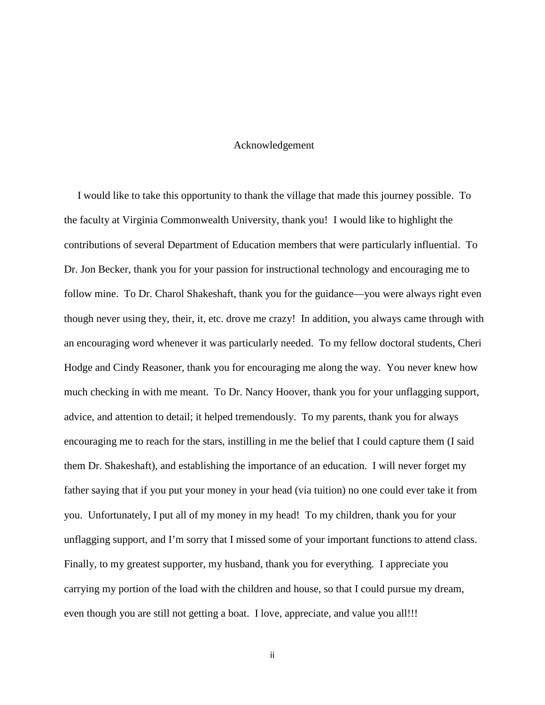#### Acknowledgement

 I would like to take this opportunity to thank the village that made this journey possible. To the faculty at Virginia Commonwealth University, thank you! I would like to highlight the contributions of several Department of Education members that were particularly influential. To Dr. Jon Becker, thank you for your passion for instructional technology and encouraging me to follow mine. To Dr. Charol Shakeshaft, thank you for the guidance—you were always right even though never using they, their, it, etc. drove me crazy! In addition, you always came through with an encouraging word whenever it was particularly needed. To my fellow doctoral students, Cheri Hodge and Cindy Reasoner, thank you for encouraging me along the way. You never knew how much checking in with me meant. To Dr. Nancy Hoover, thank you for your unflagging support, advice, and attention to detail; it helped tremendously. To my parents, thank you for always encouraging me to reach for the stars, instilling in me the belief that I could capture them (I said them Dr. Shakeshaft), and establishing the importance of an education. I will never forget my father saying that if you put your money in your head (via tuition) no one could ever take it from you. Unfortunately, I put all of my money in my head! To my children, thank you for your unflagging support, and I'm sorry that I missed some of your important functions to attend class. Finally, to my greatest supporter, my husband, thank you for everything. I appreciate you carrying my portion of the load with the children and house, so that I could pursue my dream, even though you are still not getting a boat. I love, appreciate, and value you all!!!

ii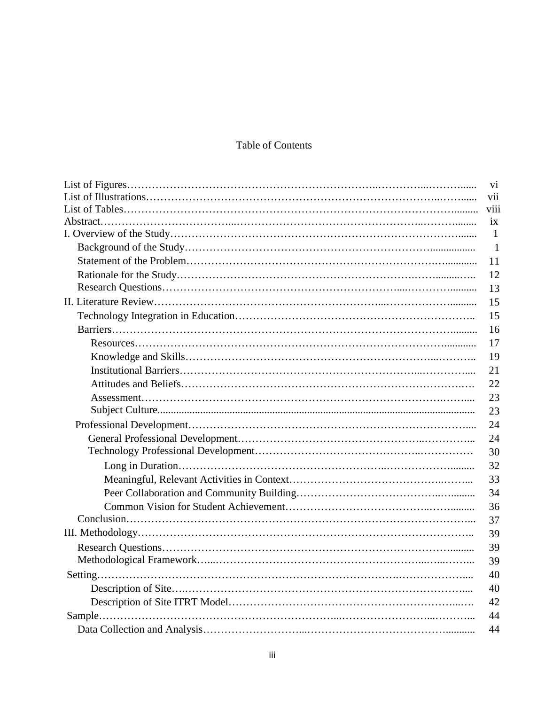## Table of Contents

| vi              |
|-----------------|
| vii             |
| viii            |
| $\overline{1}X$ |
| $\mathbf{1}$    |
| $\overline{1}$  |
| 11              |
| 12              |
| 13              |
| 15              |
| 15              |
| 16              |
| 17              |
| 19              |
| 21              |
| 22              |
| 23              |
| 23              |
| 24              |
| 24              |
| 30              |
| 32              |
| 33              |
| 34              |
| 36              |
| 37              |
| 39              |
| 39              |
| 39              |
| 40              |
| 40              |
| 42              |
| 44              |
| 44              |
|                 |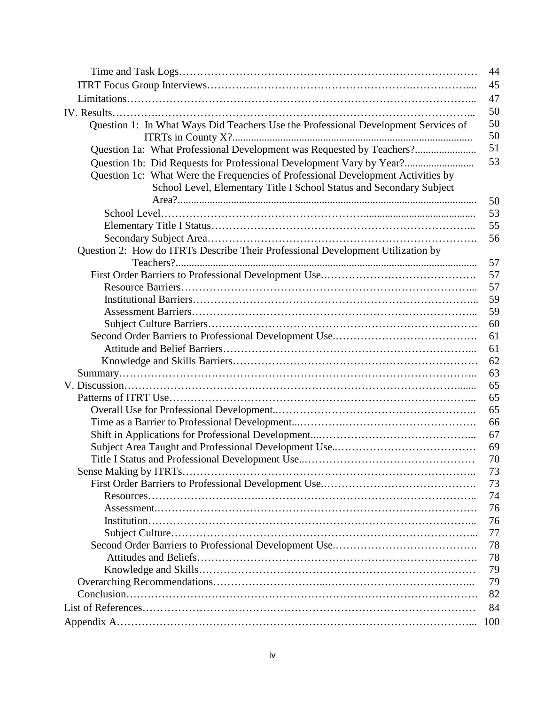| 44                                                                                       |
|------------------------------------------------------------------------------------------|
| 45                                                                                       |
| 47                                                                                       |
| 50                                                                                       |
| 50<br>Question 1: In What Ways Did Teachers Use the Professional Development Services of |
| 50                                                                                       |
| 51<br>Question 1a: What Professional Development was Requested by Teachers?              |
| 53<br>Question 1b: Did Requests for Professional Development Vary by Year?               |
| Question 1c: What Were the Frequencies of Professional Development Activities by         |
| School Level, Elementary Title I School Status and Secondary Subject                     |
| 50                                                                                       |
| 53                                                                                       |
| 55                                                                                       |
| 56                                                                                       |
| Question 2: How do ITRTs Describe Their Professional Development Utilization by<br>57    |
| 57                                                                                       |
| 57                                                                                       |
| 59                                                                                       |
| 59                                                                                       |
| 60                                                                                       |
| 61                                                                                       |
| 61                                                                                       |
| 62                                                                                       |
| 63                                                                                       |
| 65                                                                                       |
| 65                                                                                       |
| 65                                                                                       |
| 66                                                                                       |
| 67                                                                                       |
| 69                                                                                       |
| 70                                                                                       |
| 73                                                                                       |
| 73                                                                                       |
| 74                                                                                       |
| 76                                                                                       |
| 76                                                                                       |
| 77                                                                                       |
| 78                                                                                       |
| 78                                                                                       |
| 79                                                                                       |
| 79                                                                                       |
| 82                                                                                       |
| 84                                                                                       |
| 100                                                                                      |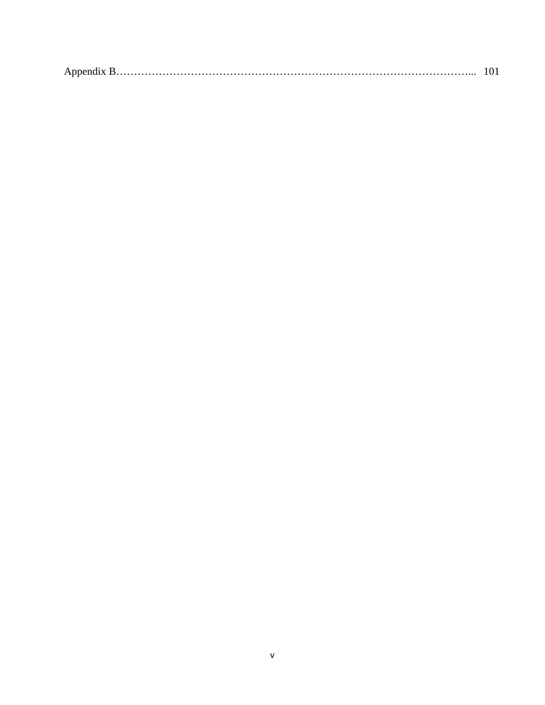|--|--|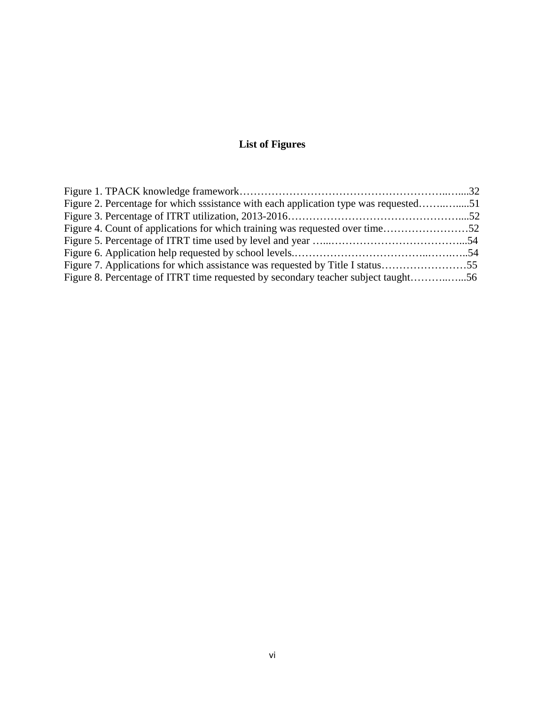## **List of Figures**

| Figure 2. Percentage for which sssistance with each application type was requested51 |  |
|--------------------------------------------------------------------------------------|--|
|                                                                                      |  |
|                                                                                      |  |
|                                                                                      |  |
|                                                                                      |  |
|                                                                                      |  |
| Figure 8. Percentage of ITRT time requested by secondary teacher subject taught56    |  |
|                                                                                      |  |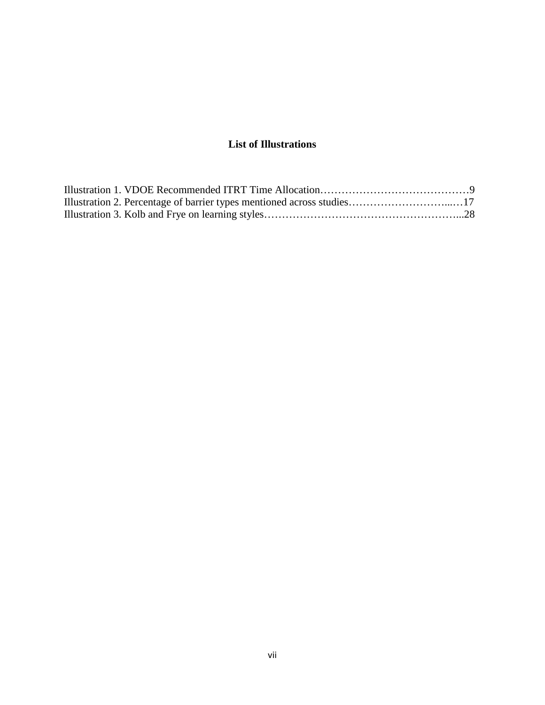## **List of Illustrations**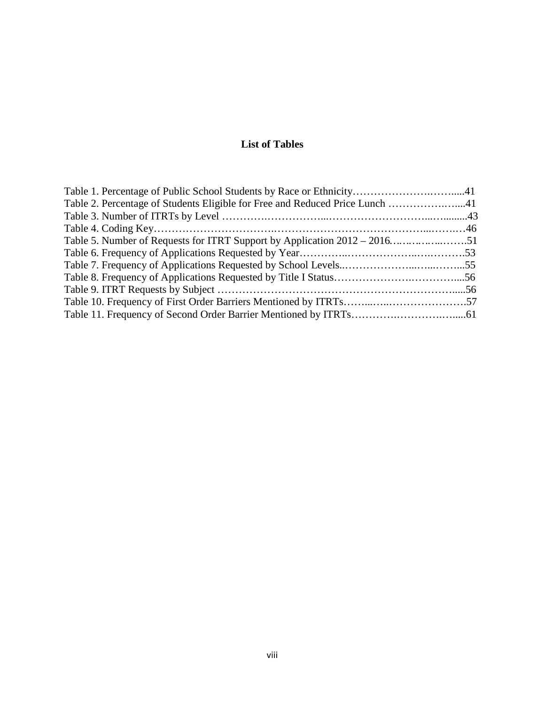## **List of Tables**

| Table 1. Percentage of Public School Students by Race or Ethnicity41         |  |
|------------------------------------------------------------------------------|--|
| Table 2. Percentage of Students Eligible for Free and Reduced Price Lunch 41 |  |
|                                                                              |  |
|                                                                              |  |
|                                                                              |  |
|                                                                              |  |
|                                                                              |  |
|                                                                              |  |
|                                                                              |  |
|                                                                              |  |
|                                                                              |  |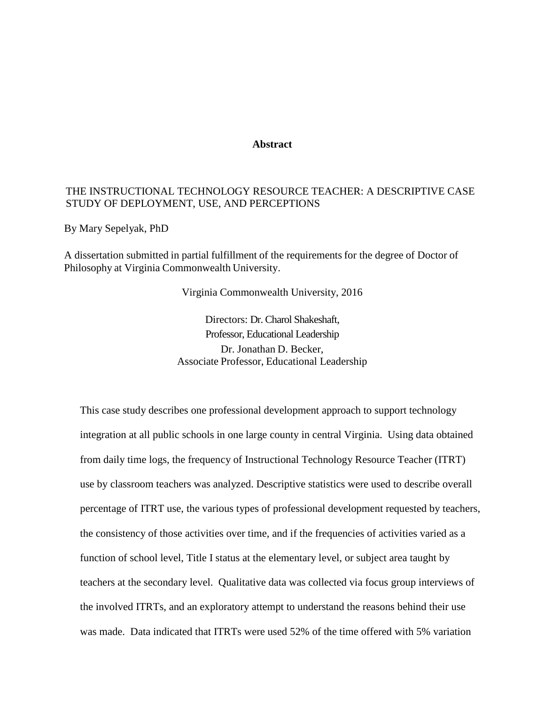#### **Abstract**

#### THE INSTRUCTIONAL TECHNOLOGY RESOURCE TEACHER: A DESCRIPTIVE CASE STUDY OF DEPLOYMENT, USE, AND PERCEPTIONS

By Mary Sepelyak, PhD

A dissertation submitted in partial fulfillment of the requirements for the degree of Doctor of Philosophy at Virginia Commonwealth University.

Virginia Commonwealth University, 2016

Directors: Dr. Charol Shakeshaft, Professor, Educational Leadership Dr. Jonathan D. Becker, Associate Professor, Educational Leadership

This case study describes one professional development approach to support technology integration at all public schools in one large county in central Virginia. Using data obtained from daily time logs, the frequency of Instructional Technology Resource Teacher (ITRT) use by classroom teachers was analyzed. Descriptive statistics were used to describe overall percentage of ITRT use, the various types of professional development requested by teachers, the consistency of those activities over time, and if the frequencies of activities varied as a function of school level, Title I status at the elementary level, or subject area taught by teachers at the secondary level. Qualitative data was collected via focus group interviews of the involved ITRTs, and an exploratory attempt to understand the reasons behind their use was made. Data indicated that ITRTs were used 52% of the time offered with 5% variation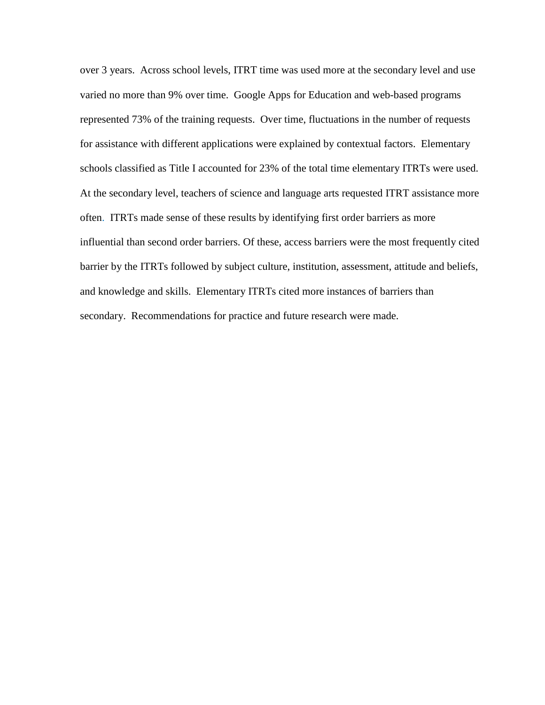over 3 years. Across school levels, ITRT time was used more at the secondary level and use varied no more than 9% over time. Google Apps for Education and web-based programs represented 73% of the training requests. Over time, fluctuations in the number of requests for assistance with different applications were explained by contextual factors. Elementary schools classified as Title I accounted for 23% of the total time elementary ITRTs were used. At the secondary level, teachers of science and language arts requested ITRT assistance more often. ITRTs made sense of these results by identifying first order barriers as more influential than second order barriers. Of these, access barriers were the most frequently cited barrier by the ITRTs followed by subject culture, institution, assessment, attitude and beliefs, and knowledge and skills. Elementary ITRTs cited more instances of barriers than secondary. Recommendations for practice and future research were made.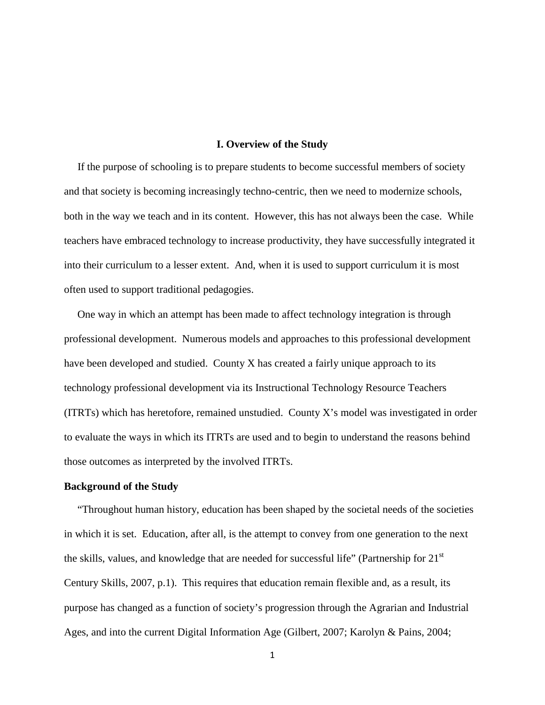#### **I. Overview of the Study**

 If the purpose of schooling is to prepare students to become successful members of society and that society is becoming increasingly techno-centric, then we need to modernize schools, both in the way we teach and in its content. However, this has not always been the case. While teachers have embraced technology to increase productivity, they have successfully integrated it into their curriculum to a lesser extent. And, when it is used to support curriculum it is most often used to support traditional pedagogies.

 One way in which an attempt has been made to affect technology integration is through professional development. Numerous models and approaches to this professional development have been developed and studied. County X has created a fairly unique approach to its technology professional development via its Instructional Technology Resource Teachers (ITRTs) which has heretofore, remained unstudied. County X's model was investigated in order to evaluate the ways in which its ITRTs are used and to begin to understand the reasons behind those outcomes as interpreted by the involved ITRTs.

#### **Background of the Study**

 "Throughout human history, education has been shaped by the societal needs of the societies in which it is set. Education, after all, is the attempt to convey from one generation to the next the skills, values, and knowledge that are needed for successful life" (Partnership for  $21<sup>st</sup>$ Century Skills, 2007, p.1). This requires that education remain flexible and, as a result, its purpose has changed as a function of society's progression through the Agrarian and Industrial Ages, and into the current Digital Information Age (Gilbert, 2007; Karolyn & Pains, 2004;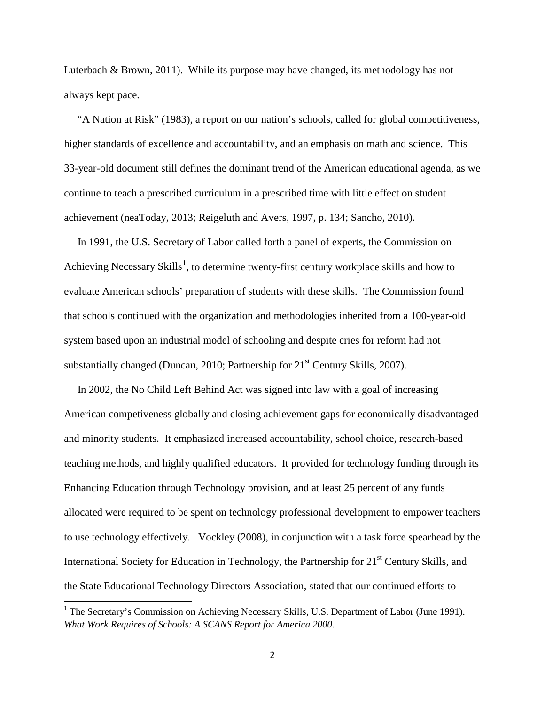Luterbach & Brown, 2011). While its purpose may have changed, its methodology has not always kept pace.

 "A Nation at Risk" (1983), a report on our nation's schools, called for global competitiveness, higher standards of excellence and accountability, and an emphasis on math and science. This 33-year-old document still defines the dominant trend of the American educational agenda, as we continue to teach a prescribed curriculum in a prescribed time with little effect on student achievement (neaToday, 2013; Reigeluth and Avers, 1997, p. 134; Sancho, 2010).

 In 1991, the U.S. Secretary of Labor called forth a panel of experts, the Commission on Achieving Necessary Skills<sup>[1](#page-13-0)</sup>, to determine twenty-first century workplace skills and how to evaluate American schools' preparation of students with these skills. The Commission found that schools continued with the organization and methodologies inherited from a 100-year-old system based upon an industrial model of schooling and despite cries for reform had not substantially changed (Duncan, 2010; Partnership for  $21<sup>st</sup>$  Century Skills, 2007).

 In 2002, the No Child Left Behind Act was signed into law with a goal of increasing American competiveness globally and closing achievement gaps for economically disadvantaged and minority students. It emphasized increased accountability, school choice, research-based teaching methods, and highly qualified educators. It provided for technology funding through its Enhancing Education through Technology provision, and at least 25 percent of any funds allocated were required to be spent on technology professional development to empower teachers to use technology effectively. Vockley (2008), in conjunction with a task force spearhead by the International Society for Education in Technology, the Partnership for  $21<sup>st</sup>$  Century Skills, and the State Educational Technology Directors Association, stated that our continued efforts to

 $\overline{\phantom{a}}$ 

<span id="page-13-0"></span><sup>&</sup>lt;sup>1</sup> The Secretary's Commission on Achieving Necessary Skills, U.S. Department of Labor (June 1991). *What Work Requires of Schools: A SCANS Report for America 2000.*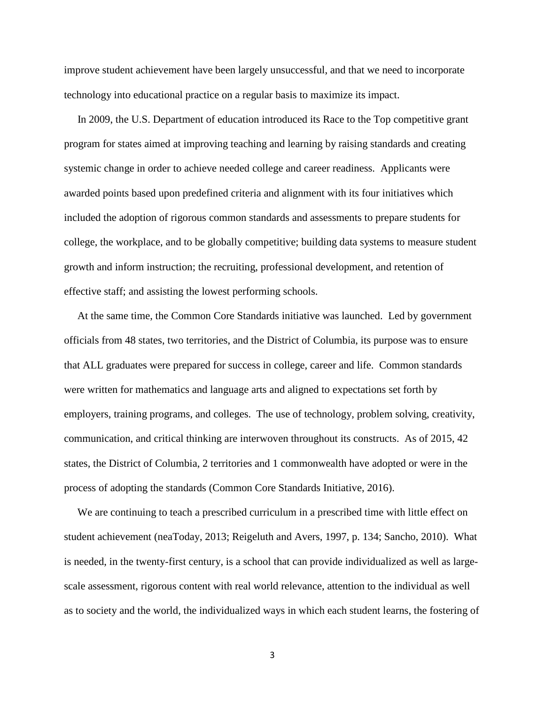improve student achievement have been largely unsuccessful, and that we need to incorporate technology into educational practice on a regular basis to maximize its impact.

 In 2009, the U.S. Department of education introduced its Race to the Top competitive grant program for states aimed at improving teaching and learning by raising standards and creating systemic change in order to achieve needed college and career readiness. Applicants were awarded points based upon predefined criteria and alignment with its four initiatives which included the adoption of rigorous common standards and assessments to prepare students for college, the workplace, and to be globally competitive; building data systems to measure student growth and inform instruction; the recruiting, professional development, and retention of effective staff; and assisting the lowest performing schools.

 At the same time, the Common Core Standards initiative was launched. Led by government officials from 48 states, two territories, and the District of Columbia, its purpose was to ensure that ALL graduates were prepared for success in college, career and life. Common standards were written for mathematics and language arts and aligned to expectations set forth by employers, training programs, and colleges. The use of technology, problem solving, creativity, communication, and critical thinking are interwoven throughout its constructs. As of 2015, 42 states, the District of Columbia, 2 territories and 1 commonwealth have adopted or were in the process of adopting the standards (Common Core Standards Initiative, 2016).

 We are continuing to teach a prescribed curriculum in a prescribed time with little effect on student achievement (neaToday, 2013; Reigeluth and Avers, 1997, p. 134; Sancho, 2010). What is needed, in the twenty-first century, is a school that can provide individualized as well as largescale assessment, rigorous content with real world relevance, attention to the individual as well as to society and the world, the individualized ways in which each student learns, the fostering of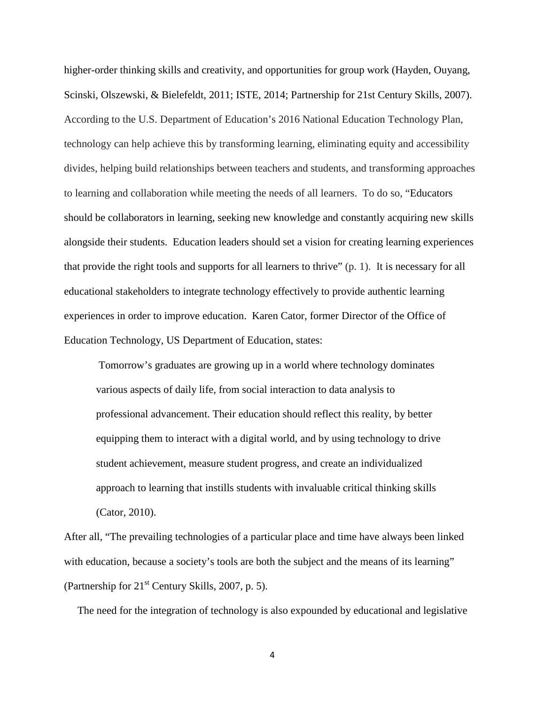higher-order thinking skills and creativity, and opportunities for group work (Hayden, Ouyang, Scinski, Olszewski, & Bielefeldt, 2011; ISTE, 2014; Partnership for 21st Century Skills, 2007). According to the U.S. Department of Education's 2016 National Education Technology Plan, technology can help achieve this by transforming learning, eliminating equity and accessibility divides, helping build relationships between teachers and students, and transforming approaches to learning and collaboration while meeting the needs of all learners. To do so, "Educators should be collaborators in learning, seeking new knowledge and constantly acquiring new skills alongside their students. Education leaders should set a vision for creating learning experiences that provide the right tools and supports for all learners to thrive" (p. 1). It is necessary for all educational stakeholders to integrate technology effectively to provide authentic learning experiences in order to improve education. Karen Cator, former Director of the Office of Education Technology, US Department of Education, states:

Tomorrow's graduates are growing up in a world where technology dominates various aspects of daily life, from social interaction to data analysis to professional advancement. Their education should reflect this reality, by better equipping them to interact with a digital world, and by using technology to drive student achievement, measure student progress, and create an individualized approach to learning that instills students with invaluable critical thinking skills (Cator, 2010).

After all, "The prevailing technologies of a particular place and time have always been linked with education, because a society's tools are both the subject and the means of its learning" (Partnership for  $21<sup>st</sup>$  Century Skills, 2007, p. 5).

The need for the integration of technology is also expounded by educational and legislative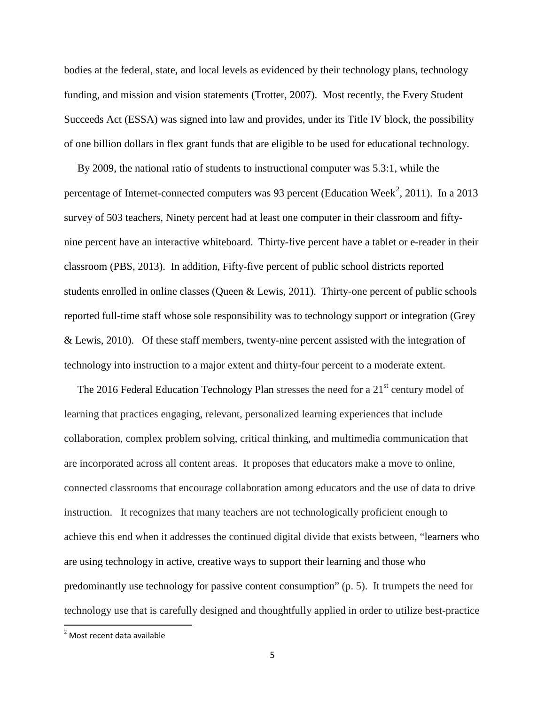bodies at the federal, state, and local levels as evidenced by their technology plans, technology funding, and mission and vision statements (Trotter, 2007). Most recently, the Every Student Succeeds Act (ESSA) was signed into law and provides, under its Title IV block, the possibility of one billion dollars in flex grant funds that are eligible to be used for educational technology.

 By 2009, the national ratio of students to instructional computer was 5.3:1, while the percentage of Internet-connected computers was 93 percent (Education Week<sup>[2](#page-16-0)</sup>, 2011). In a 2013 survey of 503 teachers, Ninety percent had at least one computer in their classroom and fiftynine percent have an interactive whiteboard. Thirty-five percent have a tablet or e-reader in their classroom (PBS, 2013). In addition, Fifty-five percent of public school districts reported students enrolled in online classes (Queen & Lewis, 2011). Thirty-one percent of public schools reported full-time staff whose sole responsibility was to technology support or integration (Grey & Lewis, 2010). Of these staff members, twenty-nine percent assisted with the integration of technology into instruction to a major extent and thirty-four percent to a moderate extent.

The 2016 Federal Education Technology Plan stresses the need for a  $21<sup>st</sup>$  century model of learning that practices engaging, relevant, personalized learning experiences that include collaboration, complex problem solving, critical thinking, and multimedia communication that are incorporated across all content areas. It proposes that educators make a move to online, connected classrooms that encourage collaboration among educators and the use of data to drive instruction. It recognizes that many teachers are not technologically proficient enough to achieve this end when it addresses the continued digital divide that exists between, "learners who are using technology in active, creative ways to support their learning and those who predominantly use technology for passive content consumption" (p. 5). It trumpets the need for technology use that is carefully designed and thoughtfully applied in order to utilize best-practice

<span id="page-16-0"></span> <sup>2</sup> Most recent data available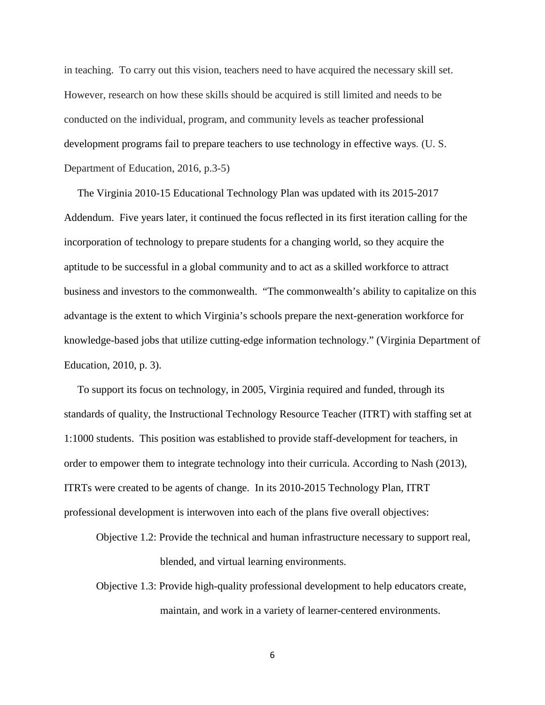in teaching. To carry out this vision, teachers need to have acquired the necessary skill set. However, research on how these skills should be acquired is still limited and needs to be conducted on the individual, program, and community levels as teacher professional development programs fail to prepare teachers to use technology in effective ways. (U. S. Department of Education, 2016, p.3-5)

 The Virginia 2010-15 Educational Technology Plan was updated with its 2015-2017 Addendum. Five years later, it continued the focus reflected in its first iteration calling for the incorporation of technology to prepare students for a changing world, so they acquire the aptitude to be successful in a global community and to act as a skilled workforce to attract business and investors to the commonwealth. "The commonwealth's ability to capitalize on this advantage is the extent to which Virginia's schools prepare the next-generation workforce for knowledge-based jobs that utilize cutting-edge information technology." (Virginia Department of Education, 2010, p. 3).

 To support its focus on technology, in 2005, Virginia required and funded, through its standards of quality, the Instructional Technology Resource Teacher (ITRT) with staffing set at 1:1000 students. This position was established to provide staff-development for teachers, in order to empower them to integrate technology into their curricula. According to Nash (2013), ITRTs were created to be agents of change. In its 2010-2015 Technology Plan, ITRT professional development is interwoven into each of the plans five overall objectives:

Objective 1.2: Provide the technical and human infrastructure necessary to support real, blended, and virtual learning environments.

Objective 1.3: Provide high-quality professional development to help educators create, maintain, and work in a variety of learner-centered environments.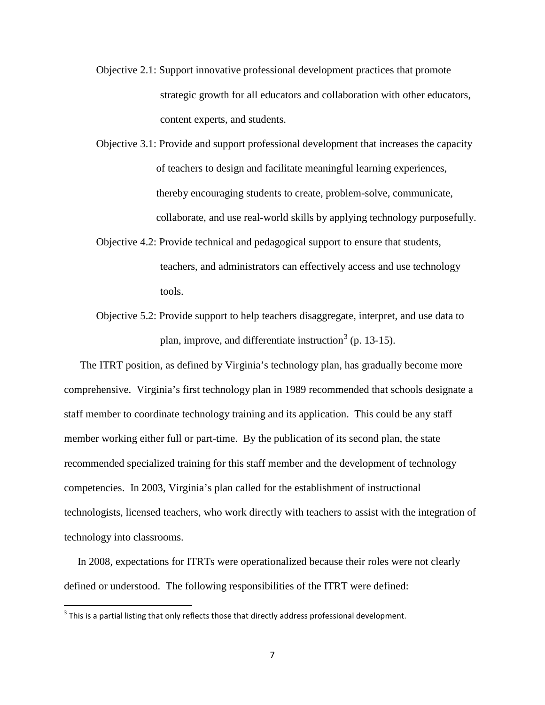- Objective 2.1: Support innovative professional development practices that promote strategic growth for all educators and collaboration with other educators, content experts, and students.
- Objective 3.1: Provide and support professional development that increases the capacity of teachers to design and facilitate meaningful learning experiences, thereby encouraging students to create, problem-solve, communicate, collaborate, and use real-world skills by applying technology purposefully.
- Objective 4.2: Provide technical and pedagogical support to ensure that students, teachers, and administrators can effectively access and use technology tools.
- Objective 5.2: Provide support to help teachers disaggregate, interpret, and use data to plan, improve, and differentiate instruction<sup>[3](#page-18-0)</sup> (p. 13-15).

 The ITRT position, as defined by Virginia's technology plan, has gradually become more comprehensive. Virginia's first technology plan in 1989 recommended that schools designate a staff member to coordinate technology training and its application. This could be any staff member working either full or part-time. By the publication of its second plan, the state recommended specialized training for this staff member and the development of technology competencies. In 2003, Virginia's plan called for the establishment of instructional technologists, licensed teachers, who work directly with teachers to assist with the integration of technology into classrooms.

 In 2008, expectations for ITRTs were operationalized because their roles were not clearly defined or understood. The following responsibilities of the ITRT were defined:

<span id="page-18-0"></span> $3$  This is a partial listing that only reflects those that directly address professional development.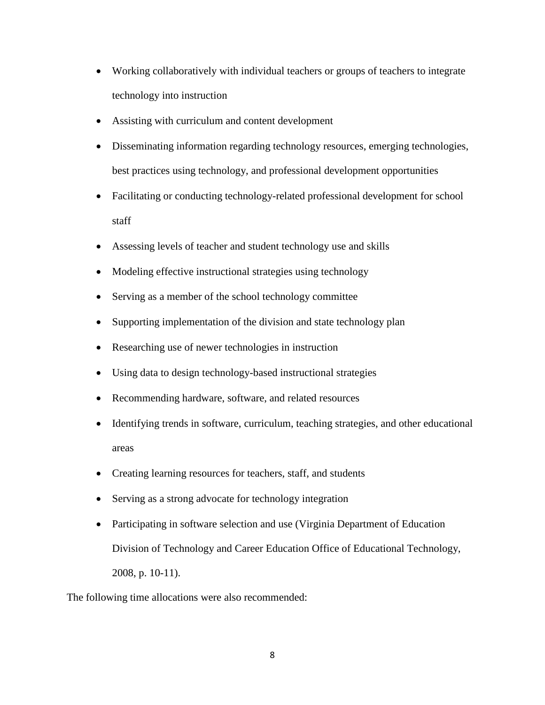- Working collaboratively with individual teachers or groups of teachers to integrate technology into instruction
- Assisting with curriculum and content development
- Disseminating information regarding technology resources, emerging technologies, best practices using technology, and professional development opportunities
- Facilitating or conducting technology-related professional development for school staff
- Assessing levels of teacher and student technology use and skills
- Modeling effective instructional strategies using technology
- Serving as a member of the school technology committee
- Supporting implementation of the division and state technology plan
- Researching use of newer technologies in instruction
- Using data to design technology-based instructional strategies
- Recommending hardware, software, and related resources
- Identifying trends in software, curriculum, teaching strategies, and other educational areas
- Creating learning resources for teachers, staff, and students
- Serving as a strong advocate for technology integration
- Participating in software selection and use (Virginia Department of Education Division of Technology and Career Education Office of Educational Technology, 2008, p. 10-11).

The following time allocations were also recommended: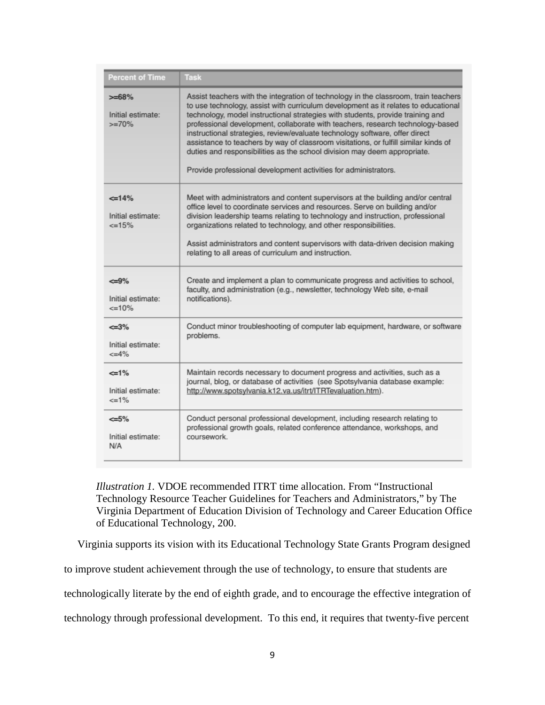| <b>Percent of Time</b>                          | <b>Task</b>                                                                                                                                                                                                                                                                                                                                                                                                                                                                                                                                                                                                                                                        |
|-------------------------------------------------|--------------------------------------------------------------------------------------------------------------------------------------------------------------------------------------------------------------------------------------------------------------------------------------------------------------------------------------------------------------------------------------------------------------------------------------------------------------------------------------------------------------------------------------------------------------------------------------------------------------------------------------------------------------------|
| $> = 68%$<br>Initial estimate:<br>$>=70%$       | Assist teachers with the integration of technology in the classroom, train teachers<br>to use technology, assist with curriculum development as it relates to educational<br>technology, model instructional strategies with students, provide training and<br>professional development, collaborate with teachers, research technology-based<br>instructional strategies, review/evaluate technology software, offer direct<br>assistance to teachers by way of classroom visitations, or fulfill similar kinds of<br>duties and responsibilities as the school division may deem appropriate.<br>Provide professional development activities for administrators. |
| $\leq 14\%$<br>Initial estimate:<br>$\leq$ =15% | Meet with administrators and content supervisors at the building and/or central<br>office level to coordinate services and resources. Serve on building and/or<br>division leadership teams relating to technology and instruction, professional<br>organizations related to technology, and other responsibilities.<br>Assist administrators and content supervisors with data-driven decision making<br>relating to all areas of curriculum and instruction.                                                                                                                                                                                                     |
| <=9%<br>Initial estimate:<br>$=10%$             | Create and implement a plan to communicate progress and activities to school,<br>faculty, and administration (e.g., newsletter, technology Web site, e-mail<br>notifications).                                                                                                                                                                                                                                                                                                                                                                                                                                                                                     |
| <=3%<br>Initial estimate:<br>$\leq 4\%$         | Conduct minor troubleshooting of computer lab equipment, hardware, or software<br>problems.                                                                                                                                                                                                                                                                                                                                                                                                                                                                                                                                                                        |
| $=1%$<br>Initial estimate:<br>$\leq$ =1%        | Maintain records necessary to document progress and activities, such as a<br>journal, blog, or database of activities (see Spotsylvania database example:<br>http://www.spotsylvania.k12.va.us/itrt/ITRTevaluation.htm).                                                                                                                                                                                                                                                                                                                                                                                                                                           |
| <=5%<br>Initial estimate:<br>N/A                | Conduct personal professional development, including research relating to<br>professional growth goals, related conference attendance, workshops, and<br>coursework.                                                                                                                                                                                                                                                                                                                                                                                                                                                                                               |

*Illustration 1.* VDOE recommended ITRT time allocation. From "Instructional Technology Resource Teacher Guidelines for Teachers and Administrators," by The Virginia Department of Education Division of Technology and Career Education Office of Educational Technology, 200.

Virginia supports its vision with its Educational Technology State Grants Program designed

to improve student achievement through the use of technology, to ensure that students are

technologically literate by the end of eighth grade, and to encourage the effective integration of

technology through professional development. To this end, it requires that twenty-five percent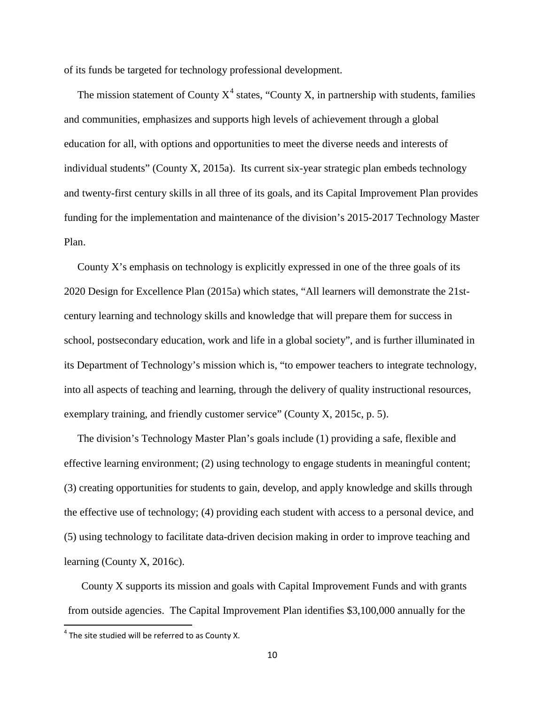of its funds be targeted for technology professional development.

The mission statement of County  $X^4$  $X^4$  states, "County X, in partnership with students, families and communities, emphasizes and supports high levels of achievement through a global education for all, with options and opportunities to meet the diverse needs and interests of individual students" (County X, 2015a). Its current six-year strategic plan embeds technology and twenty-first century skills in all three of its goals, and its Capital Improvement Plan provides funding for the implementation and maintenance of the division's 2015-2017 Technology Master Plan.

 County X's emphasis on technology is explicitly expressed in one of the three goals of its 2020 Design for Excellence Plan (2015a) which states, "All learners will demonstrate the 21stcentury learning and technology skills and knowledge that will prepare them for success in school, postsecondary education, work and life in a global society", and is further illuminated in its Department of Technology's mission which is, "to empower teachers to integrate technology, into all aspects of teaching and learning, through the delivery of quality instructional resources, exemplary training, and friendly customer service" (County X, 2015c, p. 5).

 The division's Technology Master Plan's goals include (1) providing a safe, flexible and effective learning environment; (2) using technology to engage students in meaningful content; (3) creating opportunities for students to gain, develop, and apply knowledge and skills through the effective use of technology; (4) providing each student with access to a personal device, and (5) using technology to facilitate data-driven decision making in order to improve teaching and learning (County X, 2016c).

 County X supports its mission and goals with Capital Improvement Funds and with grants from outside agencies. The Capital Improvement Plan identifies \$3,100,000 annually for the

<span id="page-21-0"></span> $4$  The site studied will be referred to as County X.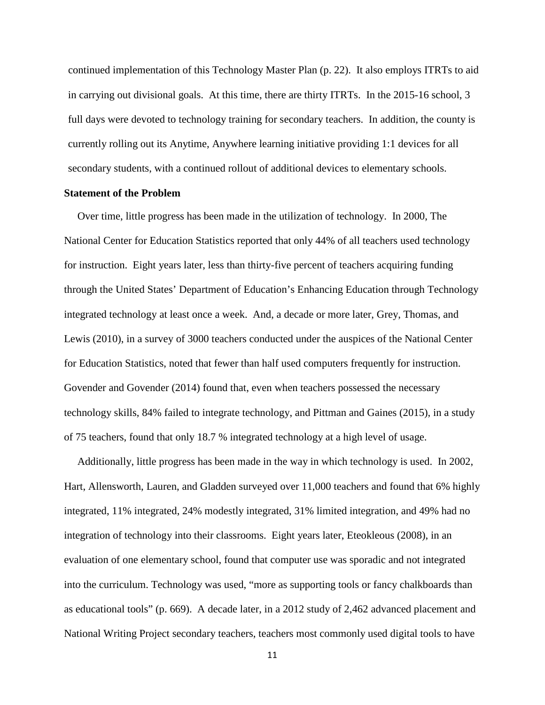continued implementation of this Technology Master Plan (p. 22). It also employs ITRTs to aid in carrying out divisional goals. At this time, there are thirty ITRTs. In the 2015-16 school, 3 full days were devoted to technology training for secondary teachers. In addition, the county is currently rolling out its Anytime, Anywhere learning initiative providing 1:1 devices for all secondary students, with a continued rollout of additional devices to elementary schools.

#### **Statement of the Problem**

 Over time, little progress has been made in the utilization of technology. In 2000, The National Center for Education Statistics reported that only 44% of all teachers used technology for instruction. Eight years later, less than thirty-five percent of teachers acquiring funding through the United States' Department of Education's Enhancing Education through Technology integrated technology at least once a week. And, a decade or more later, Grey, Thomas, and Lewis (2010), in a survey of 3000 teachers conducted under the auspices of the National Center for Education Statistics, noted that fewer than half used computers frequently for instruction. Govender and Govender (2014) found that, even when teachers possessed the necessary technology skills, 84% failed to integrate technology, and Pittman and Gaines (2015), in a study of 75 teachers, found that only 18.7 % integrated technology at a high level of usage.

 Additionally, little progress has been made in the way in which technology is used. In 2002, Hart, Allensworth, Lauren, and Gladden surveyed over 11,000 teachers and found that 6% highly integrated, 11% integrated, 24% modestly integrated, 31% limited integration, and 49% had no integration of technology into their classrooms. Eight years later, Eteokleous (2008), in an evaluation of one elementary school, found that computer use was sporadic and not integrated into the curriculum. Technology was used, "more as supporting tools or fancy chalkboards than as educational tools" (p. 669). A decade later, in a 2012 study of 2,462 advanced placement and National Writing Project secondary teachers, teachers most commonly used digital tools to have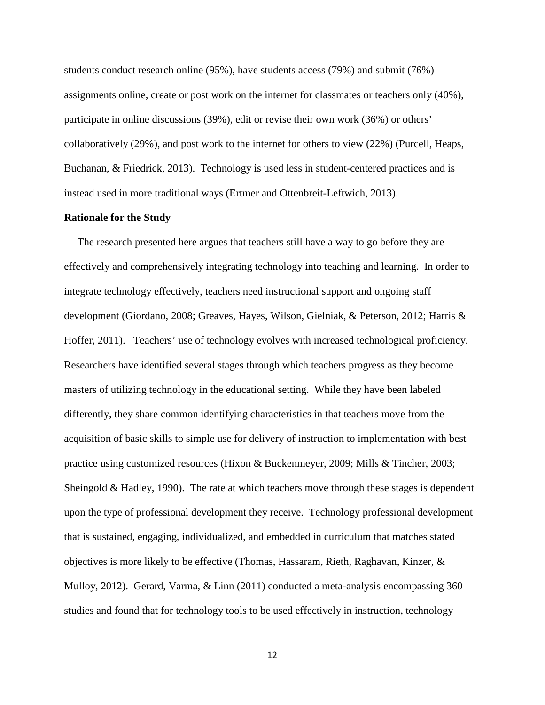students conduct research online (95%), have students access (79%) and submit (76%) assignments online, create or post work on the internet for classmates or teachers only (40%), participate in online discussions (39%), edit or revise their own work (36%) or others' collaboratively (29%), and post work to the internet for others to view (22%) (Purcell, Heaps, Buchanan, & Friedrick, 2013). Technology is used less in student-centered practices and is instead used in more traditional ways (Ertmer and Ottenbreit-Leftwich, 2013).

#### **Rationale for the Study**

 The research presented here argues that teachers still have a way to go before they are effectively and comprehensively integrating technology into teaching and learning. In order to integrate technology effectively, teachers need instructional support and ongoing staff development (Giordano, 2008; Greaves, Hayes, Wilson, Gielniak, & Peterson, 2012; Harris & Hoffer, 2011). Teachers' use of technology evolves with increased technological proficiency. Researchers have identified several stages through which teachers progress as they become masters of utilizing technology in the educational setting. While they have been labeled differently, they share common identifying characteristics in that teachers move from the acquisition of basic skills to simple use for delivery of instruction to implementation with best practice using customized resources (Hixon & Buckenmeyer, 2009; Mills & Tincher, 2003; Sheingold & Hadley, 1990). The rate at which teachers move through these stages is dependent upon the type of professional development they receive. Technology professional development that is sustained, engaging, individualized, and embedded in curriculum that matches stated objectives is more likely to be effective (Thomas, Hassaram, Rieth, Raghavan, Kinzer, & Mulloy, 2012). Gerard, Varma, & Linn (2011) conducted a meta-analysis encompassing 360 studies and found that for technology tools to be used effectively in instruction, technology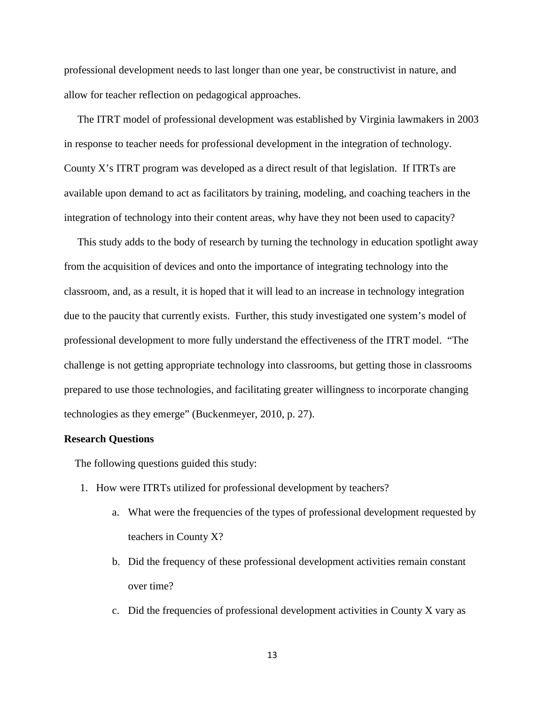professional development needs to last longer than one year, be constructivist in nature, and allow for teacher reflection on pedagogical approaches.

 The ITRT model of professional development was established by Virginia lawmakers in 2003 in response to teacher needs for professional development in the integration of technology. County X's ITRT program was developed as a direct result of that legislation. If ITRTs are available upon demand to act as facilitators by training, modeling, and coaching teachers in the integration of technology into their content areas, why have they not been used to capacity?

 This study adds to the body of research by turning the technology in education spotlight away from the acquisition of devices and onto the importance of integrating technology into the classroom, and, as a result, it is hoped that it will lead to an increase in technology integration due to the paucity that currently exists. Further, this study investigated one system's model of professional development to more fully understand the effectiveness of the ITRT model. "The challenge is not getting appropriate technology into classrooms, but getting those in classrooms prepared to use those technologies, and facilitating greater willingness to incorporate changing technologies as they emerge" (Buckenmeyer, 2010, p. 27).

#### **Research Questions**

The following questions guided this study:

- 1. How were ITRTs utilized for professional development by teachers?
	- a. What were the frequencies of the types of professional development requested by teachers in County X?
	- b. Did the frequency of these professional development activities remain constant over time?
	- c. Did the frequencies of professional development activities in County X vary as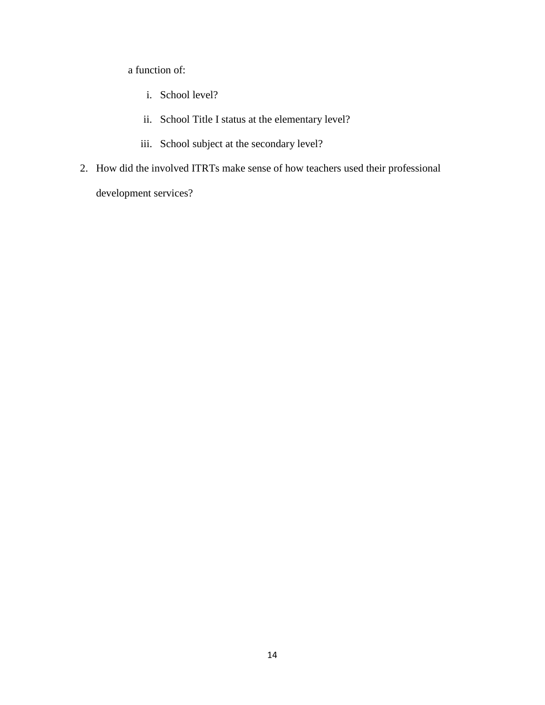a function of:

- i. School level?
- ii. School Title I status at the elementary level?
- iii. School subject at the secondary level?
- 2. How did the involved ITRTs make sense of how teachers used their professional development services?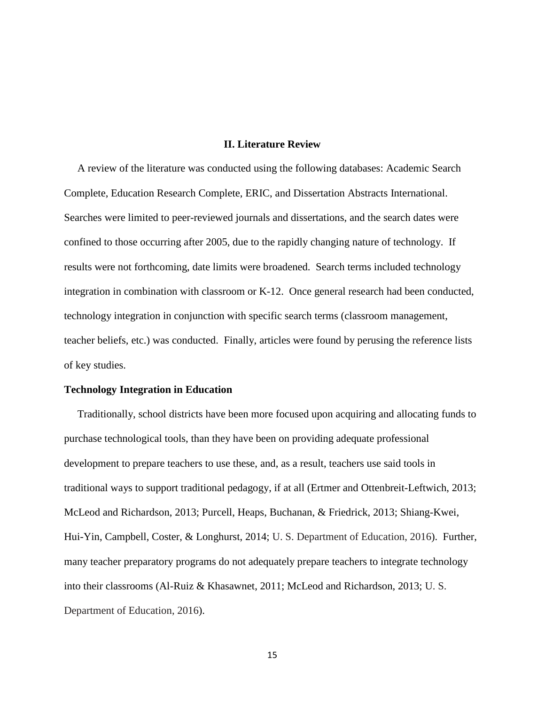#### **II. Literature Review**

 A review of the literature was conducted using the following databases: Academic Search Complete, Education Research Complete, ERIC, and Dissertation Abstracts International. Searches were limited to peer-reviewed journals and dissertations, and the search dates were confined to those occurring after 2005, due to the rapidly changing nature of technology. If results were not forthcoming, date limits were broadened. Search terms included technology integration in combination with classroom or K-12. Once general research had been conducted, technology integration in conjunction with specific search terms (classroom management, teacher beliefs, etc.) was conducted. Finally, articles were found by perusing the reference lists of key studies.

#### **Technology Integration in Education**

 Traditionally, school districts have been more focused upon acquiring and allocating funds to purchase technological tools, than they have been on providing adequate professional development to prepare teachers to use these, and, as a result, teachers use said tools in traditional ways to support traditional pedagogy, if at all (Ertmer and Ottenbreit-Leftwich, 2013; McLeod and Richardson, 2013; Purcell, Heaps, Buchanan, & Friedrick, 2013; Shiang-Kwei, Hui-Yin, Campbell, Coster, & Longhurst, 2014; U. S. Department of Education, 2016). Further, many teacher preparatory programs do not adequately prepare teachers to integrate technology into their classrooms (Al-Ruiz & Khasawnet, 2011; McLeod and Richardson, 2013; U. S. Department of Education, 2016).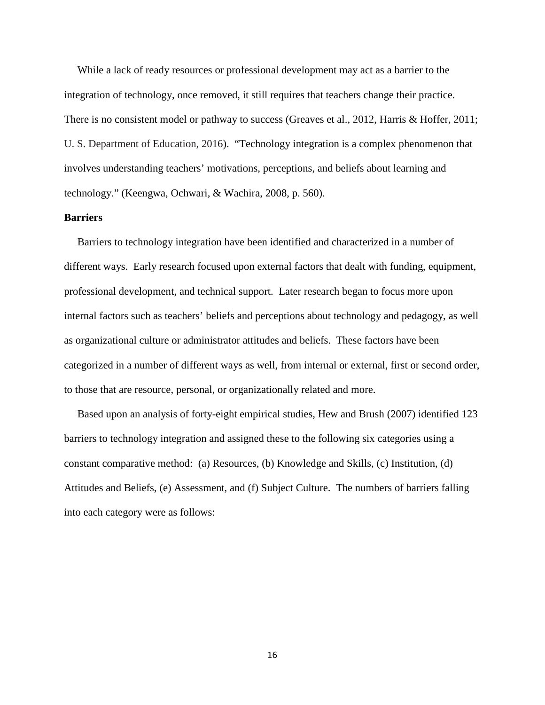While a lack of ready resources or professional development may act as a barrier to the integration of technology, once removed, it still requires that teachers change their practice. There is no consistent model or pathway to success (Greaves et al., 2012, Harris & Hoffer, 2011; U. S. Department of Education, 2016). "Technology integration is a complex phenomenon that involves understanding teachers' motivations, perceptions, and beliefs about learning and technology." (Keengwa, Ochwari, & Wachira, 2008, p. 560).

#### **Barriers**

 Barriers to technology integration have been identified and characterized in a number of different ways. Early research focused upon external factors that dealt with funding, equipment, professional development, and technical support. Later research began to focus more upon internal factors such as teachers' beliefs and perceptions about technology and pedagogy, as well as organizational culture or administrator attitudes and beliefs. These factors have been categorized in a number of different ways as well, from internal or external, first or second order, to those that are resource, personal, or organizationally related and more.

 Based upon an analysis of forty-eight empirical studies, Hew and Brush (2007) identified 123 barriers to technology integration and assigned these to the following six categories using a constant comparative method: (a) Resources, (b) Knowledge and Skills, (c) Institution, (d) Attitudes and Beliefs, (e) Assessment, and (f) Subject Culture. The numbers of barriers falling into each category were as follows: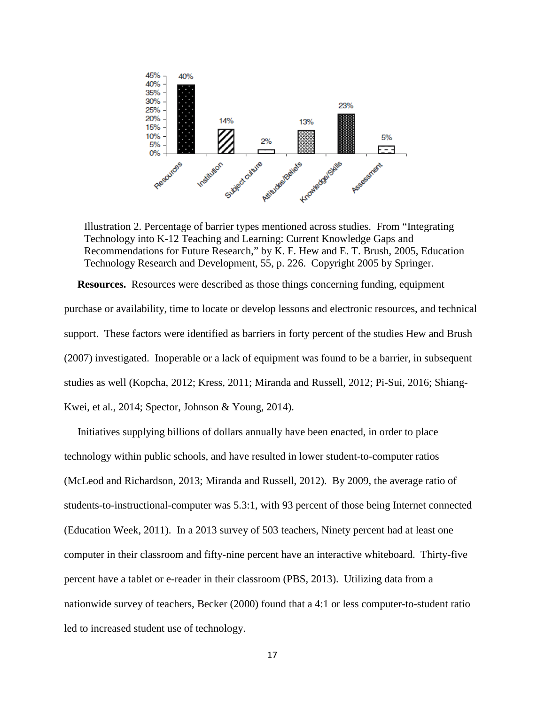

Illustration 2. Percentage of barrier types mentioned across studies. From "Integrating Technology into K-12 Teaching and Learning: Current Knowledge Gaps and Recommendations for Future Research," by K. F. Hew and E. T. Brush, 2005, Education Technology Research and Development, 55, p. 226. Copyright 2005 by Springer.

**Resources.** Resources were described as those things concerning funding, equipment purchase or availability, time to locate or develop lessons and electronic resources, and technical support. These factors were identified as barriers in forty percent of the studies Hew and Brush (2007) investigated. Inoperable or a lack of equipment was found to be a barrier, in subsequent studies as well (Kopcha, 2012; Kress, 2011; Miranda and Russell, 2012; Pi-Sui, 2016; Shiang-Kwei, et al., 2014; Spector, Johnson & Young, 2014).

 Initiatives supplying billions of dollars annually have been enacted, in order to place technology within public schools, and have resulted in lower student-to-computer ratios (McLeod and Richardson, 2013; Miranda and Russell, 2012). By 2009, the average ratio of students-to-instructional-computer was 5.3:1, with 93 percent of those being Internet connected (Education Week, 2011). In a 2013 survey of 503 teachers, Ninety percent had at least one computer in their classroom and fifty-nine percent have an interactive whiteboard. Thirty-five percent have a tablet or e-reader in their classroom (PBS, 2013). Utilizing data from a nationwide survey of teachers, Becker (2000) found that a 4:1 or less computer-to-student ratio led to increased student use of technology.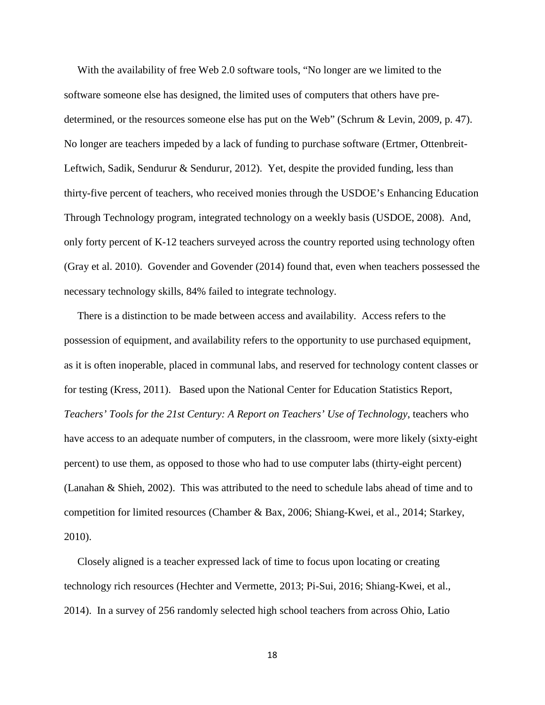With the availability of free Web 2.0 software tools, "No longer are we limited to the software someone else has designed, the limited uses of computers that others have predetermined, or the resources someone else has put on the Web" (Schrum & Levin, 2009, p. 47). No longer are teachers impeded by a lack of funding to purchase software (Ertmer, Ottenbreit-Leftwich, Sadik, Sendurur & Sendurur, 2012). Yet, despite the provided funding, less than thirty-five percent of teachers, who received monies through the USDOE's Enhancing Education Through Technology program, integrated technology on a weekly basis (USDOE, 2008). And, only forty percent of K-12 teachers surveyed across the country reported using technology often (Gray et al. 2010). Govender and Govender (2014) found that, even when teachers possessed the necessary technology skills, 84% failed to integrate technology.

 There is a distinction to be made between access and availability. Access refers to the possession of equipment, and availability refers to the opportunity to use purchased equipment, as it is often inoperable, placed in communal labs, and reserved for technology content classes or for testing (Kress, 2011). Based upon the National Center for Education Statistics Report, *Teachers' Tools for the 21st Century: A Report on Teachers' Use of Technology*, teachers who have access to an adequate number of computers, in the classroom, were more likely (sixty-eight percent) to use them, as opposed to those who had to use computer labs (thirty-eight percent) (Lanahan & Shieh, 2002). This was attributed to the need to schedule labs ahead of time and to competition for limited resources (Chamber & Bax, 2006; Shiang-Kwei, et al., 2014; Starkey, 2010).

 Closely aligned is a teacher expressed lack of time to focus upon locating or creating technology rich resources (Hechter and Vermette, 2013; Pi-Sui, 2016; Shiang-Kwei, et al., 2014). In a survey of 256 randomly selected high school teachers from across Ohio, Latio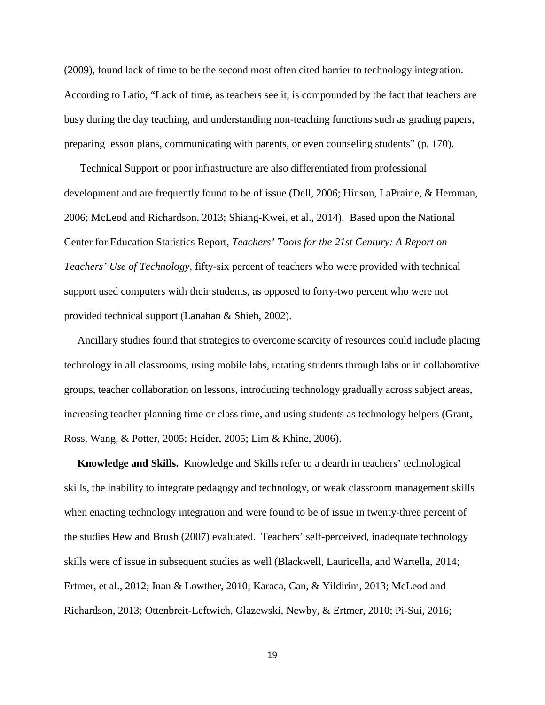(2009), found lack of time to be the second most often cited barrier to technology integration. According to Latio, "Lack of time, as teachers see it, is compounded by the fact that teachers are busy during the day teaching, and understanding non-teaching functions such as grading papers, preparing lesson plans, communicating with parents, or even counseling students" (p. 170).

 Technical Support or poor infrastructure are also differentiated from professional development and are frequently found to be of issue (Dell, 2006; Hinson, LaPrairie, & Heroman, 2006; McLeod and Richardson, 2013; Shiang-Kwei, et al., 2014). Based upon the National Center for Education Statistics Report, *Teachers' Tools for the 21st Century: A Report on Teachers' Use of Technology*, fifty-six percent of teachers who were provided with technical support used computers with their students, as opposed to forty-two percent who were not provided technical support (Lanahan & Shieh, 2002).

 Ancillary studies found that strategies to overcome scarcity of resources could include placing technology in all classrooms, using mobile labs, rotating students through labs or in collaborative groups, teacher collaboration on lessons, introducing technology gradually across subject areas, increasing teacher planning time or class time, and using students as technology helpers (Grant, Ross, Wang, & Potter, 2005; Heider, 2005; Lim & Khine, 2006).

 **Knowledge and Skills.** Knowledge and Skills refer to a dearth in teachers' technological skills, the inability to integrate pedagogy and technology, or weak classroom management skills when enacting technology integration and were found to be of issue in twenty-three percent of the studies Hew and Brush (2007) evaluated. Teachers' self-perceived, inadequate technology skills were of issue in subsequent studies as well (Blackwell, Lauricella, and Wartella, 2014; Ertmer, et al., 2012; Inan & Lowther, 2010; Karaca, Can, & Yildirim, 2013; McLeod and Richardson, 2013; Ottenbreit-Leftwich, Glazewski, Newby, & Ertmer, 2010; Pi-Sui, 2016;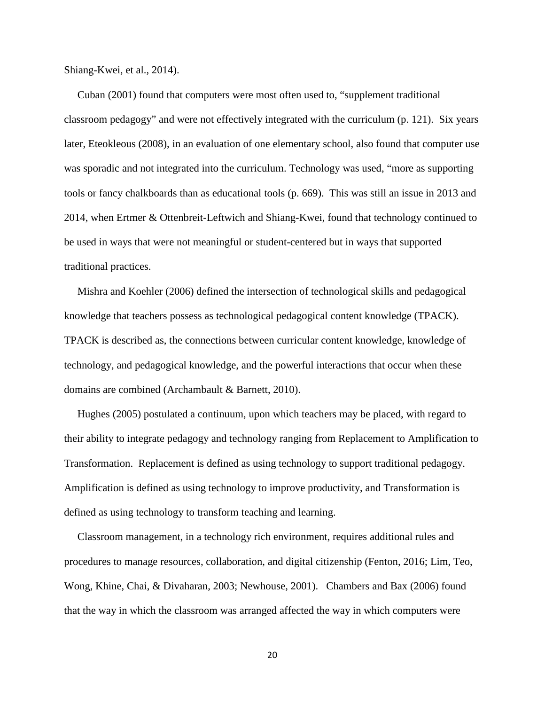Shiang-Kwei, et al., 2014).

 Cuban (2001) found that computers were most often used to, "supplement traditional classroom pedagogy" and were not effectively integrated with the curriculum (p. 121). Six years later, Eteokleous (2008), in an evaluation of one elementary school, also found that computer use was sporadic and not integrated into the curriculum. Technology was used, "more as supporting tools or fancy chalkboards than as educational tools (p. 669). This was still an issue in 2013 and 2014, when Ertmer & Ottenbreit-Leftwich and Shiang-Kwei, found that technology continued to be used in ways that were not meaningful or student-centered but in ways that supported traditional practices.

 Mishra and Koehler (2006) defined the intersection of technological skills and pedagogical knowledge that teachers possess as technological pedagogical content knowledge (TPACK). TPACK is described as, the connections between curricular content knowledge, knowledge of technology, and pedagogical knowledge, and the powerful interactions that occur when these domains are combined (Archambault & Barnett, 2010).

 Hughes (2005) postulated a continuum, upon which teachers may be placed, with regard to their ability to integrate pedagogy and technology ranging from Replacement to Amplification to Transformation. Replacement is defined as using technology to support traditional pedagogy. Amplification is defined as using technology to improve productivity, and Transformation is defined as using technology to transform teaching and learning.

 Classroom management, in a technology rich environment, requires additional rules and procedures to manage resources, collaboration, and digital citizenship (Fenton, 2016; Lim, Teo, Wong, Khine, Chai, & Divaharan, 2003; Newhouse, 2001). Chambers and Bax (2006) found that the way in which the classroom was arranged affected the way in which computers were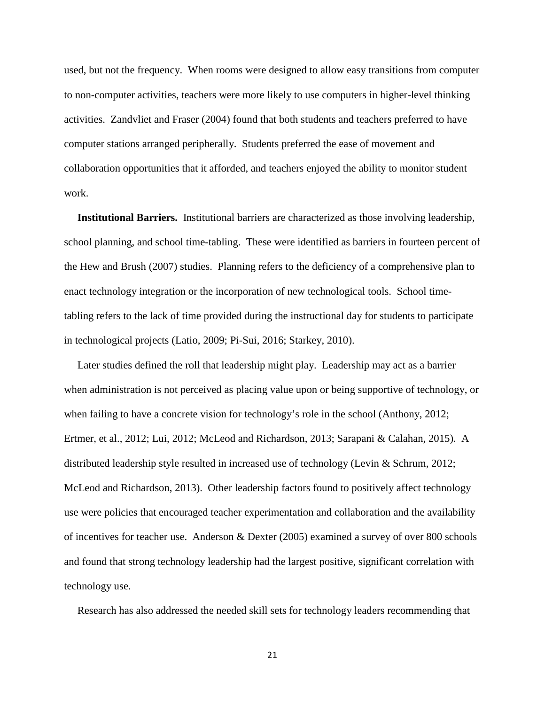used, but not the frequency. When rooms were designed to allow easy transitions from computer to non-computer activities, teachers were more likely to use computers in higher-level thinking activities. Zandvliet and Fraser (2004) found that both students and teachers preferred to have computer stations arranged peripherally. Students preferred the ease of movement and collaboration opportunities that it afforded, and teachers enjoyed the ability to monitor student work.

 **Institutional Barriers.** Institutional barriers are characterized as those involving leadership, school planning, and school time-tabling. These were identified as barriers in fourteen percent of the Hew and Brush (2007) studies. Planning refers to the deficiency of a comprehensive plan to enact technology integration or the incorporation of new technological tools. School timetabling refers to the lack of time provided during the instructional day for students to participate in technological projects (Latio, 2009; Pi-Sui, 2016; Starkey, 2010).

 Later studies defined the roll that leadership might play. Leadership may act as a barrier when administration is not perceived as placing value upon or being supportive of technology, or when failing to have a concrete vision for technology's role in the school (Anthony, 2012; Ertmer, et al., 2012; Lui, 2012; McLeod and Richardson, 2013; Sarapani & Calahan, 2015). A distributed leadership style resulted in increased use of technology (Levin & Schrum, 2012; McLeod and Richardson, 2013). Other leadership factors found to positively affect technology use were policies that encouraged teacher experimentation and collaboration and the availability of incentives for teacher use. Anderson & Dexter (2005) examined a survey of over 800 schools and found that strong technology leadership had the largest positive, significant correlation with technology use.

Research has also addressed the needed skill sets for technology leaders recommending that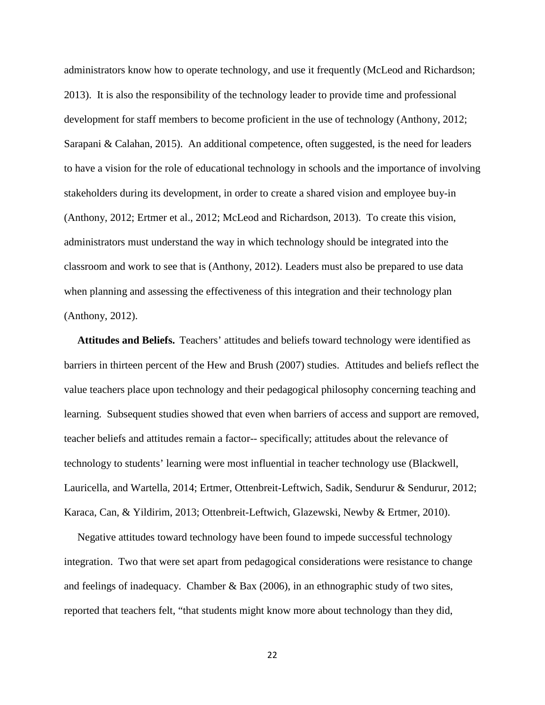administrators know how to operate technology, and use it frequently (McLeod and Richardson; 2013). It is also the responsibility of the technology leader to provide time and professional development for staff members to become proficient in the use of technology (Anthony, 2012; Sarapani & Calahan, 2015). An additional competence, often suggested, is the need for leaders to have a vision for the role of educational technology in schools and the importance of involving stakeholders during its development, in order to create a shared vision and employee buy-in (Anthony, 2012; Ertmer et al., 2012; McLeod and Richardson, 2013). To create this vision, administrators must understand the way in which technology should be integrated into the classroom and work to see that is (Anthony, 2012). Leaders must also be prepared to use data when planning and assessing the effectiveness of this integration and their technology plan (Anthony, 2012).

**Attitudes and Beliefs.** Teachers' attitudes and beliefs toward technology were identified as barriers in thirteen percent of the Hew and Brush (2007) studies. Attitudes and beliefs reflect the value teachers place upon technology and their pedagogical philosophy concerning teaching and learning. Subsequent studies showed that even when barriers of access and support are removed, teacher beliefs and attitudes remain a factor-- specifically; attitudes about the relevance of technology to students' learning were most influential in teacher technology use (Blackwell, Lauricella, and Wartella, 2014; Ertmer, Ottenbreit-Leftwich, Sadik, Sendurur & Sendurur, 2012; Karaca, Can, & Yildirim, 2013; Ottenbreit-Leftwich, Glazewski, Newby & Ertmer, 2010).

 Negative attitudes toward technology have been found to impede successful technology integration. Two that were set apart from pedagogical considerations were resistance to change and feelings of inadequacy. Chamber & Bax (2006), in an ethnographic study of two sites, reported that teachers felt, "that students might know more about technology than they did,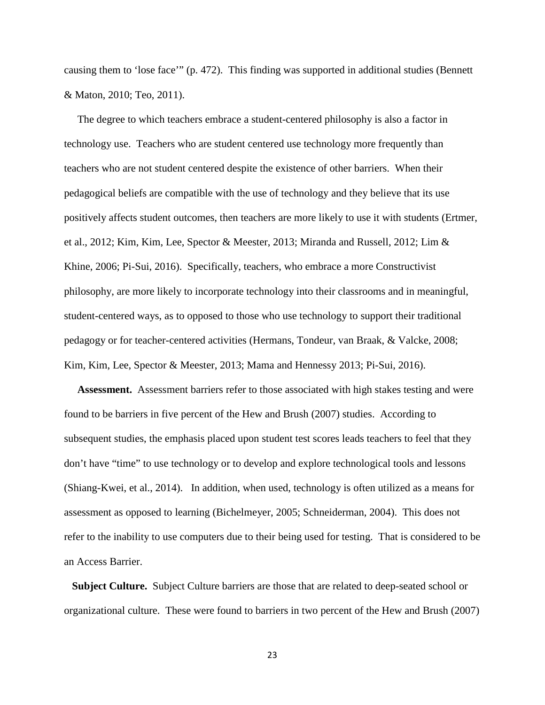causing them to 'lose face'" (p. 472). This finding was supported in additional studies (Bennett & Maton, 2010; Teo, 2011).

 The degree to which teachers embrace a student-centered philosophy is also a factor in technology use. Teachers who are student centered use technology more frequently than teachers who are not student centered despite the existence of other barriers. When their pedagogical beliefs are compatible with the use of technology and they believe that its use positively affects student outcomes, then teachers are more likely to use it with students (Ertmer, et al., 2012; Kim, Kim, Lee, Spector & Meester, 2013; Miranda and Russell, 2012; Lim & Khine, 2006; Pi-Sui, 2016). Specifically, teachers, who embrace a more Constructivist philosophy, are more likely to incorporate technology into their classrooms and in meaningful, student-centered ways, as to opposed to those who use technology to support their traditional pedagogy or for teacher-centered activities (Hermans, Tondeur, van Braak, & Valcke, 2008; Kim, Kim, Lee, Spector & Meester, 2013; Mama and Hennessy 2013; Pi-Sui, 2016).

 **Assessment.** Assessment barriers refer to those associated with high stakes testing and were found to be barriers in five percent of the Hew and Brush (2007) studies. According to subsequent studies, the emphasis placed upon student test scores leads teachers to feel that they don't have "time" to use technology or to develop and explore technological tools and lessons (Shiang-Kwei, et al., 2014). In addition, when used, technology is often utilized as a means for assessment as opposed to learning (Bichelmeyer, 2005; Schneiderman, 2004). This does not refer to the inability to use computers due to their being used for testing. That is considered to be an Access Barrier.

 **Subject Culture.** Subject Culture barriers are those that are related to deep-seated school or organizational culture. These were found to barriers in two percent of the Hew and Brush (2007)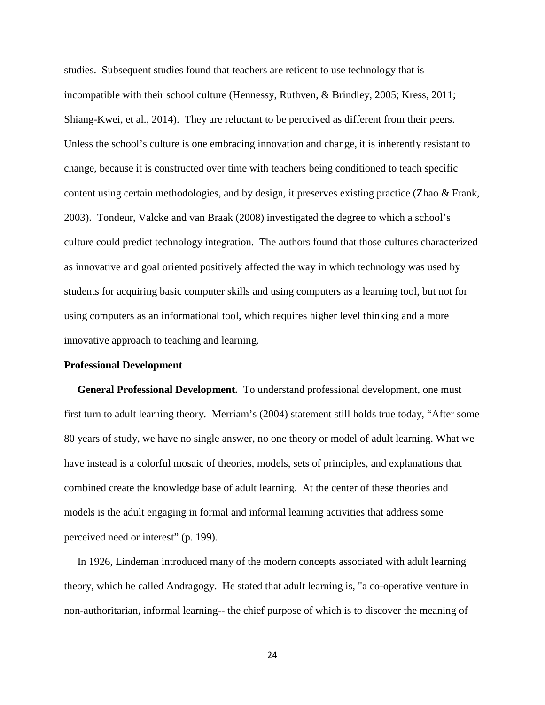studies. Subsequent studies found that teachers are reticent to use technology that is incompatible with their school culture (Hennessy, Ruthven, & Brindley, 2005; Kress, 2011; Shiang-Kwei, et al., 2014). They are reluctant to be perceived as different from their peers. Unless the school's culture is one embracing innovation and change, it is inherently resistant to change, because it is constructed over time with teachers being conditioned to teach specific content using certain methodologies, and by design, it preserves existing practice (Zhao & Frank, 2003). Tondeur, Valcke and van Braak (2008) investigated the degree to which a school's culture could predict technology integration. The authors found that those cultures characterized as innovative and goal oriented positively affected the way in which technology was used by students for acquiring basic computer skills and using computers as a learning tool, but not for using computers as an informational tool, which requires higher level thinking and a more innovative approach to teaching and learning.

#### **Professional Development**

 **General Professional Development.** To understand professional development, one must first turn to adult learning theory. Merriam's (2004) statement still holds true today, "After some 80 years of study, we have no single answer, no one theory or model of adult learning. What we have instead is a colorful mosaic of theories, models, sets of principles, and explanations that combined create the knowledge base of adult learning. At the center of these theories and models is the adult engaging in formal and informal learning activities that address some perceived need or interest" (p. 199).

 In 1926, Lindeman introduced many of the modern concepts associated with adult learning theory, which he called Andragogy. He stated that adult learning is, "a co-operative venture in non-authoritarian, informal learning-- the chief purpose of which is to discover the meaning of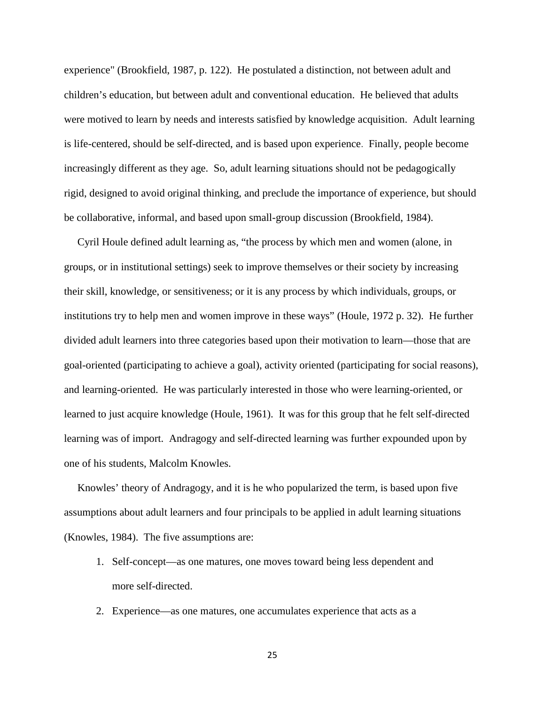experience" (Brookfield, 1987, p. 122). He postulated a distinction, not between adult and children's education, but between adult and conventional education. He believed that adults were motived to learn by needs and interests satisfied by knowledge acquisition. Adult learning is life-centered, should be self-directed, and is based upon experience. Finally, people become increasingly different as they age. So, adult learning situations should not be pedagogically rigid, designed to avoid original thinking, and preclude the importance of experience, but should be collaborative, informal, and based upon small-group discussion (Brookfield, 1984).

 Cyril Houle defined adult learning as, "the process by which men and women (alone, in groups, or in institutional settings) seek to improve themselves or their society by increasing their skill, knowledge, or sensitiveness; or it is any process by which individuals, groups, or institutions try to help men and women improve in these ways" (Houle, 1972 p. 32). He further divided adult learners into three categories based upon their motivation to learn—those that are goal-oriented (participating to achieve a goal), activity oriented (participating for social reasons), and learning-oriented. He was particularly interested in those who were learning-oriented, or learned to just acquire knowledge (Houle, 1961). It was for this group that he felt self-directed learning was of import. Andragogy and self-directed learning was further expounded upon by one of his students, Malcolm Knowles.

 Knowles' theory of Andragogy, and it is he who popularized the term, is based upon five assumptions about adult learners and four principals to be applied in adult learning situations (Knowles, 1984). The five assumptions are:

- 1. Self-concept—as one matures, one moves toward being less dependent and more self-directed.
- 2. Experience—as one matures, one accumulates experience that acts as a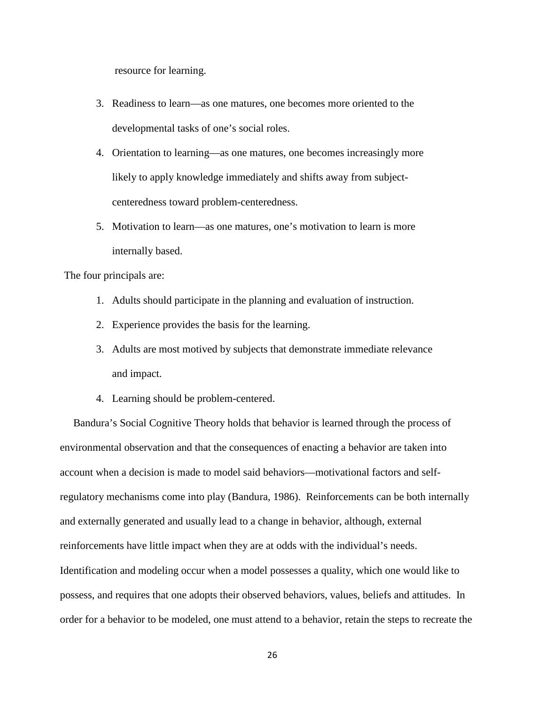resource for learning.

- 3. Readiness to learn—as one matures, one becomes more oriented to the developmental tasks of one's social roles.
- 4. Orientation to learning—as one matures, one becomes increasingly more likely to apply knowledge immediately and shifts away from subjectcenteredness toward problem-centeredness.
- 5. Motivation to learn—as one matures, one's motivation to learn is more internally based.

The four principals are:

- 1. Adults should participate in the planning and evaluation of instruction.
- 2. Experience provides the basis for the learning.
- 3. Adults are most motived by subjects that demonstrate immediate relevance and impact.
- 4. Learning should be problem-centered.

 Bandura's Social Cognitive Theory holds that behavior is learned through the process of environmental observation and that the consequences of enacting a behavior are taken into account when a decision is made to model said behaviors—motivational factors and selfregulatory mechanisms come into play (Bandura, 1986). Reinforcements can be both internally and externally generated and usually lead to a change in behavior, although, external reinforcements have little impact when they are at odds with the individual's needs. Identification and modeling occur when a model possesses a quality, which one would like to possess, and requires that one adopts their observed behaviors, values, beliefs and attitudes. In order for a behavior to be modeled, one must attend to a behavior, retain the steps to recreate the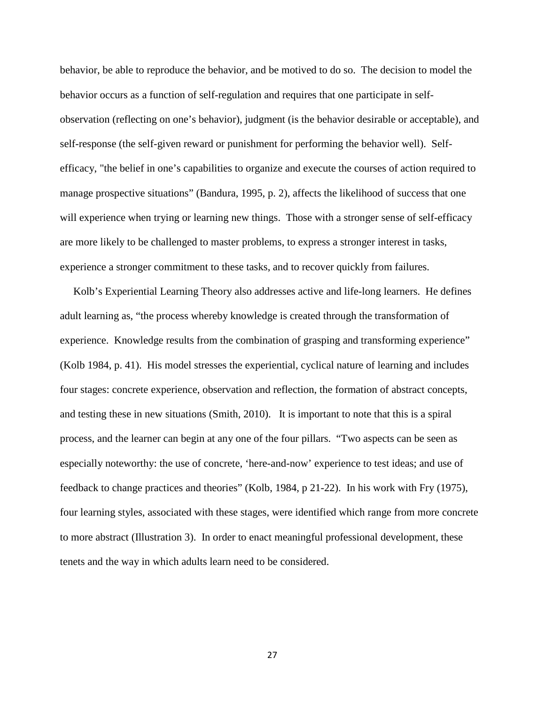behavior, be able to reproduce the behavior, and be motived to do so. The decision to model the behavior occurs as a function of self-regulation and requires that one participate in selfobservation (reflecting on one's behavior), judgment (is the behavior desirable or acceptable), and self-response (the self-given reward or punishment for performing the behavior well). Selfefficacy, "the belief in one's capabilities to organize and execute the courses of action required to manage prospective situations" (Bandura, 1995, p. 2), affects the likelihood of success that one will experience when trying or learning new things. Those with a stronger sense of self-efficacy are more likely to be challenged to master problems, to express a stronger interest in tasks, experience a stronger commitment to these tasks, and to recover quickly from failures.

 Kolb's Experiential Learning Theory also addresses active and life-long learners. He defines adult learning as, "the process whereby knowledge is created through the transformation of experience. Knowledge results from the combination of grasping and transforming experience" (Kolb 1984, p. 41). His model stresses the experiential, cyclical nature of learning and includes four stages: concrete experience, observation and reflection, the formation of abstract concepts, and testing these in new situations (Smith, 2010). It is important to note that this is a spiral process, and the learner can begin at any one of the four pillars. "Two aspects can be seen as especially noteworthy: the use of concrete, 'here-and-now' experience to test ideas; and use of feedback to change practices and theories" (Kolb, 1984, p 21-22). In his work with Fry (1975), four learning styles, associated with these stages, were identified which range from more concrete to more abstract (Illustration 3). In order to enact meaningful professional development, these tenets and the way in which adults learn need to be considered.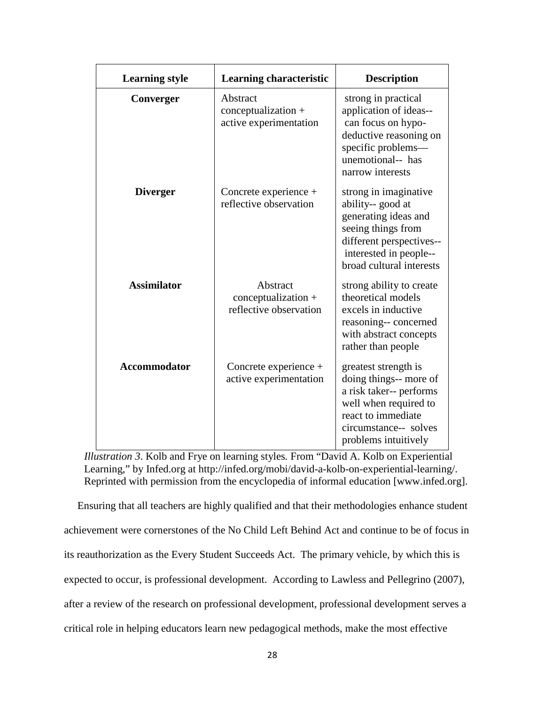| <b>Learning style</b> | Learning characteristic                                     | <b>Description</b>                                                                                                                                                         |
|-----------------------|-------------------------------------------------------------|----------------------------------------------------------------------------------------------------------------------------------------------------------------------------|
| Converger             | Abstract<br>$conceptualization +$<br>active experimentation | strong in practical<br>application of ideas--<br>can focus on hypo-<br>deductive reasoning on<br>specific problems-<br>unemotional-- has<br>narrow interests               |
| <b>Diverger</b>       | Concrete experience +<br>reflective observation             | strong in imaginative<br>ability-- good at<br>generating ideas and<br>seeing things from<br>different perspectives--<br>interested in people--<br>broad cultural interests |
| <b>Assimilator</b>    | Abstract<br>conceptualization +<br>reflective observation   | strong ability to create<br>theoretical models<br>excels in inductive<br>reasoning-- concerned<br>with abstract concepts<br>rather than people                             |
| Accommodator          | Concrete experience +<br>active experimentation             | greatest strength is<br>doing things-- more of<br>a risk taker-- performs<br>well when required to<br>react to immediate<br>circumstance-- solves<br>problems intuitively  |

*Illustration 3*. Kolb and Frye on learning styles*.* From "David A. Kolb on Experiential Learning," by Infed.org at http://infed.org/mobi/david-a-kolb-on-experiential-learning/. Reprinted with permission from the encyclopedia of informal education [www.infed.org].

 Ensuring that all teachers are highly qualified and that their methodologies enhance student achievement were cornerstones of the No Child Left Behind Act and continue to be of focus in its reauthorization as the Every Student Succeeds Act. The primary vehicle, by which this is expected to occur, is professional development. According to Lawless and Pellegrino (2007), after a review of the research on professional development, professional development serves a critical role in helping educators learn new pedagogical methods, make the most effective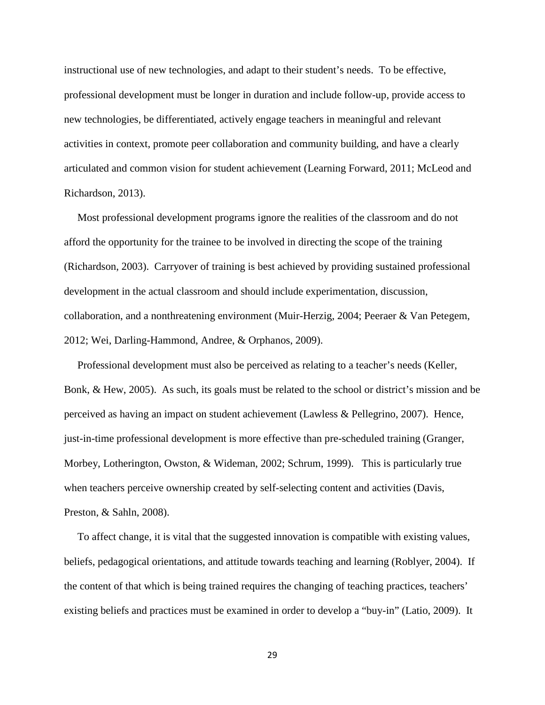instructional use of new technologies, and adapt to their student's needs. To be effective, professional development must be longer in duration and include follow-up, provide access to new technologies, be differentiated, actively engage teachers in meaningful and relevant activities in context, promote peer collaboration and community building, and have a clearly articulated and common vision for student achievement (Learning Forward, 2011; McLeod and Richardson, 2013).

 Most professional development programs ignore the realities of the classroom and do not afford the opportunity for the trainee to be involved in directing the scope of the training (Richardson, 2003). Carryover of training is best achieved by providing sustained professional development in the actual classroom and should include experimentation, discussion, collaboration, and a nonthreatening environment (Muir-Herzig, 2004; Peeraer & Van Petegem, 2012; Wei, Darling-Hammond, Andree, & Orphanos, 2009).

 Professional development must also be perceived as relating to a teacher's needs (Keller, Bonk, & Hew, 2005). As such, its goals must be related to the school or district's mission and be perceived as having an impact on student achievement (Lawless & Pellegrino, 2007). Hence, just-in-time professional development is more effective than pre-scheduled training (Granger, Morbey, Lotherington, Owston, & Wideman, 2002; Schrum, 1999). This is particularly true when teachers perceive ownership created by self-selecting content and activities (Davis, Preston, & Sahln, 2008).

 To affect change, it is vital that the suggested innovation is compatible with existing values, beliefs, pedagogical orientations, and attitude towards teaching and learning (Roblyer, 2004). If the content of that which is being trained requires the changing of teaching practices, teachers' existing beliefs and practices must be examined in order to develop a "buy-in" (Latio, 2009). It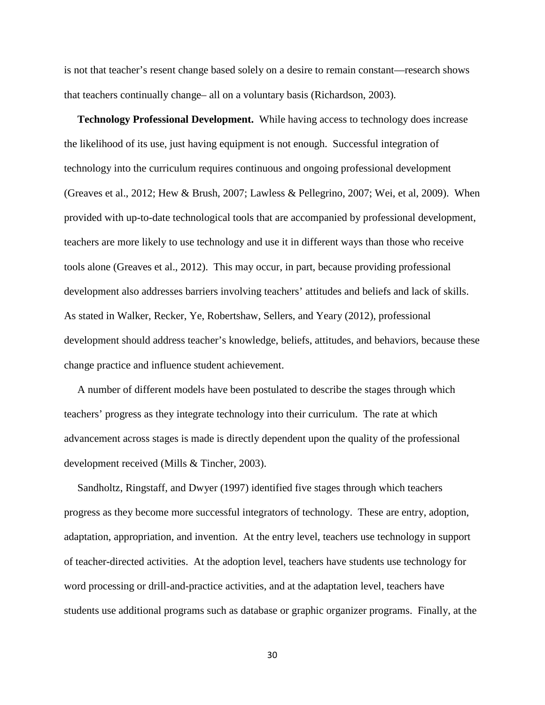is not that teacher's resent change based solely on a desire to remain constant—research shows that teachers continually change– all on a voluntary basis (Richardson, 2003).

 **Technology Professional Development.** While having access to technology does increase the likelihood of its use, just having equipment is not enough. Successful integration of technology into the curriculum requires continuous and ongoing professional development (Greaves et al., 2012; Hew & Brush, 2007; Lawless & Pellegrino, 2007; Wei, et al, 2009). When provided with up-to-date technological tools that are accompanied by professional development, teachers are more likely to use technology and use it in different ways than those who receive tools alone (Greaves et al., 2012). This may occur, in part, because providing professional development also addresses barriers involving teachers' attitudes and beliefs and lack of skills. As stated in Walker, Recker, Ye, Robertshaw, Sellers, and Yeary (2012), professional development should address teacher's knowledge, beliefs, attitudes, and behaviors, because these change practice and influence student achievement.

 A number of different models have been postulated to describe the stages through which teachers' progress as they integrate technology into their curriculum. The rate at which advancement across stages is made is directly dependent upon the quality of the professional development received (Mills & Tincher, 2003).

 Sandholtz, Ringstaff, and Dwyer (1997) identified five stages through which teachers progress as they become more successful integrators of technology. These are entry, adoption, adaptation, appropriation, and invention. At the entry level, teachers use technology in support of teacher-directed activities. At the adoption level, teachers have students use technology for word processing or drill-and-practice activities, and at the adaptation level, teachers have students use additional programs such as database or graphic organizer programs. Finally, at the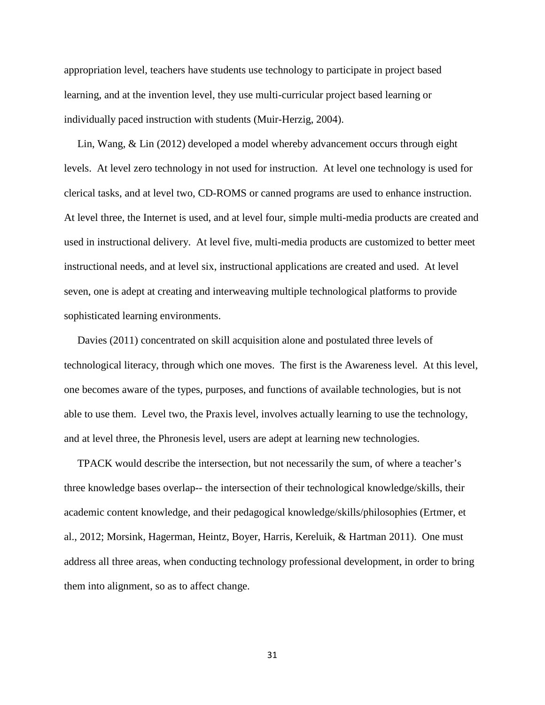appropriation level, teachers have students use technology to participate in project based learning, and at the invention level, they use multi-curricular project based learning or individually paced instruction with students (Muir-Herzig, 2004).

 Lin, Wang, & Lin (2012) developed a model whereby advancement occurs through eight levels. At level zero technology in not used for instruction. At level one technology is used for clerical tasks, and at level two, CD-ROMS or canned programs are used to enhance instruction. At level three, the Internet is used, and at level four, simple multi-media products are created and used in instructional delivery. At level five, multi-media products are customized to better meet instructional needs, and at level six, instructional applications are created and used. At level seven, one is adept at creating and interweaving multiple technological platforms to provide sophisticated learning environments.

 Davies (2011) concentrated on skill acquisition alone and postulated three levels of technological literacy, through which one moves. The first is the Awareness level. At this level, one becomes aware of the types, purposes, and functions of available technologies, but is not able to use them. Level two, the Praxis level, involves actually learning to use the technology, and at level three, the Phronesis level, users are adept at learning new technologies.

 TPACK would describe the intersection, but not necessarily the sum, of where a teacher's three knowledge bases overlap-- the intersection of their technological knowledge/skills, their academic content knowledge, and their pedagogical knowledge/skills/philosophies (Ertmer, et al., 2012; Morsink, Hagerman, Heintz, Boyer, Harris, Kereluik, & Hartman 2011). One must address all three areas, when conducting technology professional development, in order to bring them into alignment, so as to affect change.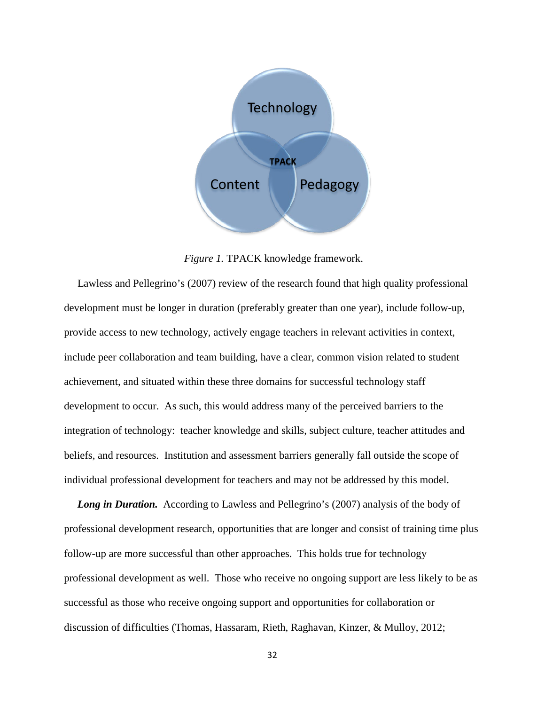

*Figure 1.* TPACK knowledge framework.

 Lawless and Pellegrino's (2007) review of the research found that high quality professional development must be longer in duration (preferably greater than one year), include follow-up, provide access to new technology, actively engage teachers in relevant activities in context, include peer collaboration and team building, have a clear, common vision related to student achievement, and situated within these three domains for successful technology staff development to occur. As such, this would address many of the perceived barriers to the integration of technology: teacher knowledge and skills, subject culture, teacher attitudes and beliefs, and resources. Institution and assessment barriers generally fall outside the scope of individual professional development for teachers and may not be addressed by this model.

Long in Duration. According to Lawless and Pellegrino's (2007) analysis of the body of professional development research, opportunities that are longer and consist of training time plus follow-up are more successful than other approaches. This holds true for technology professional development as well. Those who receive no ongoing support are less likely to be as successful as those who receive ongoing support and opportunities for collaboration or discussion of difficulties (Thomas, Hassaram, Rieth, Raghavan, Kinzer, & Mulloy, 2012;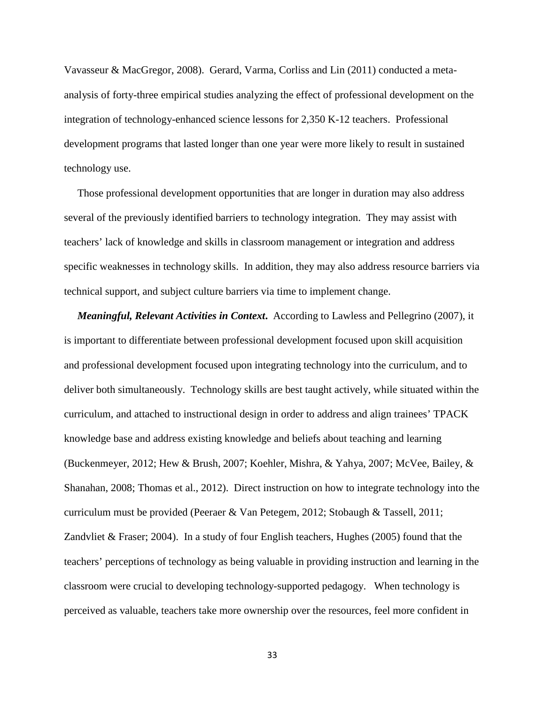Vavasseur & MacGregor, 2008). Gerard, Varma, Corliss and Lin (2011) conducted a metaanalysis of forty-three empirical studies analyzing the effect of professional development on the integration of technology-enhanced science lessons for 2,350 K-12 teachers. Professional development programs that lasted longer than one year were more likely to result in sustained technology use.

 Those professional development opportunities that are longer in duration may also address several of the previously identified barriers to technology integration. They may assist with teachers' lack of knowledge and skills in classroom management or integration and address specific weaknesses in technology skills. In addition, they may also address resource barriers via technical support, and subject culture barriers via time to implement change.

 *Meaningful, Relevant Activities in Context***.** According to Lawless and Pellegrino (2007), it is important to differentiate between professional development focused upon skill acquisition and professional development focused upon integrating technology into the curriculum, and to deliver both simultaneously. Technology skills are best taught actively, while situated within the curriculum, and attached to instructional design in order to address and align trainees' TPACK knowledge base and address existing knowledge and beliefs about teaching and learning (Buckenmeyer, 2012; Hew & Brush, 2007; Koehler, Mishra, & Yahya, 2007; McVee, Bailey, & Shanahan, 2008; Thomas et al., 2012). Direct instruction on how to integrate technology into the curriculum must be provided (Peeraer & Van Petegem, 2012; Stobaugh & Tassell, 2011; Zandvliet & Fraser; 2004). In a study of four English teachers, Hughes (2005) found that the teachers' perceptions of technology as being valuable in providing instruction and learning in the classroom were crucial to developing technology-supported pedagogy. When technology is perceived as valuable, teachers take more ownership over the resources, feel more confident in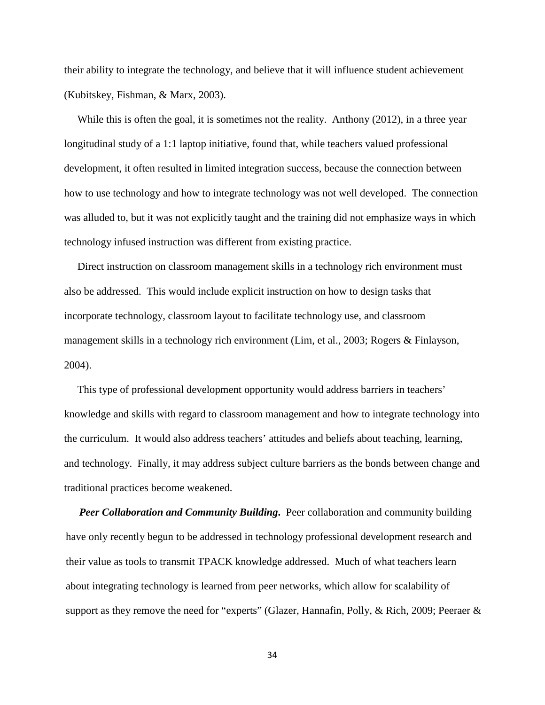their ability to integrate the technology, and believe that it will influence student achievement (Kubitskey, Fishman, & Marx, 2003).

While this is often the goal, it is sometimes not the reality. Anthony (2012), in a three year longitudinal study of a 1:1 laptop initiative, found that, while teachers valued professional development, it often resulted in limited integration success, because the connection between how to use technology and how to integrate technology was not well developed. The connection was alluded to, but it was not explicitly taught and the training did not emphasize ways in which technology infused instruction was different from existing practice.

 Direct instruction on classroom management skills in a technology rich environment must also be addressed. This would include explicit instruction on how to design tasks that incorporate technology, classroom layout to facilitate technology use, and classroom management skills in a technology rich environment (Lim, et al., 2003; Rogers & Finlayson, 2004).

 This type of professional development opportunity would address barriers in teachers' knowledge and skills with regard to classroom management and how to integrate technology into the curriculum. It would also address teachers' attitudes and beliefs about teaching, learning, and technology. Finally, it may address subject culture barriers as the bonds between change and traditional practices become weakened.

*Peer Collaboration and Community Building.* Peer collaboration and community building have only recently begun to be addressed in technology professional development research and their value as tools to transmit TPACK knowledge addressed. Much of what teachers learn about integrating technology is learned from peer networks, which allow for scalability of support as they remove the need for "experts" (Glazer, Hannafin, Polly, & Rich, 2009; Peeraer &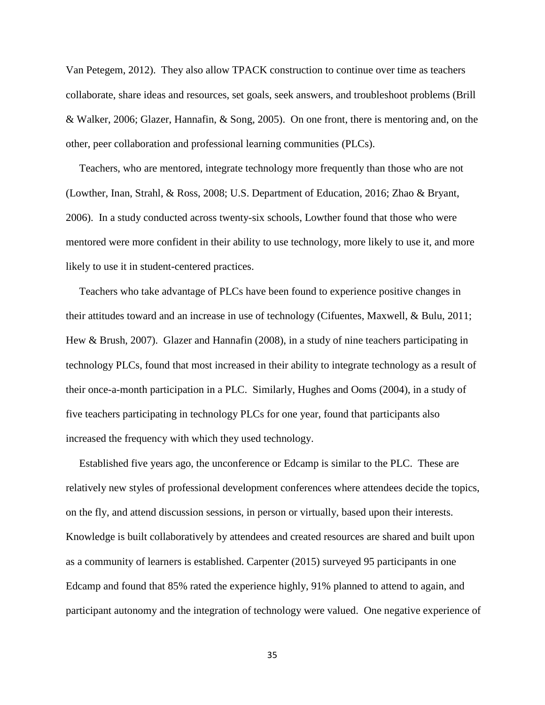Van Petegem, 2012). They also allow TPACK construction to continue over time as teachers collaborate, share ideas and resources, set goals, seek answers, and troubleshoot problems (Brill & Walker, 2006; Glazer, Hannafin, & Song, 2005). On one front, there is mentoring and, on the other, peer collaboration and professional learning communities (PLCs).

 Teachers, who are mentored, integrate technology more frequently than those who are not (Lowther, Inan, Strahl, & Ross, 2008; U.S. Department of Education, 2016; Zhao & Bryant, 2006). In a study conducted across twenty-six schools, Lowther found that those who were mentored were more confident in their ability to use technology, more likely to use it, and more likely to use it in student-centered practices.

 Teachers who take advantage of PLCs have been found to experience positive changes in their attitudes toward and an increase in use of technology (Cifuentes, Maxwell, & Bulu, 2011; Hew & Brush, 2007). Glazer and Hannafin (2008), in a study of nine teachers participating in technology PLCs, found that most increased in their ability to integrate technology as a result of their once-a-month participation in a PLC. Similarly, Hughes and Ooms (2004), in a study of five teachers participating in technology PLCs for one year, found that participants also increased the frequency with which they used technology.

 Established five years ago, the unconference or Edcamp is similar to the PLC. These are relatively new styles of professional development conferences where attendees decide the topics, on the fly, and attend discussion sessions, in person or virtually, based upon their interests. Knowledge is built collaboratively by attendees and created resources are shared and built upon as a community of learners is established. Carpenter (2015) surveyed 95 participants in one Edcamp and found that 85% rated the experience highly, 91% planned to attend to again, and participant autonomy and the integration of technology were valued. One negative experience of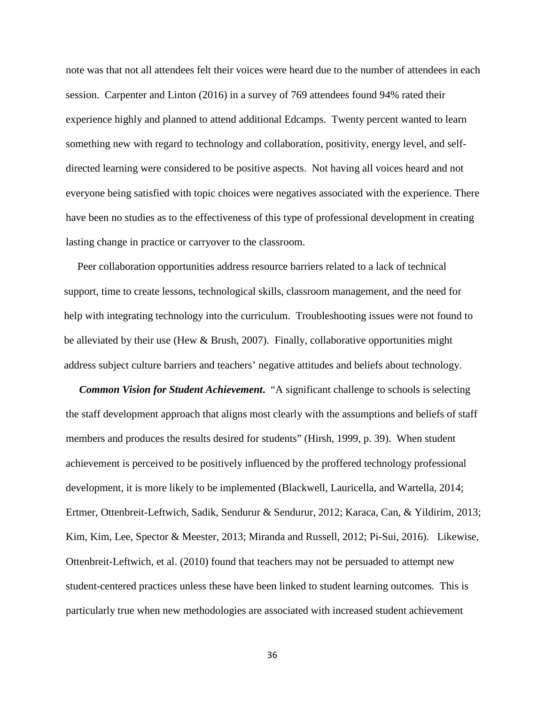note was that not all attendees felt their voices were heard due to the number of attendees in each session. Carpenter and Linton (2016) in a survey of 769 attendees found 94% rated their experience highly and planned to attend additional Edcamps. Twenty percent wanted to learn something new with regard to technology and collaboration, positivity, energy level, and selfdirected learning were considered to be positive aspects. Not having all voices heard and not everyone being satisfied with topic choices were negatives associated with the experience. There have been no studies as to the effectiveness of this type of professional development in creating lasting change in practice or carryover to the classroom.

 Peer collaboration opportunities address resource barriers related to a lack of technical support, time to create lessons, technological skills, classroom management, and the need for help with integrating technology into the curriculum. Troubleshooting issues were not found to be alleviated by their use (Hew & Brush, 2007). Finally, collaborative opportunities might address subject culture barriers and teachers' negative attitudes and beliefs about technology.

*Common Vision for Student Achievement.* "A significant challenge to schools is selecting the staff development approach that aligns most clearly with the assumptions and beliefs of staff members and produces the results desired for students" (Hirsh, 1999, p. 39). When student achievement is perceived to be positively influenced by the proffered technology professional development, it is more likely to be implemented (Blackwell, Lauricella, and Wartella, 2014; Ertmer, Ottenbreit-Leftwich, Sadik, Sendurur & Sendurur, 2012; Karaca, Can, & Yildirim, 2013; Kim, Kim, Lee, Spector & Meester, 2013; Miranda and Russell, 2012; Pi-Sui, 2016). Likewise, Ottenbreit-Leftwich, et al. (2010) found that teachers may not be persuaded to attempt new student-centered practices unless these have been linked to student learning outcomes. This is particularly true when new methodologies are associated with increased student achievement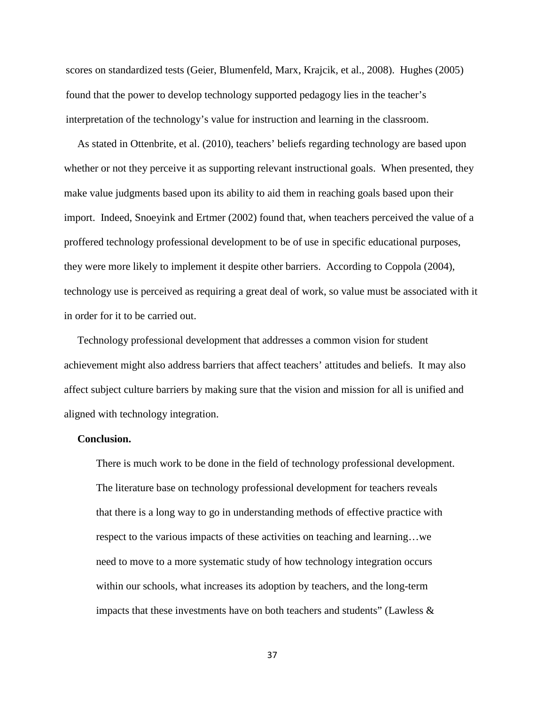scores on standardized tests (Geier, Blumenfeld, Marx, Krajcik, et al., 2008). Hughes (2005) found that the power to develop technology supported pedagogy lies in the teacher's interpretation of the technology's value for instruction and learning in the classroom.

 As stated in Ottenbrite, et al. (2010), teachers' beliefs regarding technology are based upon whether or not they perceive it as supporting relevant instructional goals. When presented, they make value judgments based upon its ability to aid them in reaching goals based upon their import. Indeed, Snoeyink and Ertmer (2002) found that, when teachers perceived the value of a proffered technology professional development to be of use in specific educational purposes, they were more likely to implement it despite other barriers. According to Coppola (2004), technology use is perceived as requiring a great deal of work, so value must be associated with it in order for it to be carried out.

 Technology professional development that addresses a common vision for student achievement might also address barriers that affect teachers' attitudes and beliefs. It may also affect subject culture barriers by making sure that the vision and mission for all is unified and aligned with technology integration.

#### **Conclusion.**

There is much work to be done in the field of technology professional development. The literature base on technology professional development for teachers reveals that there is a long way to go in understanding methods of effective practice with respect to the various impacts of these activities on teaching and learning…we need to move to a more systematic study of how technology integration occurs within our schools, what increases its adoption by teachers, and the long-term impacts that these investments have on both teachers and students" (Lawless  $\&$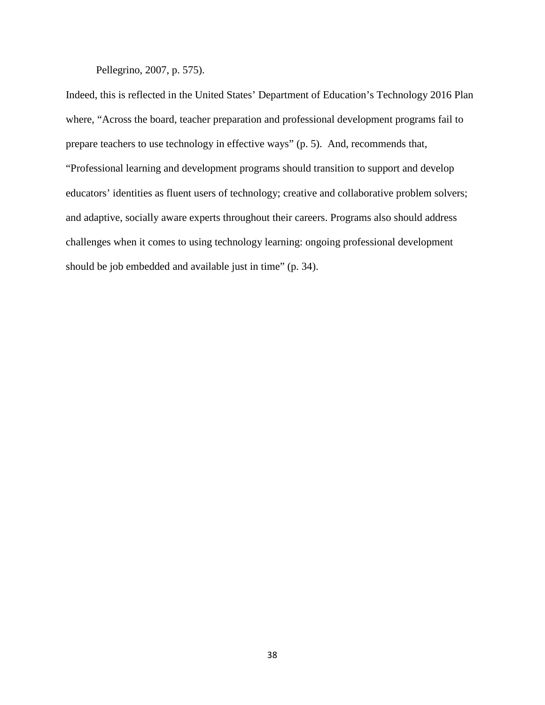Pellegrino, 2007, p. 575).

Indeed, this is reflected in the United States' Department of Education's Technology 2016 Plan where, "Across the board, teacher preparation and professional development programs fail to prepare teachers to use technology in effective ways" (p. 5). And, recommends that, "Professional learning and development programs should transition to support and develop educators' identities as fluent users of technology; creative and collaborative problem solvers; and adaptive, socially aware experts throughout their careers. Programs also should address challenges when it comes to using technology learning: ongoing professional development should be job embedded and available just in time" (p. 34).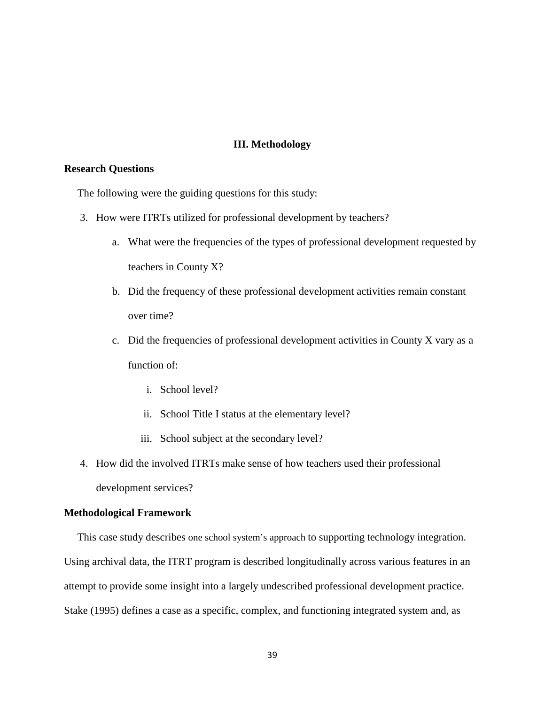## **III. Methodology**

## **Research Questions**

The following were the guiding questions for this study:

- 3. How were ITRTs utilized for professional development by teachers?
	- a. What were the frequencies of the types of professional development requested by teachers in County X?
	- b. Did the frequency of these professional development activities remain constant over time?
	- c. Did the frequencies of professional development activities in County X vary as a function of:
		- i. School level?
		- ii. School Title I status at the elementary level?
		- iii. School subject at the secondary level?
- 4. How did the involved ITRTs make sense of how teachers used their professional development services?

#### **Methodological Framework**

 This case study describes one school system's approach to supporting technology integration. Using archival data, the ITRT program is described longitudinally across various features in an attempt to provide some insight into a largely undescribed professional development practice. Stake (1995) defines a case as a specific, complex, and functioning integrated system and, as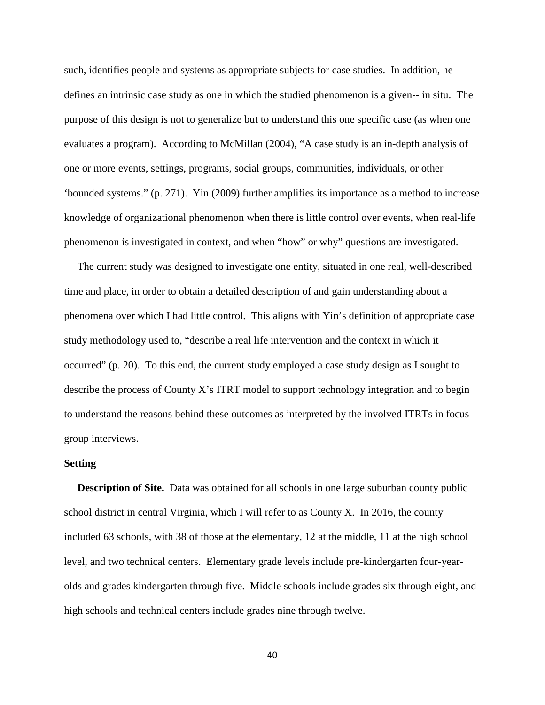such, identifies people and systems as appropriate subjects for case studies. In addition, he defines an intrinsic case study as one in which the studied phenomenon is a given-- in situ. The purpose of this design is not to generalize but to understand this one specific case (as when one evaluates a program). According to McMillan (2004), "A case study is an in-depth analysis of one or more events, settings, programs, social groups, communities, individuals, or other 'bounded systems." (p. 271). Yin (2009) further amplifies its importance as a method to increase knowledge of organizational phenomenon when there is little control over events, when real-life phenomenon is investigated in context, and when "how" or why" questions are investigated.

 The current study was designed to investigate one entity, situated in one real, well-described time and place, in order to obtain a detailed description of and gain understanding about a phenomena over which I had little control. This aligns with Yin's definition of appropriate case study methodology used to, "describe a real life intervention and the context in which it occurred" (p. 20). To this end, the current study employed a case study design as I sought to describe the process of County X's ITRT model to support technology integration and to begin to understand the reasons behind these outcomes as interpreted by the involved ITRTs in focus group interviews.

#### **Setting**

**Description of Site.** Data was obtained for all schools in one large suburban county public school district in central Virginia, which I will refer to as County X. In 2016, the county included 63 schools, with 38 of those at the elementary, 12 at the middle, 11 at the high school level, and two technical centers. Elementary grade levels include pre-kindergarten four-yearolds and grades kindergarten through five. Middle schools include grades six through eight, and high schools and technical centers include grades nine through twelve.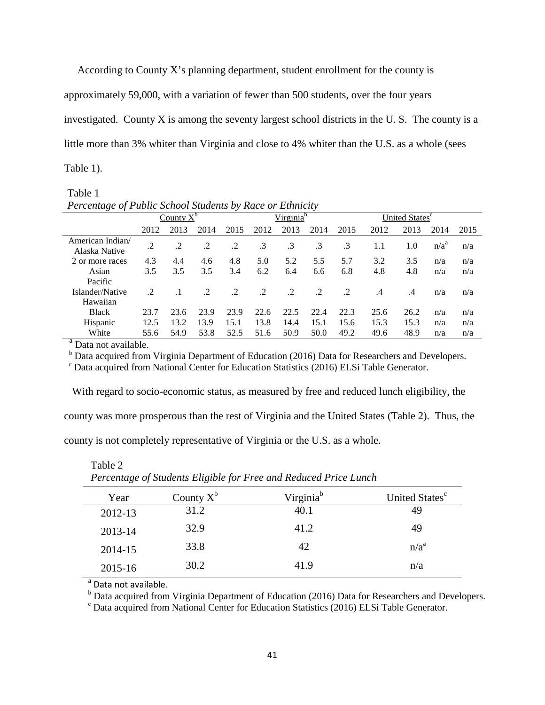According to County X's planning department, student enrollment for the county is

approximately 59,000, with a variation of fewer than 500 students, over the four years

investigated. County X is among the seventy largest school districts in the U. S. The county is a

little more than 3% whiter than Virginia and close to 4% whiter than the U.S. as a whole (sees

Table 1).

# Table 1

| Percentage of Public School Students by Race or Ethnicity |              |      |               |         |                       |           |           |                            |         |           |                  |      |
|-----------------------------------------------------------|--------------|------|---------------|---------|-----------------------|-----------|-----------|----------------------------|---------|-----------|------------------|------|
|                                                           | County $X^b$ |      |               |         | Virginia <sup>b</sup> |           |           | United States <sup>c</sup> |         |           |                  |      |
|                                                           | 2012         | 2013 | 2014          | 2015    | 2012                  | 2013      | 2014      | 2015                       | 2012    | 2013      | 2014             | 2015 |
| American Indian/<br>Alaska Native                         | $\cdot$      | .2   | .2            | $\cdot$ | $\cdot$ 3             | $\cdot$ 3 | $\cdot$ 3 | .3                         | 1.1     | 1.0       | n/a <sup>d</sup> | n/a  |
| 2 or more races                                           | 4.3          | 4.4  | 4.6           | 4.8     | 5.0                   | 5.2       | 5.5       | 5.7                        | 3.2     | 3.5       | n/a              | n/a  |
| Asian                                                     | 3.5          | 3.5  | 3.5           | 3.4     | 6.2                   | 6.4       | 6.6       | 6.8                        | 4.8     | 4.8       | n/a              | n/a  |
| Pacific                                                   |              |      |               |         |                       |           |           |                            |         |           |                  |      |
| Islander/Native                                           | .2           |      | $\mathcal{L}$ | $\cdot$ | $\cdot$               | $\cdot$   | $\cdot$ 2 | $\cdot$                    | $\cdot$ | $\cdot$ 4 | n/a              | n/a  |
| Hawaiian                                                  |              |      |               |         |                       |           |           |                            |         |           |                  |      |
| <b>Black</b>                                              | 23.7         | 23.6 | 23.9          | 23.9    | 22.6                  | 22.5      | 22.4      | 22.3                       | 25.6    | 26.2      | n/a              | n/a  |
| Hispanic                                                  | 12.5         | 13.2 | 13.9          | 15.1    | 13.8                  | 14.4      | 15.1      | 15.6                       | 15.3    | 15.3      | n/a              | n/a  |
| White                                                     | 55.6         | 54.9 | 53.8          | 52.5    | 51.6                  | 50.9      | 50.0      | 49.2                       | 49.6    | 48.9      | n/a              | n/a  |

<sup>a</sup> Data not available.

Table 2

 $<sup>b</sup>$  Data acquired from Virginia Department of Education (2016) Data for Researchers and Developers.</sup>

<sup>c</sup> Data acquired from National Center for Education Statistics (2016) ELSi Table Generator.

 With regard to socio-economic status, as measured by free and reduced lunch eligibility, the county was more prosperous than the rest of Virginia and the United States (Table 2). Thus, the

county is not completely representative of Virginia or the U.S. as a whole.

| Tercentage of Binaenis Lugible for Tree and Reduced Frice Lunch |              |                       |                            |  |  |
|-----------------------------------------------------------------|--------------|-----------------------|----------------------------|--|--|
| Year                                                            | County $X^b$ | Virginia <sup>b</sup> | United States <sup>c</sup> |  |  |
| 2012-13                                                         | 31.2         | 40.1                  | 49                         |  |  |
| 2013-14                                                         | 32.9         | 41.2                  | 49                         |  |  |
| 2014-15                                                         | 33.8         | 42                    | $n/a^a$                    |  |  |
| 2015-16                                                         | 30.2         | 41.9                  | n/a                        |  |  |
|                                                                 |              |                       |                            |  |  |

*Percentage of Students Eligible for Free and Reduced Price Lunch*

<sup>a</sup> Data not available.

<sup>b</sup> Data acquired from Virginia Department of Education (2016) Data for Researchers and Developers. <sup>c</sup> Data acquired from National Center for Education Statistics (2016) ELSi Table Generator.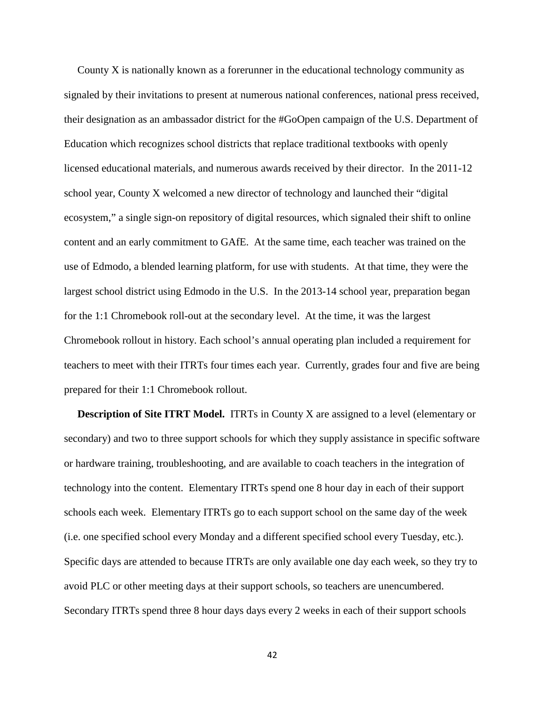County X is nationally known as a forerunner in the educational technology community as signaled by their invitations to present at numerous national conferences, national press received, their designation as an ambassador district for the #GoOpen campaign of the U.S. Department of Education which recognizes school districts that replace traditional textbooks with openly licensed educational materials, and numerous awards received by their director. In the 2011-12 school year, County X welcomed a new director of technology and launched their "digital ecosystem," a single sign-on repository of digital resources, which signaled their shift to online content and an early commitment to GAfE. At the same time, each teacher was trained on the use of Edmodo, a blended learning platform, for use with students. At that time, they were the largest school district using Edmodo in the U.S. In the 2013-14 school year, preparation began for the 1:1 Chromebook roll-out at the secondary level. At the time, it was the largest Chromebook rollout in history. Each school's annual operating plan included a requirement for teachers to meet with their ITRTs four times each year. Currently, grades four and five are being prepared for their 1:1 Chromebook rollout.

**Description of Site ITRT Model.** ITRTs in County X are assigned to a level (elementary or secondary) and two to three support schools for which they supply assistance in specific software or hardware training, troubleshooting, and are available to coach teachers in the integration of technology into the content. Elementary ITRTs spend one 8 hour day in each of their support schools each week. Elementary ITRTs go to each support school on the same day of the week (i.e. one specified school every Monday and a different specified school every Tuesday, etc.). Specific days are attended to because ITRTs are only available one day each week, so they try to avoid PLC or other meeting days at their support schools, so teachers are unencumbered. Secondary ITRTs spend three 8 hour days days every 2 weeks in each of their support schools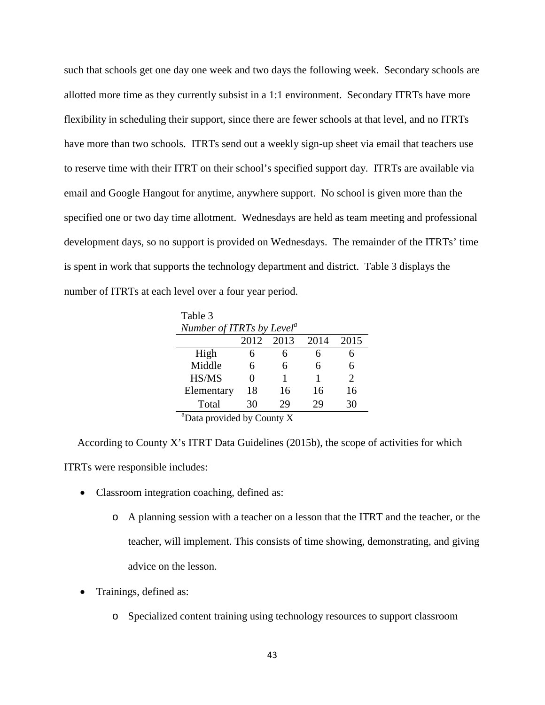such that schools get one day one week and two days the following week. Secondary schools are allotted more time as they currently subsist in a 1:1 environment. Secondary ITRTs have more flexibility in scheduling their support, since there are fewer schools at that level, and no ITRTs have more than two schools. ITRTs send out a weekly sign-up sheet via email that teachers use to reserve time with their ITRT on their school's specified support day. ITRTs are available via email and Google Hangout for anytime, anywhere support. No school is given more than the specified one or two day time allotment. Wednesdays are held as team meeting and professional development days, so no support is provided on Wednesdays. The remainder of the ITRTs' time is spent in work that supports the technology department and district. Table 3 displays the number of ITRTs at each level over a four year period.

Table 3 *Number of ITRTs by Level<sup>a</sup>* 2012 2013 2014 2015 High 6 6 6 6 Middle 6 6 6 6 HS/MS 0 1 1 2 Elementary 18 16 16 16 Total 30 29 29 30

<u>a a shekara ta 1999</u>  $\alpha$ <sup>a</sup>Data provided by County X

 According to County X's ITRT Data Guidelines (2015b), the scope of activities for which ITRTs were responsible includes:

- Classroom integration coaching, defined as:
	- o A planning session with a teacher on a lesson that the ITRT and the teacher, or the teacher, will implement. This consists of time showing, demonstrating, and giving advice on the lesson.
- Trainings, defined as:
	- o Specialized content training using technology resources to support classroom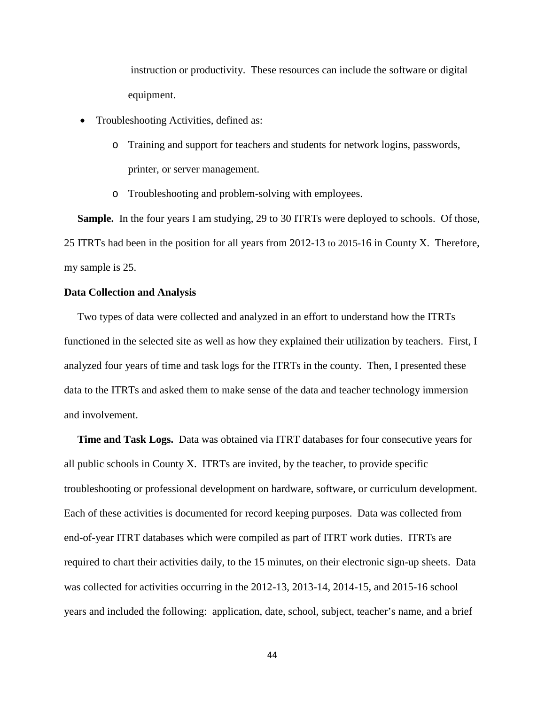instruction or productivity. These resources can include the software or digital equipment.

- Troubleshooting Activities, defined as:
	- o Training and support for teachers and students for network logins, passwords, printer, or server management.
	- o Troubleshooting and problem-solving with employees.

 **Sample.** In the four years I am studying, 29 to 30 ITRTs were deployed to schools. Of those, 25 ITRTs had been in the position for all years from 2012-13 to 2015-16 in County X. Therefore, my sample is 25.

#### **Data Collection and Analysis**

Two types of data were collected and analyzed in an effort to understand how the ITRTs functioned in the selected site as well as how they explained their utilization by teachers. First, I analyzed four years of time and task logs for the ITRTs in the county. Then, I presented these data to the ITRTs and asked them to make sense of the data and teacher technology immersion and involvement.

 **Time and Task Logs.** Data was obtained via ITRT databases for four consecutive years for all public schools in County X. ITRTs are invited, by the teacher, to provide specific troubleshooting or professional development on hardware, software, or curriculum development. Each of these activities is documented for record keeping purposes. Data was collected from end-of-year ITRT databases which were compiled as part of ITRT work duties. ITRTs are required to chart their activities daily, to the 15 minutes, on their electronic sign-up sheets. Data was collected for activities occurring in the 2012-13, 2013-14, 2014-15, and 2015-16 school years and included the following: application, date, school, subject, teacher's name, and a brief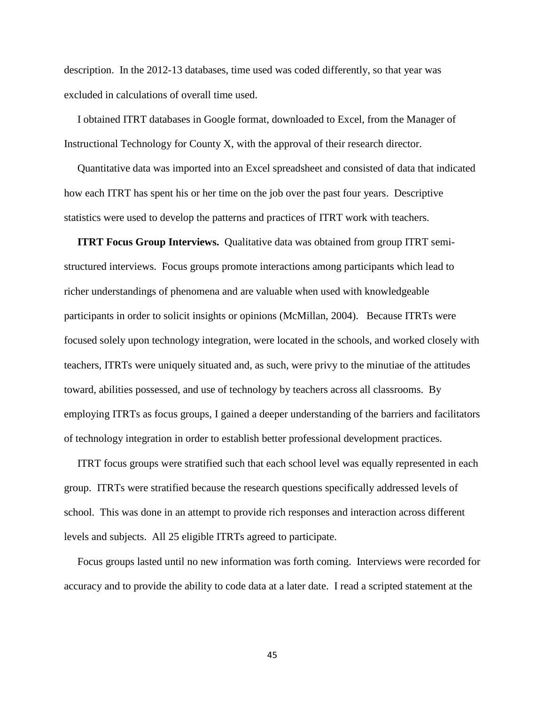description. In the 2012-13 databases, time used was coded differently, so that year was excluded in calculations of overall time used.

 I obtained ITRT databases in Google format, downloaded to Excel, from the Manager of Instructional Technology for County X, with the approval of their research director.

 Quantitative data was imported into an Excel spreadsheet and consisted of data that indicated how each ITRT has spent his or her time on the job over the past four years. Descriptive statistics were used to develop the patterns and practices of ITRT work with teachers.

 **ITRT Focus Group Interviews.** Qualitative data was obtained from group ITRT semistructured interviews. Focus groups promote interactions among participants which lead to richer understandings of phenomena and are valuable when used with knowledgeable participants in order to solicit insights or opinions (McMillan, 2004). Because ITRTs were focused solely upon technology integration, were located in the schools, and worked closely with teachers, ITRTs were uniquely situated and, as such, were privy to the minutiae of the attitudes toward, abilities possessed, and use of technology by teachers across all classrooms. By employing ITRTs as focus groups, I gained a deeper understanding of the barriers and facilitators of technology integration in order to establish better professional development practices.

 ITRT focus groups were stratified such that each school level was equally represented in each group. ITRTs were stratified because the research questions specifically addressed levels of school. This was done in an attempt to provide rich responses and interaction across different levels and subjects. All 25 eligible ITRTs agreed to participate.

 Focus groups lasted until no new information was forth coming. Interviews were recorded for accuracy and to provide the ability to code data at a later date. I read a scripted statement at the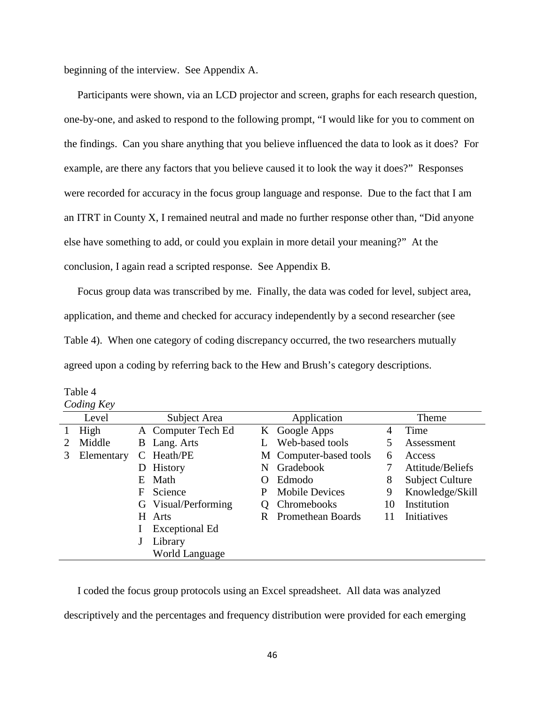beginning of the interview. See Appendix A.

 Participants were shown, via an LCD projector and screen, graphs for each research question, one-by-one, and asked to respond to the following prompt, "I would like for you to comment on the findings. Can you share anything that you believe influenced the data to look as it does? For example, are there any factors that you believe caused it to look the way it does?" Responses were recorded for accuracy in the focus group language and response. Due to the fact that I am an ITRT in County X, I remained neutral and made no further response other than, "Did anyone else have something to add, or could you explain in more detail your meaning?" At the conclusion, I again read a scripted response. See Appendix B.

 Focus group data was transcribed by me. Finally, the data was coded for level, subject area, application, and theme and checked for accuracy independently by a second researcher (see Table 4). When one category of coding discrepancy occurred, the two researchers mutually agreed upon a coding by referring back to the Hew and Brush's category descriptions.

|   | Coding Key |                             |                       |           |                          |       |                        |  |
|---|------------|-----------------------------|-----------------------|-----------|--------------------------|-------|------------------------|--|
|   | Level      | Subject Area<br>Application |                       |           |                          | Theme |                        |  |
|   | High       |                             | A Computer Tech Ed    |           | K Google Apps            | 4     | Time                   |  |
|   | Middle     | B                           | Lang. Arts            |           | Web-based tools          | 5     | Assessment             |  |
| 3 | Elementary |                             | Heath/PE              |           | M Computer-based tools   | 6     | Access                 |  |
|   |            | D                           | History               | N         | Gradebook                |       | Attitude/Beliefs       |  |
|   |            | E                           | Math                  | $\lambda$ | Edmodo                   |       | <b>Subject Culture</b> |  |
|   |            | F                           | Science               | P         | <b>Mobile Devices</b>    | 9     | Knowledge/Skill        |  |
|   |            | G                           | Visual/Performing     |           | Chromebooks              | 10    | Institution            |  |
|   |            |                             | H Arts                | R         | <b>Promethean Boards</b> | 11    | Initiatives            |  |
|   |            |                             | <b>Exceptional Ed</b> |           |                          |       |                        |  |
|   |            |                             | Library               |           |                          |       |                        |  |
|   |            |                             | <b>World Language</b> |           |                          |       |                        |  |

Table 4  $C_{\alpha}$   $\mu$ 

 I coded the focus group protocols using an Excel spreadsheet. All data was analyzed descriptively and the percentages and frequency distribution were provided for each emerging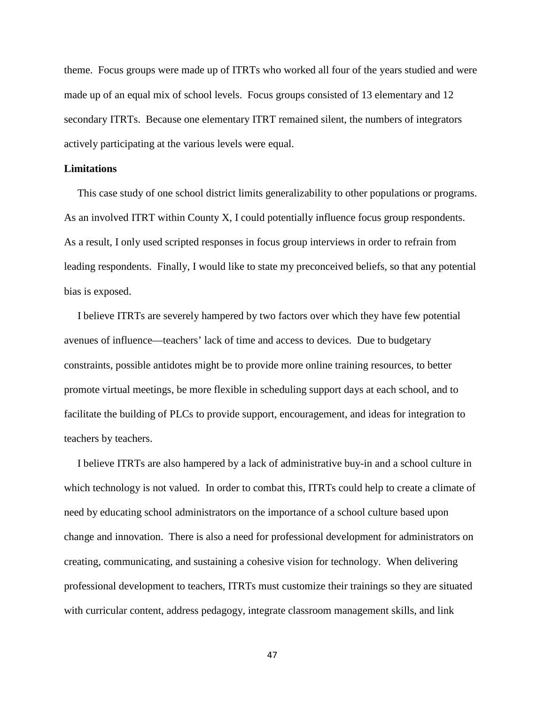theme. Focus groups were made up of ITRTs who worked all four of the years studied and were made up of an equal mix of school levels. Focus groups consisted of 13 elementary and 12 secondary ITRTs. Because one elementary ITRT remained silent, the numbers of integrators actively participating at the various levels were equal.

#### **Limitations**

 This case study of one school district limits generalizability to other populations or programs. As an involved ITRT within County X, I could potentially influence focus group respondents. As a result, I only used scripted responses in focus group interviews in order to refrain from leading respondents. Finally, I would like to state my preconceived beliefs, so that any potential bias is exposed.

 I believe ITRTs are severely hampered by two factors over which they have few potential avenues of influence—teachers' lack of time and access to devices. Due to budgetary constraints, possible antidotes might be to provide more online training resources, to better promote virtual meetings, be more flexible in scheduling support days at each school, and to facilitate the building of PLCs to provide support, encouragement, and ideas for integration to teachers by teachers.

 I believe ITRTs are also hampered by a lack of administrative buy-in and a school culture in which technology is not valued. In order to combat this, ITRTs could help to create a climate of need by educating school administrators on the importance of a school culture based upon change and innovation. There is also a need for professional development for administrators on creating, communicating, and sustaining a cohesive vision for technology. When delivering professional development to teachers, ITRTs must customize their trainings so they are situated with curricular content, address pedagogy, integrate classroom management skills, and link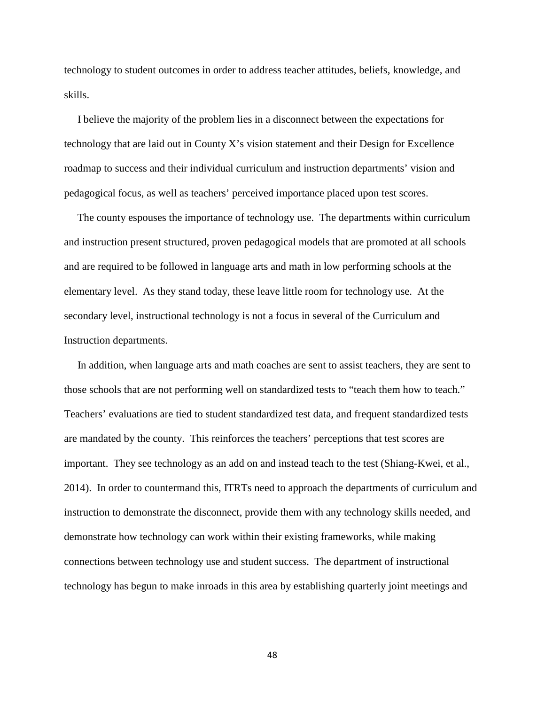technology to student outcomes in order to address teacher attitudes, beliefs, knowledge, and skills.

 I believe the majority of the problem lies in a disconnect between the expectations for technology that are laid out in County X's vision statement and their Design for Excellence roadmap to success and their individual curriculum and instruction departments' vision and pedagogical focus, as well as teachers' perceived importance placed upon test scores.

 The county espouses the importance of technology use. The departments within curriculum and instruction present structured, proven pedagogical models that are promoted at all schools and are required to be followed in language arts and math in low performing schools at the elementary level. As they stand today, these leave little room for technology use. At the secondary level, instructional technology is not a focus in several of the Curriculum and Instruction departments.

 In addition, when language arts and math coaches are sent to assist teachers, they are sent to those schools that are not performing well on standardized tests to "teach them how to teach." Teachers' evaluations are tied to student standardized test data, and frequent standardized tests are mandated by the county. This reinforces the teachers' perceptions that test scores are important. They see technology as an add on and instead teach to the test (Shiang-Kwei, et al., 2014). In order to countermand this, ITRTs need to approach the departments of curriculum and instruction to demonstrate the disconnect, provide them with any technology skills needed, and demonstrate how technology can work within their existing frameworks, while making connections between technology use and student success. The department of instructional technology has begun to make inroads in this area by establishing quarterly joint meetings and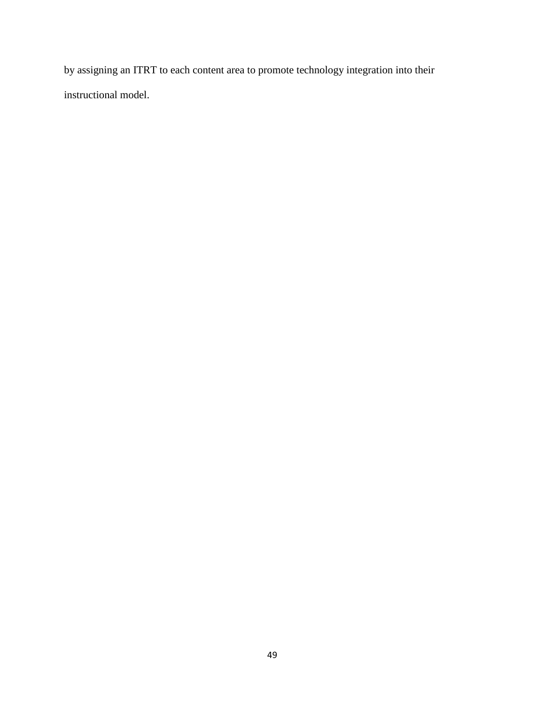by assigning an ITRT to each content area to promote technology integration into their instructional model.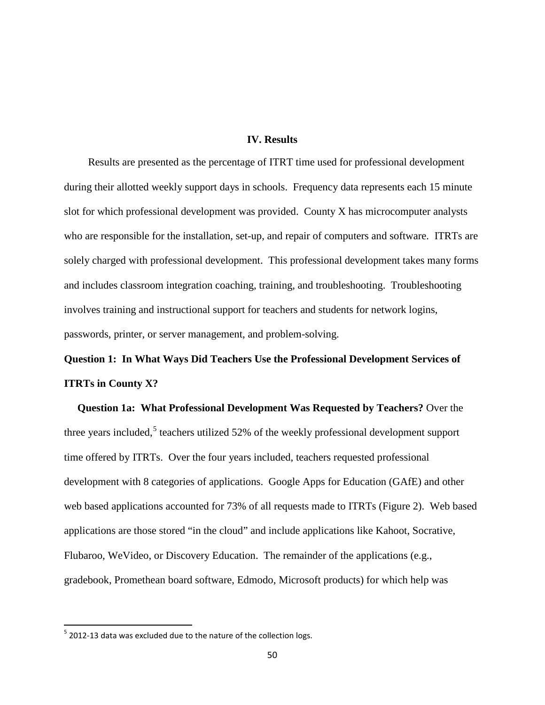#### **IV. Results**

Results are presented as the percentage of ITRT time used for professional development during their allotted weekly support days in schools. Frequency data represents each 15 minute slot for which professional development was provided. County X has microcomputer analysts who are responsible for the installation, set-up, and repair of computers and software. ITRTs are solely charged with professional development. This professional development takes many forms and includes classroom integration coaching, training, and troubleshooting. Troubleshooting involves training and instructional support for teachers and students for network logins, passwords, printer, or server management, and problem-solving.

# **Question 1: In What Ways Did Teachers Use the Professional Development Services of ITRTs in County X?**

 **Question 1a: What Professional Development Was Requested by Teachers?** Over the three years included,<sup>[5](#page-61-0)</sup> teachers utilized 52% of the weekly professional development support time offered by ITRTs. Over the four years included, teachers requested professional development with 8 categories of applications. Google Apps for Education (GAfE) and other web based applications accounted for 73% of all requests made to ITRTs (Figure 2). Web based applications are those stored "in the cloud" and include applications like Kahoot, Socrative, Flubaroo, WeVideo, or Discovery Education. The remainder of the applications (e.g., gradebook, Promethean board software, Edmodo, Microsoft products) for which help was

<span id="page-61-0"></span> $5$  2012-13 data was excluded due to the nature of the collection logs.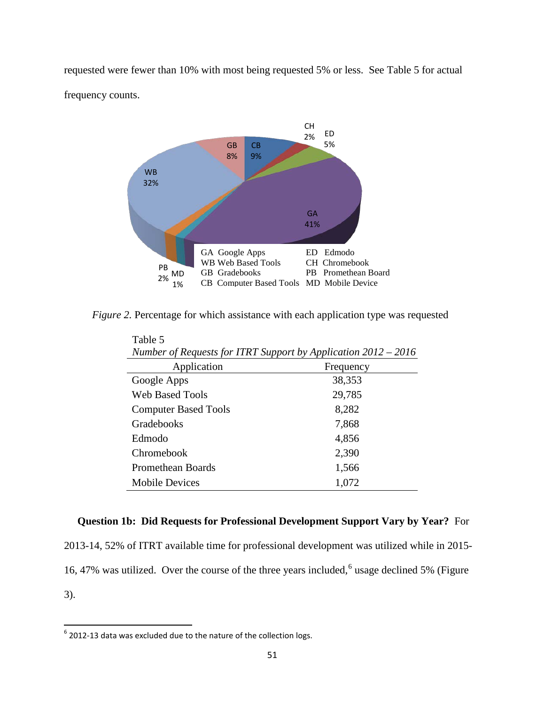requested were fewer than 10% with most being requested 5% or less. See Table 5 for actual frequency counts.



*Figure 2.* Percentage for which assistance with each application type was requested

| Number of Requests for ITRT Support by Application $2012 - 2016$ |           |  |  |  |
|------------------------------------------------------------------|-----------|--|--|--|
| Application                                                      | Frequency |  |  |  |
| Google Apps                                                      | 38,353    |  |  |  |
| <b>Web Based Tools</b>                                           | 29,785    |  |  |  |
| <b>Computer Based Tools</b>                                      | 8,282     |  |  |  |
| Gradebooks                                                       | 7,868     |  |  |  |
| Edmodo                                                           | 4,856     |  |  |  |
| Chromebook                                                       | 2,390     |  |  |  |
| <b>Promethean Boards</b>                                         | 1,566     |  |  |  |
| <b>Mobile Devices</b>                                            | 1,072     |  |  |  |

Table 5

# **Question 1b: Did Requests for Professional Development Support Vary by Year?** For

2013-14, 52% of ITRT available time for professional development was utilized while in 2015- 1[6](#page-62-0), 47% was utilized. Over the course of the three years included,<sup>6</sup> usage declined 5% (Figure 3).

<span id="page-62-0"></span> $6$  2012-13 data was excluded due to the nature of the collection logs.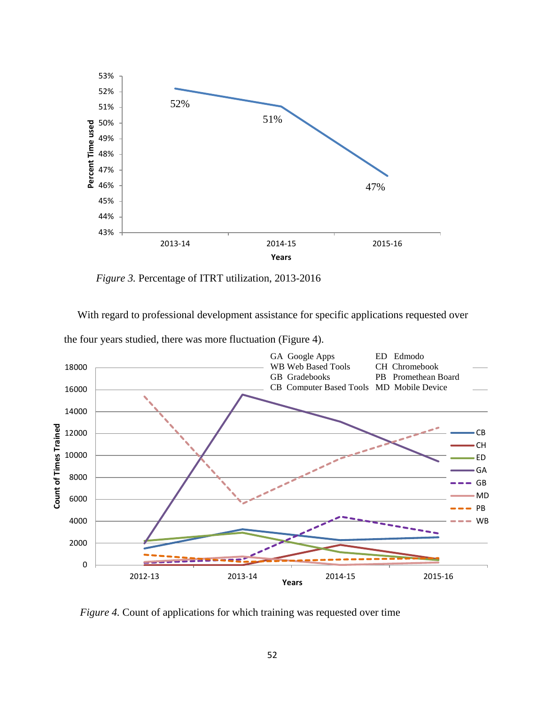

*Figure 3.* Percentage of ITRT utilization, 2013-2016

With regard to professional development assistance for specific applications requested over



*Figure 4.* Count of applications for which training was requested over time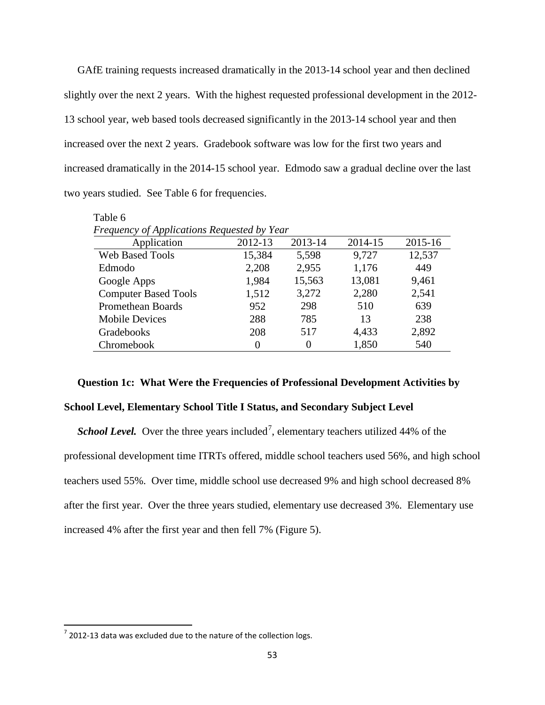GAfE training requests increased dramatically in the 2013-14 school year and then declined slightly over the next 2 years. With the highest requested professional development in the 2012- 13 school year, web based tools decreased significantly in the 2013-14 school year and then increased over the next 2 years. Gradebook software was low for the first two years and increased dramatically in the 2014-15 school year. Edmodo saw a gradual decline over the last two years studied. See Table 6 for frequencies.

| Table 6                                     |         |          |         |         |
|---------------------------------------------|---------|----------|---------|---------|
| Frequency of Applications Requested by Year |         |          |         |         |
| Application                                 | 2012-13 | 2013-14  | 2014-15 | 2015-16 |
| <b>Web Based Tools</b>                      | 15,384  | 5,598    | 9,727   | 12,537  |
| Edmodo                                      | 2,208   | 2,955    | 1,176   | 449     |
| Google Apps                                 | 1,984   | 15,563   | 13,081  | 9,461   |
| <b>Computer Based Tools</b>                 | 1,512   | 3,272    | 2,280   | 2,541   |
| Promethean Boards                           | 952     | 298      | 510     | 639     |
| <b>Mobile Devices</b>                       | 288     | 785      | 13      | 238     |
| Gradebooks                                  | 208     | 517      | 4,433   | 2,892   |
| Chromebook                                  |         | $\Omega$ | 1,850   | 540     |

#### **Question 1c: What Were the Frequencies of Professional Development Activities by**

# **School Level, Elementary School Title I Status, and Secondary Subject Level**

*School Level.* Over the three years included<sup>[7](#page-64-0)</sup>, elementary teachers utilized 44% of the professional development time ITRTs offered, middle school teachers used 56%, and high school teachers used 55%. Over time, middle school use decreased 9% and high school decreased 8% after the first year. Over the three years studied, elementary use decreased 3%. Elementary use increased 4% after the first year and then fell 7% (Figure 5).

<span id="page-64-0"></span> $7$  2012-13 data was excluded due to the nature of the collection logs.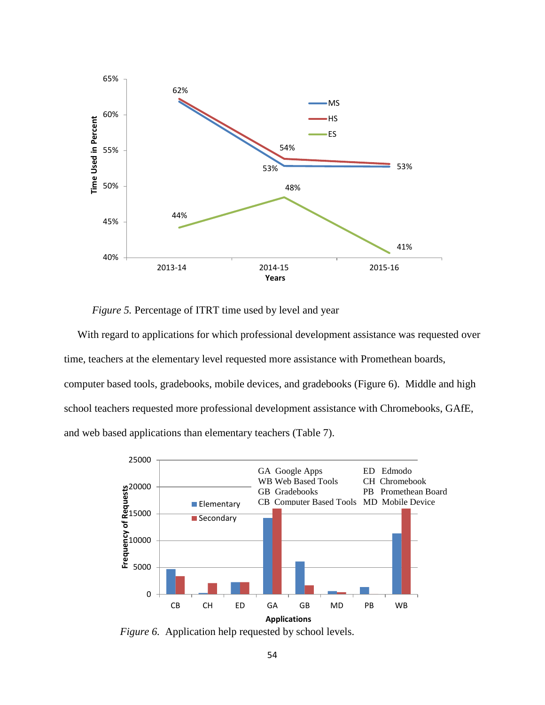

*Figure 5.* Percentage of ITRT time used by level and year

 With regard to applications for which professional development assistance was requested over time, teachers at the elementary level requested more assistance with Promethean boards, computer based tools, gradebooks, mobile devices, and gradebooks (Figure 6). Middle and high school teachers requested more professional development assistance with Chromebooks, GAfE, and web based applications than elementary teachers (Table 7).



*Figure 6.* Application help requested by school levels.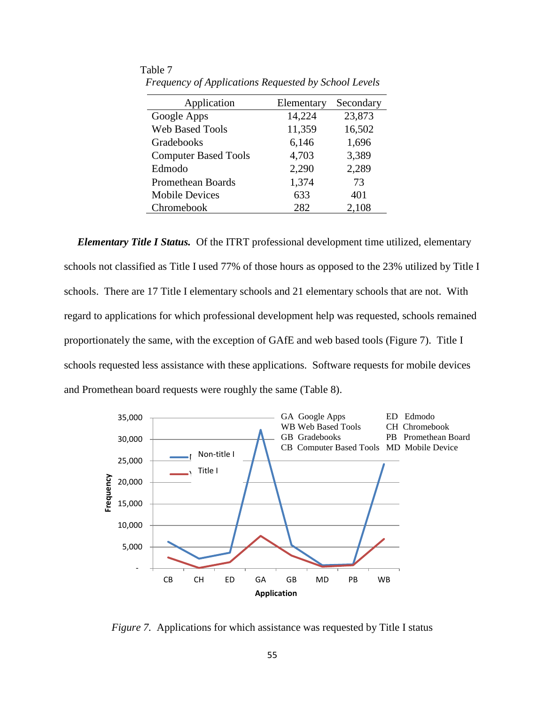| Application                 | Elementary | Secondary |
|-----------------------------|------------|-----------|
| Google Apps                 | 14,224     | 23,873    |
| <b>Web Based Tools</b>      | 11,359     | 16,502    |
| Gradebooks                  | 6,146      | 1,696     |
| <b>Computer Based Tools</b> | 4,703      | 3,389     |
| Edmodo                      | 2,290      | 2,289     |
| <b>Promethean Boards</b>    | 1,374      | 73        |
| <b>Mobile Devices</b>       | 633        | 401       |
| Chromebook                  | 282        | 2,108     |

Table 7  *Frequency of Applications Requested by School Levels*

*Elementary Title I Status.* Of the ITRT professional development time utilized, elementary schools not classified as Title I used 77% of those hours as opposed to the 23% utilized by Title I schools. There are 17 Title I elementary schools and 21 elementary schools that are not. With regard to applications for which professional development help was requested, schools remained proportionately the same, with the exception of GAfE and web based tools (Figure 7). Title I schools requested less assistance with these applications. Software requests for mobile devices and Promethean board requests were roughly the same (Table 8).



*Figure 7.* Applications for which assistance was requested by Title I status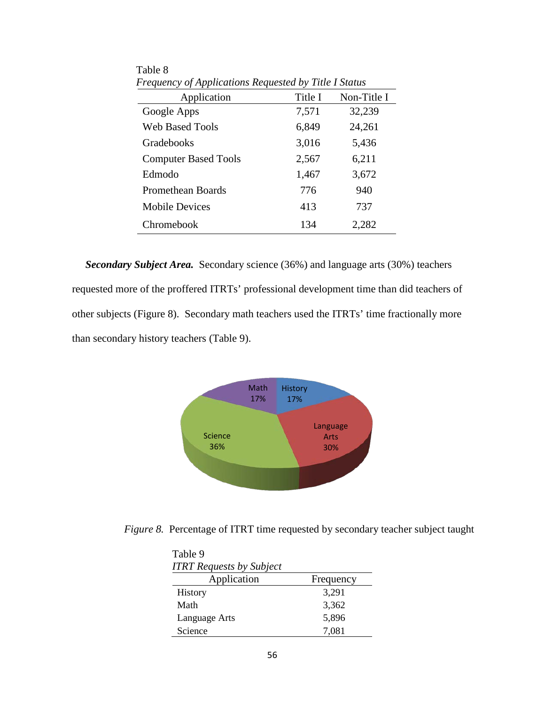| Application                 | Title I | Non-Title I |
|-----------------------------|---------|-------------|
| Google Apps                 | 7,571   | 32,239      |
| <b>Web Based Tools</b>      | 6,849   | 24,261      |
| Gradebooks                  | 3,016   | 5,436       |
| <b>Computer Based Tools</b> | 2,567   | 6,211       |
| Edmodo                      | 1,467   | 3,672       |
| <b>Promethean Boards</b>    | 776     | 940         |
| <b>Mobile Devices</b>       | 413     | 737         |
| Chromebook                  | 134     | 2,282       |

Table 8<br>Frequen *Frequency of Applications Requested by Title I Status*

 *Secondary Subject Area.*Secondary science (36%) and language arts (30%) teachers requested more of the proffered ITRTs' professional development time than did teachers of other subjects (Figure 8). Secondary math teachers used the ITRTs' time fractionally more than secondary history teachers (Table 9).



*Figure 8.* Percentage of ITRT time requested by secondary teacher subject taught

| Table 9<br><b>ITRT</b> Requests by Subject |           |
|--------------------------------------------|-----------|
| Application                                | Frequency |
| <b>History</b>                             | 3,291     |
| Math                                       | 3,362     |
| Language Arts                              | 5,896     |
| Science                                    | 7,081     |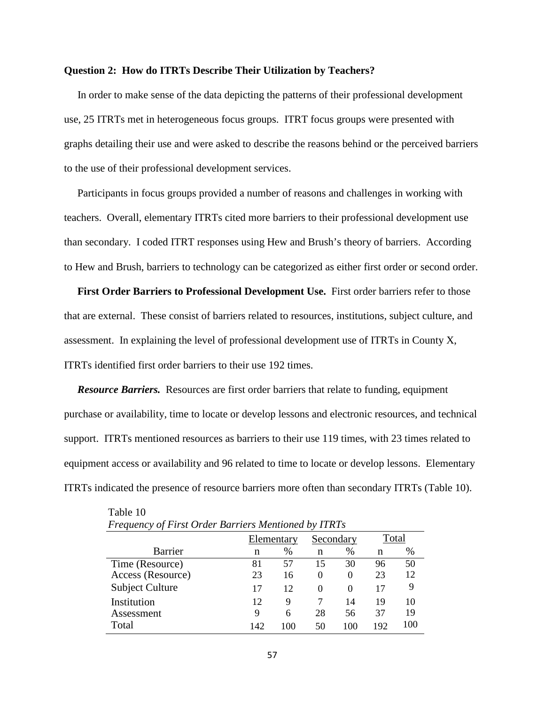#### **Question 2: How do ITRTs Describe Their Utilization by Teachers?**

In order to make sense of the data depicting the patterns of their professional development use, 25 ITRTs met in heterogeneous focus groups. ITRT focus groups were presented with graphs detailing their use and were asked to describe the reasons behind or the perceived barriers to the use of their professional development services.

 Participants in focus groups provided a number of reasons and challenges in working with teachers. Overall, elementary ITRTs cited more barriers to their professional development use than secondary. I coded ITRT responses using Hew and Brush's theory of barriers. According to Hew and Brush, barriers to technology can be categorized as either first order or second order.

 **First Order Barriers to Professional Development Use.** First order barriers refer to those that are external. These consist of barriers related to resources, institutions, subject culture, and assessment. In explaining the level of professional development use of ITRTs in County X, ITRTs identified first order barriers to their use 192 times.

*Resource Barriers.* Resources are first order barriers that relate to funding, equipment purchase or availability, time to locate or develop lessons and electronic resources, and technical support. ITRTs mentioned resources as barriers to their use 119 times, with 23 times related to equipment access or availability and 96 related to time to locate or develop lessons. Elementary ITRTs indicated the presence of resource barriers more often than secondary ITRTs (Table 10).

| Trequency of First Order Duriters mentioned by HATS |            |      |           |          |       |     |  |
|-----------------------------------------------------|------------|------|-----------|----------|-------|-----|--|
|                                                     | Elementary |      | Secondary |          | Total |     |  |
| <b>Barrier</b>                                      | n          | $\%$ | n         | $\%$     | n     | %   |  |
| Time (Resource)                                     | 81         | 57   | 15        | 30       | 96    | 50  |  |
| Access (Resource)                                   | 23         | 16   | $\theta$  | $\theta$ | 23    | 12  |  |
| Subject Culture                                     | 17         | 12   | $\theta$  | $\theta$ | 17    | 9   |  |
| Institution                                         | 12         | 9    |           | 14       | 19    | 10  |  |
| Assessment                                          | 9          | 6    | 28        | 56       | 37    | 19  |  |
| Total                                               | 142        | 100  | 50        | 100      | 192   | 100 |  |

Table 10 *Frequency of First Order Barriers Mentioned by ITRTs*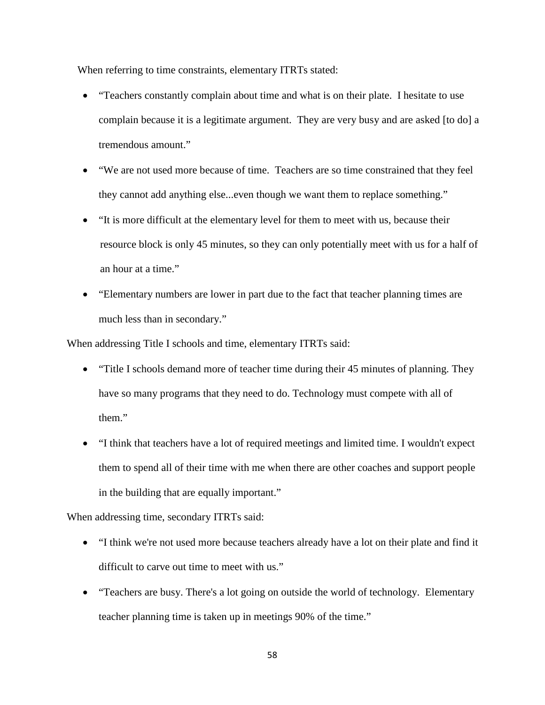When referring to time constraints, elementary ITRTs stated:

- "Teachers constantly complain about time and what is on their plate. I hesitate to use complain because it is a legitimate argument. They are very busy and are asked [to do] a tremendous amount."
- "We are not used more because of time. Teachers are so time constrained that they feel they cannot add anything else...even though we want them to replace something."
- "It is more difficult at the elementary level for them to meet with us, because their resource block is only 45 minutes, so they can only potentially meet with us for a half of an hour at a time."
- "Elementary numbers are lower in part due to the fact that teacher planning times are much less than in secondary."

When addressing Title I schools and time, elementary ITRTs said:

- "Title I schools demand more of teacher time during their 45 minutes of planning. They have so many programs that they need to do. Technology must compete with all of them."
- "I think that teachers have a lot of required meetings and limited time. I wouldn't expect them to spend all of their time with me when there are other coaches and support people in the building that are equally important."

When addressing time, secondary ITRTs said:

- "I think we're not used more because teachers already have a lot on their plate and find it difficult to carve out time to meet with us."
- "Teachers are busy. There's a lot going on outside the world of technology. Elementary teacher planning time is taken up in meetings 90% of the time."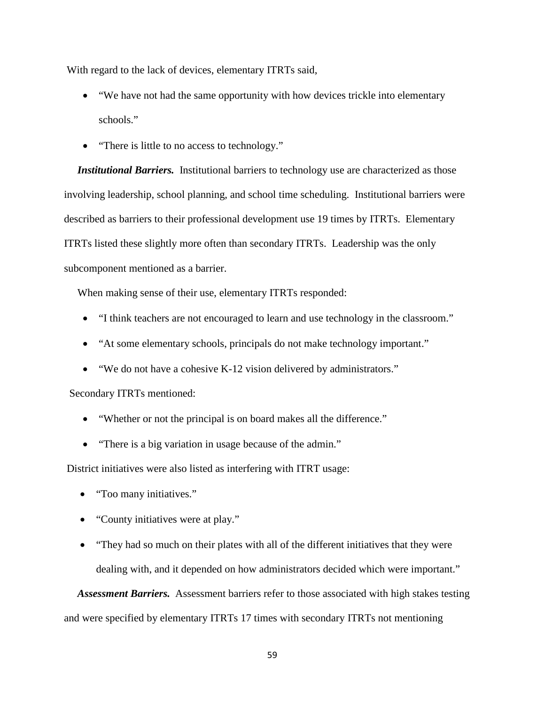With regard to the lack of devices, elementary ITRTs said,

- "We have not had the same opportunity with how devices trickle into elementary schools."
- "There is little to no access to technology."

**Institutional Barriers.** Institutional barriers to technology use are characterized as those involving leadership, school planning, and school time scheduling. Institutional barriers were described as barriers to their professional development use 19 times by ITRTs. Elementary ITRTs listed these slightly more often than secondary ITRTs. Leadership was the only subcomponent mentioned as a barrier.

When making sense of their use, elementary ITRTs responded:

- "I think teachers are not encouraged to learn and use technology in the classroom."
- "At some elementary schools, principals do not make technology important."
- "We do not have a cohesive K-12 vision delivered by administrators."

Secondary ITRTs mentioned:

- "Whether or not the principal is on board makes all the difference."
- "There is a big variation in usage because of the admin."

District initiatives were also listed as interfering with ITRT usage:

- "Too many initiatives."
- "County initiatives were at play."
- "They had so much on their plates with all of the different initiatives that they were dealing with, and it depended on how administrators decided which were important."

 *Assessment Barriers.* Assessment barriers refer to those associated with high stakes testing and were specified by elementary ITRTs 17 times with secondary ITRTs not mentioning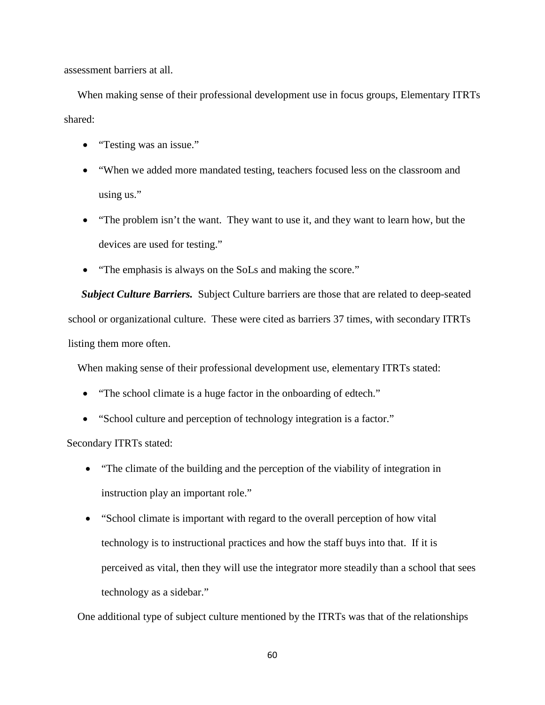assessment barriers at all.

 When making sense of their professional development use in focus groups, Elementary ITRTs shared:

- "Testing was an issue."
- "When we added more mandated testing, teachers focused less on the classroom and using us."
- "The problem isn't the want. They want to use it, and they want to learn how, but the devices are used for testing."
- "The emphasis is always on the SoLs and making the score."

 *Subject Culture Barriers.* Subject Culture barriers are those that are related to deep-seated school or organizational culture. These were cited as barriers 37 times, with secondary ITRTs listing them more often.

When making sense of their professional development use, elementary ITRTs stated:

- "The school climate is a huge factor in the onboarding of edtech."
- "School culture and perception of technology integration is a factor."

Secondary ITRTs stated:

- "The climate of the building and the perception of the viability of integration in instruction play an important role."
- "School climate is important with regard to the overall perception of how vital technology is to instructional practices and how the staff buys into that. If it is perceived as vital, then they will use the integrator more steadily than a school that sees technology as a sidebar."

One additional type of subject culture mentioned by the ITRTs was that of the relationships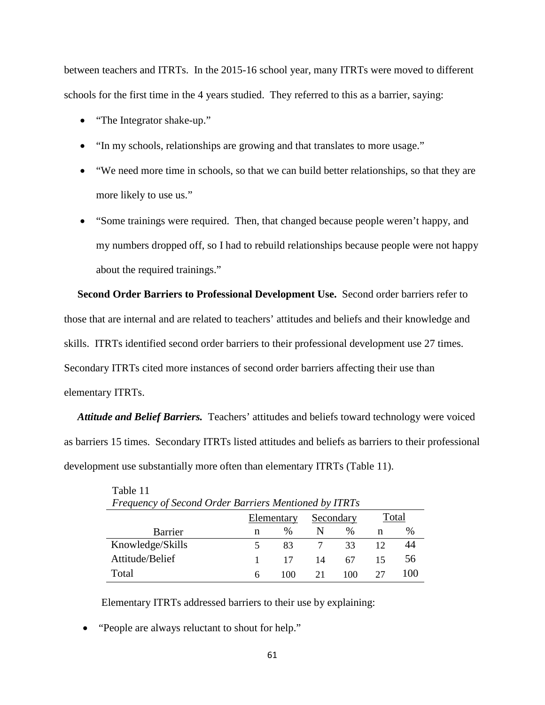between teachers and ITRTs. In the 2015-16 school year, many ITRTs were moved to different schools for the first time in the 4 years studied. They referred to this as a barrier, saying:

- "The Integrator shake-up."
- "In my schools, relationships are growing and that translates to more usage."
- "We need more time in schools, so that we can build better relationships, so that they are more likely to use us."
- "Some trainings were required. Then, that changed because people weren't happy, and my numbers dropped off, so I had to rebuild relationships because people were not happy about the required trainings."

 **Second Order Barriers to Professional Development Use.** Second order barriers refer to those that are internal and are related to teachers' attitudes and beliefs and their knowledge and skills. ITRTs identified second order barriers to their professional development use 27 times. Secondary ITRTs cited more instances of second order barriers affecting their use than elementary ITRTs.

 *Attitude and Belief Barriers.* Teachers' attitudes and beliefs toward technology were voiced as barriers 15 times. Secondary ITRTs listed attitudes and beliefs as barriers to their professional development use substantially more often than elementary ITRTs (Table 11).

| Frequency of Second Order Barriers Mentioned by ITRTs |            |               |           |               |       |      |
|-------------------------------------------------------|------------|---------------|-----------|---------------|-------|------|
|                                                       | Elementary |               | Secondary |               | Total |      |
| <b>Barrier</b>                                        | n          | $\frac{0}{0}$ |           | $\frac{0}{0}$ | n     | $\%$ |
| Knowledge/Skills                                      |            | 83            |           | 33            |       | 44   |
| Attitude/Belief                                       |            | 17            | 14        | 67            |       | 56   |
| Total                                                 | 6          | 100           | 21        | 100           |       |      |

Table 11

Elementary ITRTs addressed barriers to their use by explaining:

• "People are always reluctant to shout for help."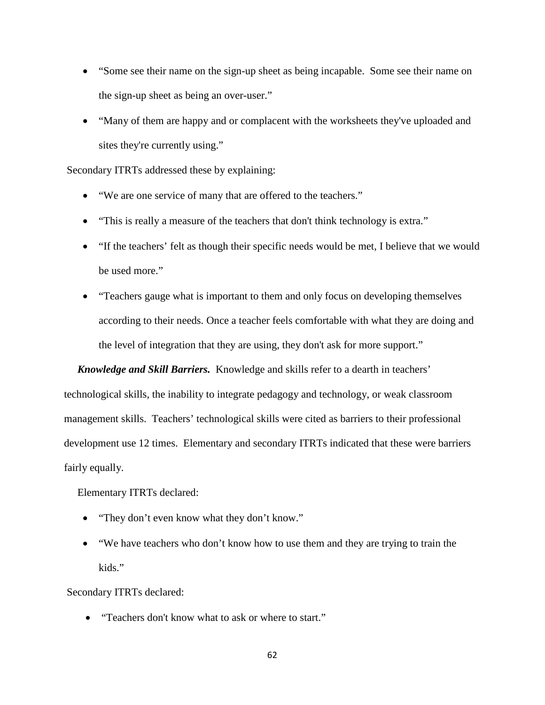- "Some see their name on the sign-up sheet as being incapable. Some see their name on the sign-up sheet as being an over-user."
- "Many of them are happy and or complacent with the worksheets they've uploaded and sites they're currently using."

Secondary ITRTs addressed these by explaining:

- "We are one service of many that are offered to the teachers."
- "This is really a measure of the teachers that don't think technology is extra."
- "If the teachers' felt as though their specific needs would be met, I believe that we would be used more."
- "Teachers gauge what is important to them and only focus on developing themselves according to their needs. Once a teacher feels comfortable with what they are doing and the level of integration that they are using, they don't ask for more support."

 *Knowledge and Skill Barriers.* Knowledge and skills refer to a dearth in teachers' technological skills, the inability to integrate pedagogy and technology, or weak classroom management skills. Teachers' technological skills were cited as barriers to their professional development use 12 times. Elementary and secondary ITRTs indicated that these were barriers fairly equally.

Elementary ITRTs declared:

- "They don't even know what they don't know."
- "We have teachers who don't know how to use them and they are trying to train the kids."

Secondary ITRTs declared:

• "Teachers don't know what to ask or where to start."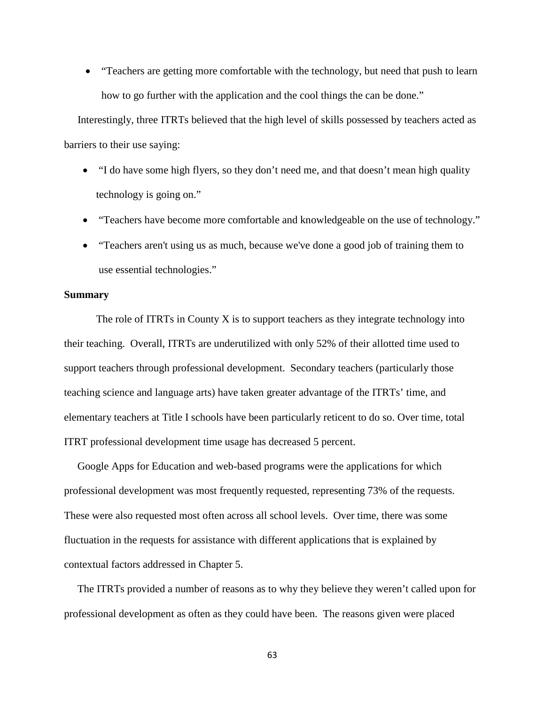• "Teachers are getting more comfortable with the technology, but need that push to learn how to go further with the application and the cool things the can be done."

 Interestingly, three ITRTs believed that the high level of skills possessed by teachers acted as barriers to their use saying:

- "I do have some high flyers, so they don't need me, and that doesn't mean high quality technology is going on."
- "Teachers have become more comfortable and knowledgeable on the use of technology."
- "Teachers aren't using us as much, because we've done a good job of training them to use essential technologies."

# **Summary**

The role of ITRTs in County X is to support teachers as they integrate technology into their teaching. Overall, ITRTs are underutilized with only 52% of their allotted time used to support teachers through professional development. Secondary teachers (particularly those teaching science and language arts) have taken greater advantage of the ITRTs' time, and elementary teachers at Title I schools have been particularly reticent to do so. Over time, total ITRT professional development time usage has decreased 5 percent.

 Google Apps for Education and web-based programs were the applications for which professional development was most frequently requested, representing 73% of the requests. These were also requested most often across all school levels. Over time, there was some fluctuation in the requests for assistance with different applications that is explained by contextual factors addressed in Chapter 5.

 The ITRTs provided a number of reasons as to why they believe they weren't called upon for professional development as often as they could have been. The reasons given were placed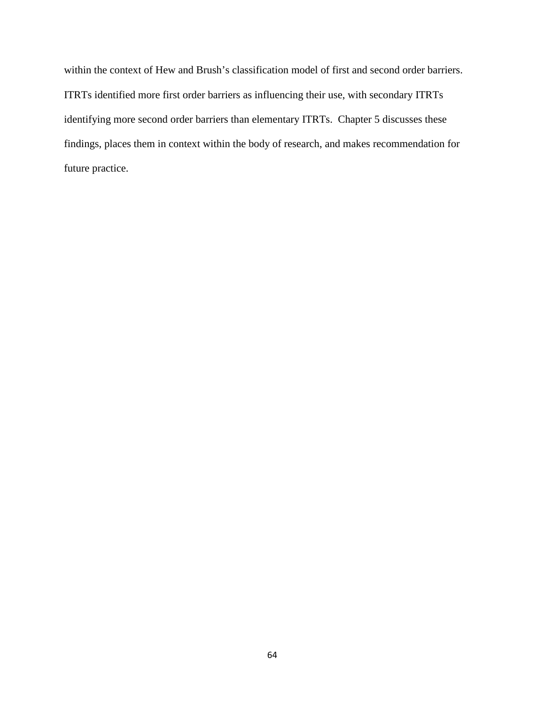within the context of Hew and Brush's classification model of first and second order barriers. ITRTs identified more first order barriers as influencing their use, with secondary ITRTs identifying more second order barriers than elementary ITRTs. Chapter 5 discusses these findings, places them in context within the body of research, and makes recommendation for future practice.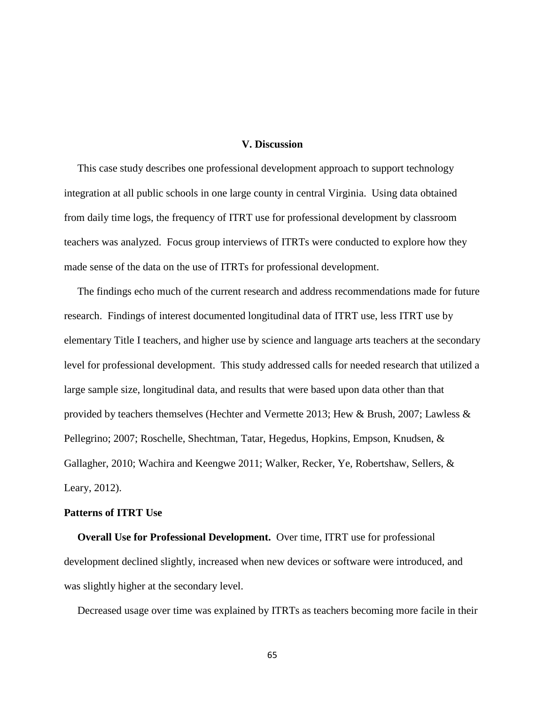# **V. Discussion**

 This case study describes one professional development approach to support technology integration at all public schools in one large county in central Virginia. Using data obtained from daily time logs, the frequency of ITRT use for professional development by classroom teachers was analyzed. Focus group interviews of ITRTs were conducted to explore how they made sense of the data on the use of ITRTs for professional development.

 The findings echo much of the current research and address recommendations made for future research. Findings of interest documented longitudinal data of ITRT use, less ITRT use by elementary Title I teachers, and higher use by science and language arts teachers at the secondary level for professional development. This study addressed calls for needed research that utilized a large sample size, longitudinal data, and results that were based upon data other than that provided by teachers themselves (Hechter and Vermette 2013; Hew & Brush, 2007; Lawless & Pellegrino; 2007; Roschelle, Shechtman, Tatar, Hegedus, Hopkins, Empson, Knudsen, & Gallagher, 2010; Wachira and Keengwe 2011; Walker, Recker, Ye, Robertshaw, Sellers, & Leary, 2012).

# **Patterns of ITRT Use**

 **Overall Use for Professional Development.** Over time, ITRT use for professional development declined slightly, increased when new devices or software were introduced, and was slightly higher at the secondary level.

Decreased usage over time was explained by ITRTs as teachers becoming more facile in their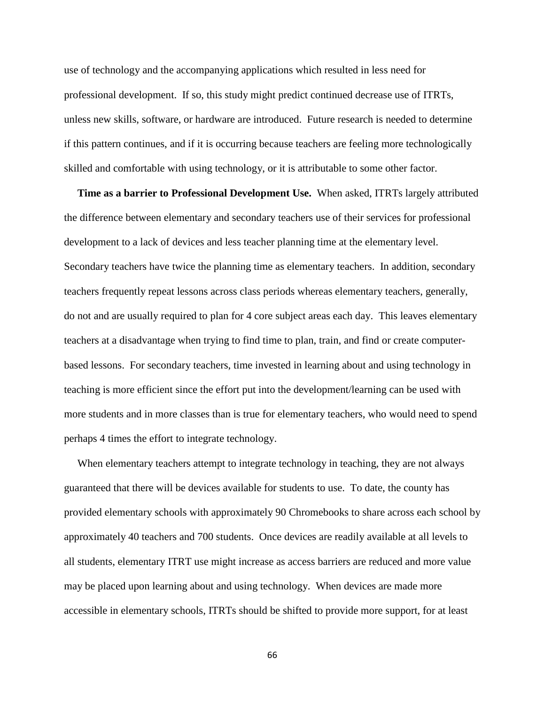use of technology and the accompanying applications which resulted in less need for professional development. If so, this study might predict continued decrease use of ITRTs, unless new skills, software, or hardware are introduced. Future research is needed to determine if this pattern continues, and if it is occurring because teachers are feeling more technologically skilled and comfortable with using technology, or it is attributable to some other factor.

 **Time as a barrier to Professional Development Use.** When asked, ITRTs largely attributed the difference between elementary and secondary teachers use of their services for professional development to a lack of devices and less teacher planning time at the elementary level. Secondary teachers have twice the planning time as elementary teachers. In addition, secondary teachers frequently repeat lessons across class periods whereas elementary teachers, generally, do not and are usually required to plan for 4 core subject areas each day. This leaves elementary teachers at a disadvantage when trying to find time to plan, train, and find or create computerbased lessons. For secondary teachers, time invested in learning about and using technology in teaching is more efficient since the effort put into the development/learning can be used with more students and in more classes than is true for elementary teachers, who would need to spend perhaps 4 times the effort to integrate technology.

 When elementary teachers attempt to integrate technology in teaching, they are not always guaranteed that there will be devices available for students to use. To date, the county has provided elementary schools with approximately 90 Chromebooks to share across each school by approximately 40 teachers and 700 students. Once devices are readily available at all levels to all students, elementary ITRT use might increase as access barriers are reduced and more value may be placed upon learning about and using technology. When devices are made more accessible in elementary schools, ITRTs should be shifted to provide more support, for at least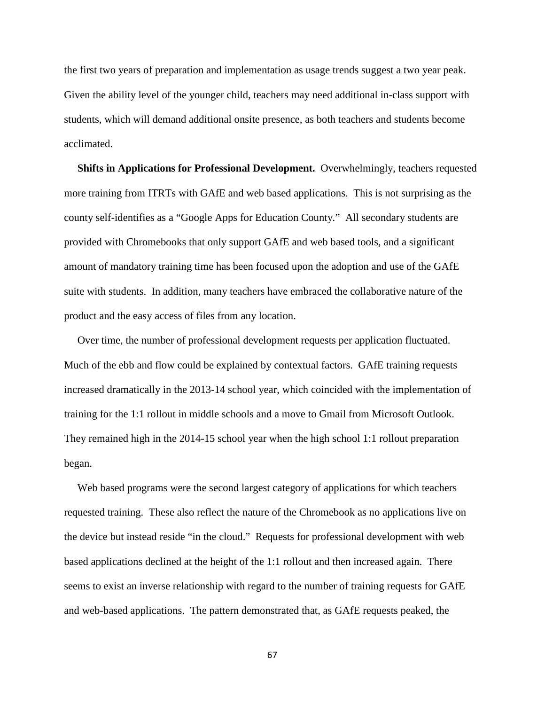the first two years of preparation and implementation as usage trends suggest a two year peak. Given the ability level of the younger child, teachers may need additional in-class support with students, which will demand additional onsite presence, as both teachers and students become acclimated.

 **Shifts in Applications for Professional Development.** Overwhelmingly, teachers requested more training from ITRTs with GAfE and web based applications. This is not surprising as the county self-identifies as a "Google Apps for Education County." All secondary students are provided with Chromebooks that only support GAfE and web based tools, and a significant amount of mandatory training time has been focused upon the adoption and use of the GAfE suite with students. In addition, many teachers have embraced the collaborative nature of the product and the easy access of files from any location.

 Over time, the number of professional development requests per application fluctuated. Much of the ebb and flow could be explained by contextual factors. GAfE training requests increased dramatically in the 2013-14 school year, which coincided with the implementation of training for the 1:1 rollout in middle schools and a move to Gmail from Microsoft Outlook. They remained high in the 2014-15 school year when the high school 1:1 rollout preparation began.

 Web based programs were the second largest category of applications for which teachers requested training. These also reflect the nature of the Chromebook as no applications live on the device but instead reside "in the cloud." Requests for professional development with web based applications declined at the height of the 1:1 rollout and then increased again. There seems to exist an inverse relationship with regard to the number of training requests for GAfE and web-based applications. The pattern demonstrated that, as GAfE requests peaked, the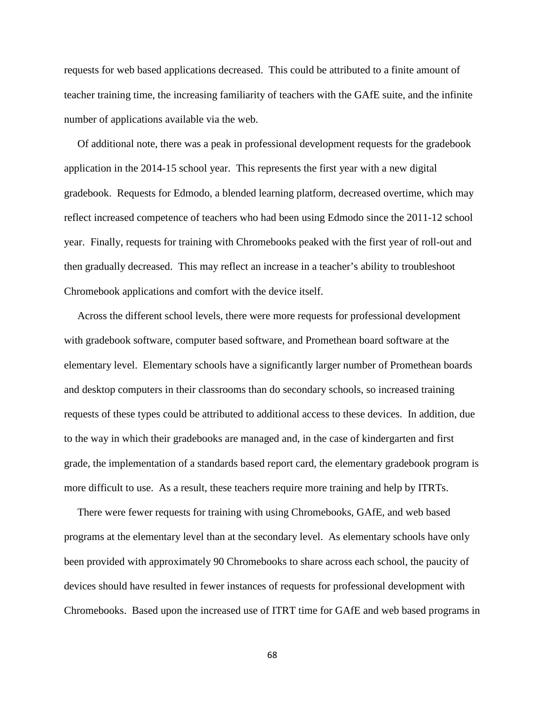requests for web based applications decreased. This could be attributed to a finite amount of teacher training time, the increasing familiarity of teachers with the GAfE suite, and the infinite number of applications available via the web.

 Of additional note, there was a peak in professional development requests for the gradebook application in the 2014-15 school year. This represents the first year with a new digital gradebook. Requests for Edmodo, a blended learning platform, decreased overtime, which may reflect increased competence of teachers who had been using Edmodo since the 2011-12 school year. Finally, requests for training with Chromebooks peaked with the first year of roll-out and then gradually decreased. This may reflect an increase in a teacher's ability to troubleshoot Chromebook applications and comfort with the device itself.

 Across the different school levels, there were more requests for professional development with gradebook software, computer based software, and Promethean board software at the elementary level. Elementary schools have a significantly larger number of Promethean boards and desktop computers in their classrooms than do secondary schools, so increased training requests of these types could be attributed to additional access to these devices. In addition, due to the way in which their gradebooks are managed and, in the case of kindergarten and first grade, the implementation of a standards based report card, the elementary gradebook program is more difficult to use. As a result, these teachers require more training and help by ITRTs.

 There were fewer requests for training with using Chromebooks, GAfE, and web based programs at the elementary level than at the secondary level. As elementary schools have only been provided with approximately 90 Chromebooks to share across each school, the paucity of devices should have resulted in fewer instances of requests for professional development with Chromebooks. Based upon the increased use of ITRT time for GAfE and web based programs in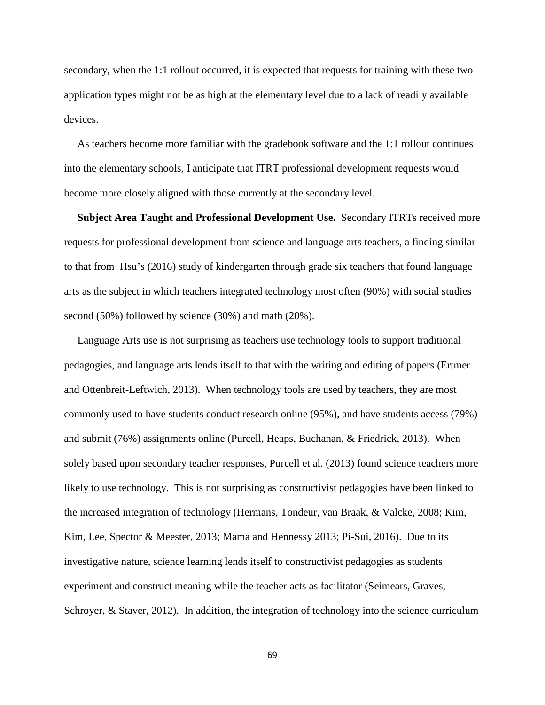secondary, when the 1:1 rollout occurred, it is expected that requests for training with these two application types might not be as high at the elementary level due to a lack of readily available devices.

 As teachers become more familiar with the gradebook software and the 1:1 rollout continues into the elementary schools, I anticipate that ITRT professional development requests would become more closely aligned with those currently at the secondary level.

 **Subject Area Taught and Professional Development Use.** Secondary ITRTs received more requests for professional development from science and language arts teachers, a finding similar to that from Hsu's (2016) study of kindergarten through grade six teachers that found language arts as the subject in which teachers integrated technology most often (90%) with social studies second (50%) followed by science (30%) and math (20%).

 Language Arts use is not surprising as teachers use technology tools to support traditional pedagogies, and language arts lends itself to that with the writing and editing of papers (Ertmer and Ottenbreit-Leftwich, 2013). When technology tools are used by teachers, they are most commonly used to have students conduct research online (95%), and have students access (79%) and submit (76%) assignments online (Purcell, Heaps, Buchanan, & Friedrick, 2013). When solely based upon secondary teacher responses, Purcell et al. (2013) found science teachers more likely to use technology. This is not surprising as constructivist pedagogies have been linked to the increased integration of technology (Hermans, Tondeur, van Braak, & Valcke, 2008; Kim, Kim, Lee, Spector & Meester, 2013; Mama and Hennessy 2013; Pi-Sui, 2016). Due to its investigative nature, science learning lends itself to constructivist pedagogies as students experiment and construct meaning while the teacher acts as facilitator (Seimears, Graves, Schroyer, & Staver, 2012). In addition, the integration of technology into the science curriculum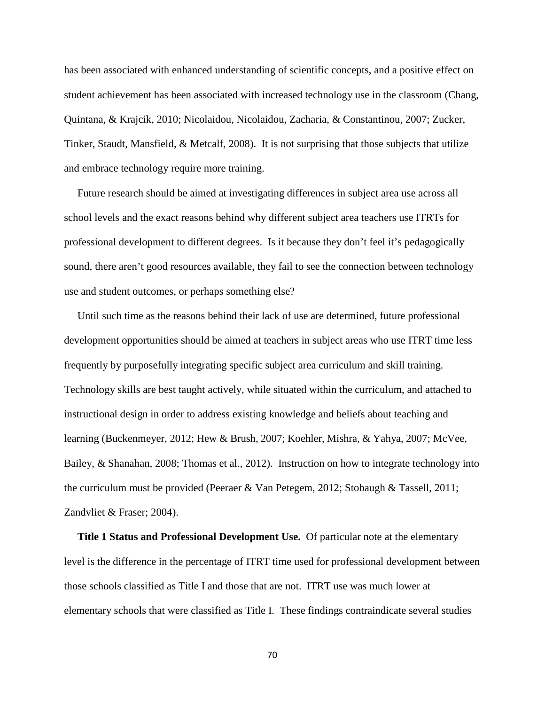has been associated with enhanced understanding of scientific concepts, and a positive effect on student achievement has been associated with increased technology use in the classroom (Chang, Quintana, & Krajcik, 2010; Nicolaidou, Nicolaidou, Zacharia, & Constantinou, 2007; Zucker, Tinker, Staudt, Mansfield, & Metcalf, 2008). It is not surprising that those subjects that utilize and embrace technology require more training.

 Future research should be aimed at investigating differences in subject area use across all school levels and the exact reasons behind why different subject area teachers use ITRTs for professional development to different degrees. Is it because they don't feel it's pedagogically sound, there aren't good resources available, they fail to see the connection between technology use and student outcomes, or perhaps something else?

 Until such time as the reasons behind their lack of use are determined, future professional development opportunities should be aimed at teachers in subject areas who use ITRT time less frequently by purposefully integrating specific subject area curriculum and skill training. Technology skills are best taught actively, while situated within the curriculum, and attached to instructional design in order to address existing knowledge and beliefs about teaching and learning (Buckenmeyer, 2012; Hew & Brush, 2007; Koehler, Mishra, & Yahya, 2007; McVee, Bailey, & Shanahan, 2008; Thomas et al., 2012). Instruction on how to integrate technology into the curriculum must be provided (Peeraer & Van Petegem, 2012; Stobaugh & Tassell, 2011; Zandvliet & Fraser; 2004).

 **Title 1 Status and Professional Development Use.** Of particular note at the elementary level is the difference in the percentage of ITRT time used for professional development between those schools classified as Title I and those that are not. ITRT use was much lower at elementary schools that were classified as Title I. These findings contraindicate several studies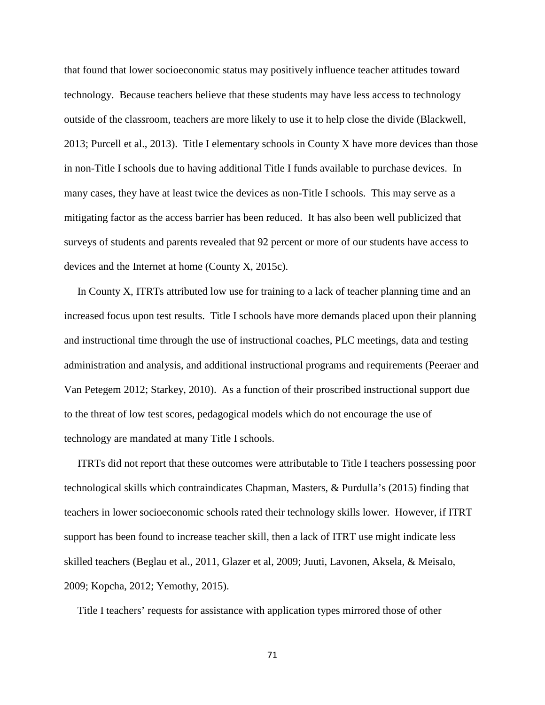that found that lower socioeconomic status may positively influence teacher attitudes toward technology. Because teachers believe that these students may have less access to technology outside of the classroom, teachers are more likely to use it to help close the divide (Blackwell, 2013; Purcell et al., 2013). Title I elementary schools in County X have more devices than those in non-Title I schools due to having additional Title I funds available to purchase devices. In many cases, they have at least twice the devices as non-Title I schools. This may serve as a mitigating factor as the access barrier has been reduced. It has also been well publicized that surveys of students and parents revealed that 92 percent or more of our students have access to devices and the Internet at home (County X, 2015c).

 In County X, ITRTs attributed low use for training to a lack of teacher planning time and an increased focus upon test results. Title I schools have more demands placed upon their planning and instructional time through the use of instructional coaches, PLC meetings, data and testing administration and analysis, and additional instructional programs and requirements (Peeraer and Van Petegem 2012; Starkey, 2010). As a function of their proscribed instructional support due to the threat of low test scores, pedagogical models which do not encourage the use of technology are mandated at many Title I schools.

 ITRTs did not report that these outcomes were attributable to Title I teachers possessing poor technological skills which contraindicates Chapman, Masters, & Purdulla's (2015) finding that teachers in lower socioeconomic schools rated their technology skills lower. However, if ITRT support has been found to increase teacher skill, then a lack of ITRT use might indicate less skilled teachers (Beglau et al., 2011, Glazer et al, 2009; Juuti, Lavonen, Aksela, & Meisalo, 2009; Kopcha, 2012; Yemothy, 2015).

Title I teachers' requests for assistance with application types mirrored those of other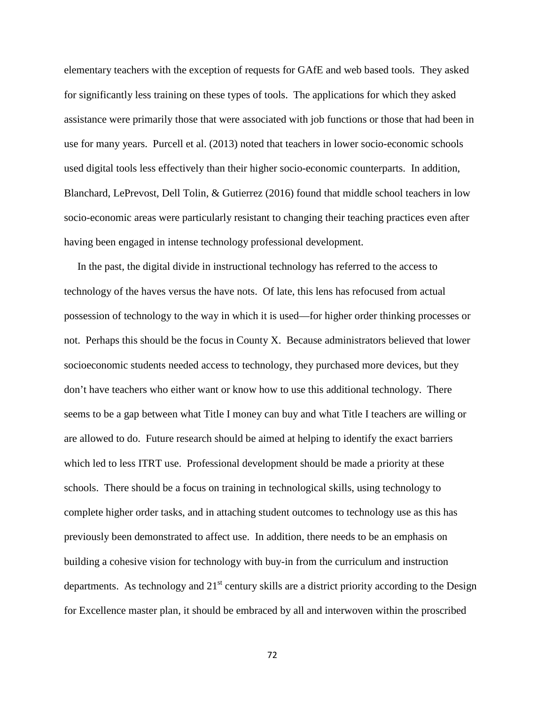elementary teachers with the exception of requests for GAfE and web based tools. They asked for significantly less training on these types of tools. The applications for which they asked assistance were primarily those that were associated with job functions or those that had been in use for many years. Purcell et al. (2013) noted that teachers in lower socio-economic schools used digital tools less effectively than their higher socio-economic counterparts. In addition, Blanchard, LePrevost, Dell Tolin, & Gutierrez (2016) found that middle school teachers in low socio-economic areas were particularly resistant to changing their teaching practices even after having been engaged in intense technology professional development.

 In the past, the digital divide in instructional technology has referred to the access to technology of the haves versus the have nots. Of late, this lens has refocused from actual possession of technology to the way in which it is used—for higher order thinking processes or not. Perhaps this should be the focus in County X. Because administrators believed that lower socioeconomic students needed access to technology, they purchased more devices, but they don't have teachers who either want or know how to use this additional technology. There seems to be a gap between what Title I money can buy and what Title I teachers are willing or are allowed to do. Future research should be aimed at helping to identify the exact barriers which led to less ITRT use. Professional development should be made a priority at these schools. There should be a focus on training in technological skills, using technology to complete higher order tasks, and in attaching student outcomes to technology use as this has previously been demonstrated to affect use. In addition, there needs to be an emphasis on building a cohesive vision for technology with buy-in from the curriculum and instruction departments. As technology and  $21<sup>st</sup>$  century skills are a district priority according to the Design for Excellence master plan, it should be embraced by all and interwoven within the proscribed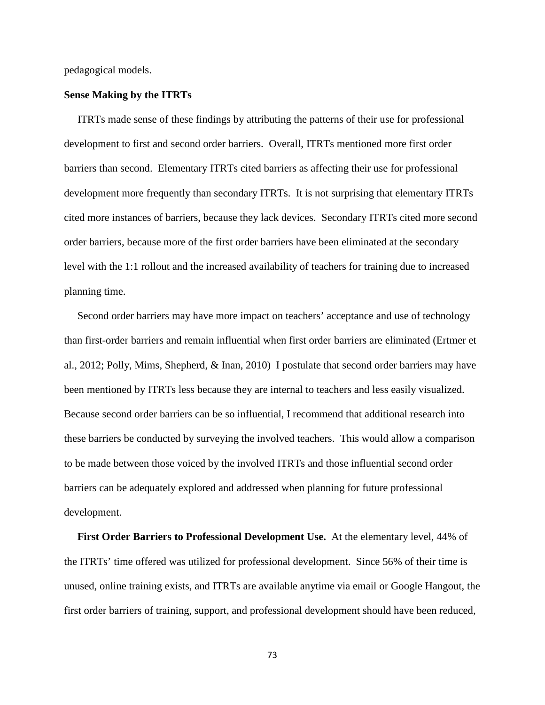pedagogical models.

### **Sense Making by the ITRTs**

 ITRTs made sense of these findings by attributing the patterns of their use for professional development to first and second order barriers. Overall, ITRTs mentioned more first order barriers than second. Elementary ITRTs cited barriers as affecting their use for professional development more frequently than secondary ITRTs. It is not surprising that elementary ITRTs cited more instances of barriers, because they lack devices. Secondary ITRTs cited more second order barriers, because more of the first order barriers have been eliminated at the secondary level with the 1:1 rollout and the increased availability of teachers for training due to increased planning time.

 Second order barriers may have more impact on teachers' acceptance and use of technology than first-order barriers and remain influential when first order barriers are eliminated (Ertmer et al., 2012; Polly, Mims, Shepherd, & Inan, 2010) I postulate that second order barriers may have been mentioned by ITRTs less because they are internal to teachers and less easily visualized. Because second order barriers can be so influential, I recommend that additional research into these barriers be conducted by surveying the involved teachers. This would allow a comparison to be made between those voiced by the involved ITRTs and those influential second order barriers can be adequately explored and addressed when planning for future professional development.

 **First Order Barriers to Professional Development Use.** At the elementary level, 44% of the ITRTs' time offered was utilized for professional development. Since 56% of their time is unused, online training exists, and ITRTs are available anytime via email or Google Hangout, the first order barriers of training, support, and professional development should have been reduced,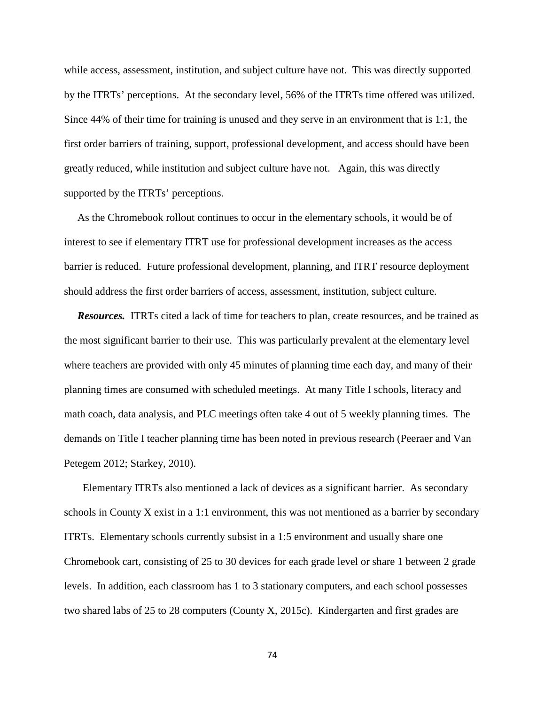while access, assessment, institution, and subject culture have not. This was directly supported by the ITRTs' perceptions. At the secondary level, 56% of the ITRTs time offered was utilized. Since 44% of their time for training is unused and they serve in an environment that is 1:1, the first order barriers of training, support, professional development, and access should have been greatly reduced, while institution and subject culture have not. Again, this was directly supported by the ITRTs' perceptions.

 As the Chromebook rollout continues to occur in the elementary schools, it would be of interest to see if elementary ITRT use for professional development increases as the access barrier is reduced. Future professional development, planning, and ITRT resource deployment should address the first order barriers of access, assessment, institution, subject culture.

 *Resources.* ITRTs cited a lack of time for teachers to plan, create resources, and be trained as the most significant barrier to their use. This was particularly prevalent at the elementary level where teachers are provided with only 45 minutes of planning time each day, and many of their planning times are consumed with scheduled meetings. At many Title I schools, literacy and math coach, data analysis, and PLC meetings often take 4 out of 5 weekly planning times. The demands on Title I teacher planning time has been noted in previous research (Peeraer and Van Petegem 2012; Starkey, 2010).

 Elementary ITRTs also mentioned a lack of devices as a significant barrier. As secondary schools in County X exist in a 1:1 environment, this was not mentioned as a barrier by secondary ITRTs. Elementary schools currently subsist in a 1:5 environment and usually share one Chromebook cart, consisting of 25 to 30 devices for each grade level or share 1 between 2 grade levels. In addition, each classroom has 1 to 3 stationary computers, and each school possesses two shared labs of 25 to 28 computers (County X, 2015c). Kindergarten and first grades are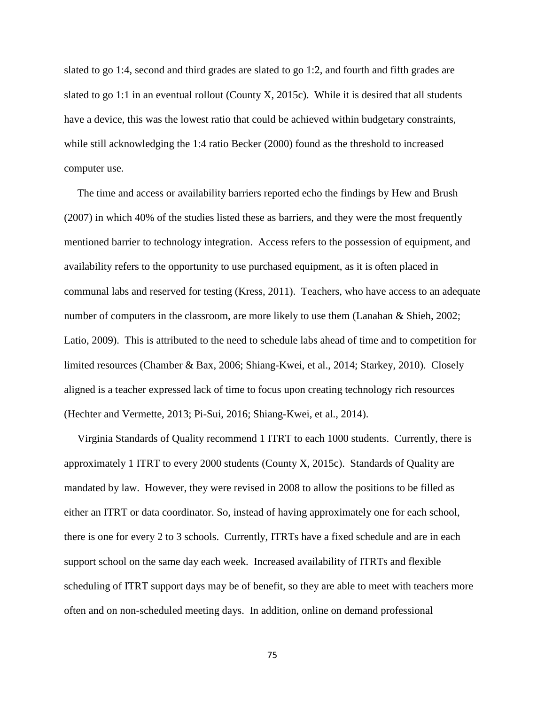slated to go 1:4, second and third grades are slated to go 1:2, and fourth and fifth grades are slated to go 1:1 in an eventual rollout (County X, 2015c). While it is desired that all students have a device, this was the lowest ratio that could be achieved within budgetary constraints, while still acknowledging the 1:4 ratio Becker (2000) found as the threshold to increased computer use.

 The time and access or availability barriers reported echo the findings by Hew and Brush (2007) in which 40% of the studies listed these as barriers, and they were the most frequently mentioned barrier to technology integration. Access refers to the possession of equipment, and availability refers to the opportunity to use purchased equipment, as it is often placed in communal labs and reserved for testing (Kress, 2011). Teachers, who have access to an adequate number of computers in the classroom, are more likely to use them (Lanahan & Shieh, 2002; Latio, 2009). This is attributed to the need to schedule labs ahead of time and to competition for limited resources (Chamber & Bax, 2006; Shiang-Kwei, et al., 2014; Starkey, 2010). Closely aligned is a teacher expressed lack of time to focus upon creating technology rich resources (Hechter and Vermette, 2013; Pi-Sui, 2016; Shiang-Kwei, et al., 2014).

 Virginia Standards of Quality recommend 1 ITRT to each 1000 students. Currently, there is approximately 1 ITRT to every 2000 students (County X, 2015c). Standards of Quality are mandated by law. However, they were revised in 2008 to allow the positions to be filled as either an ITRT or data coordinator. So, instead of having approximately one for each school, there is one for every 2 to 3 schools. Currently, ITRTs have a fixed schedule and are in each support school on the same day each week. Increased availability of ITRTs and flexible scheduling of ITRT support days may be of benefit, so they are able to meet with teachers more often and on non-scheduled meeting days. In addition, online on demand professional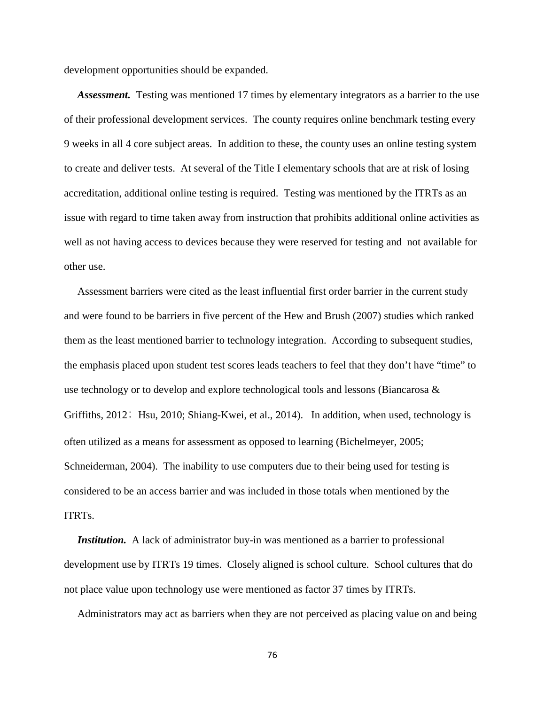development opportunities should be expanded.

 *Assessment.* Testing was mentioned 17 times by elementary integrators as a barrier to the use of their professional development services. The county requires online benchmark testing every 9 weeks in all 4 core subject areas. In addition to these, the county uses an online testing system to create and deliver tests. At several of the Title I elementary schools that are at risk of losing accreditation, additional online testing is required. Testing was mentioned by the ITRTs as an issue with regard to time taken away from instruction that prohibits additional online activities as well as not having access to devices because they were reserved for testing and not available for other use.

 Assessment barriers were cited as the least influential first order barrier in the current study and were found to be barriers in five percent of the Hew and Brush (2007) studies which ranked them as the least mentioned barrier to technology integration. According to subsequent studies, the emphasis placed upon student test scores leads teachers to feel that they don't have "time" to use technology or to develop and explore technological tools and lessons (Biancarosa  $\&$ Griffiths, 2012; Hsu, 2010; Shiang-Kwei, et al., 2014). In addition, when used, technology is often utilized as a means for assessment as opposed to learning (Bichelmeyer, 2005; Schneiderman, 2004). The inability to use computers due to their being used for testing is considered to be an access barrier and was included in those totals when mentioned by the ITRTs.

*Institution.* A lack of administrator buy-in was mentioned as a barrier to professional development use by ITRTs 19 times. Closely aligned is school culture. School cultures that do not place value upon technology use were mentioned as factor 37 times by ITRTs.

Administrators may act as barriers when they are not perceived as placing value on and being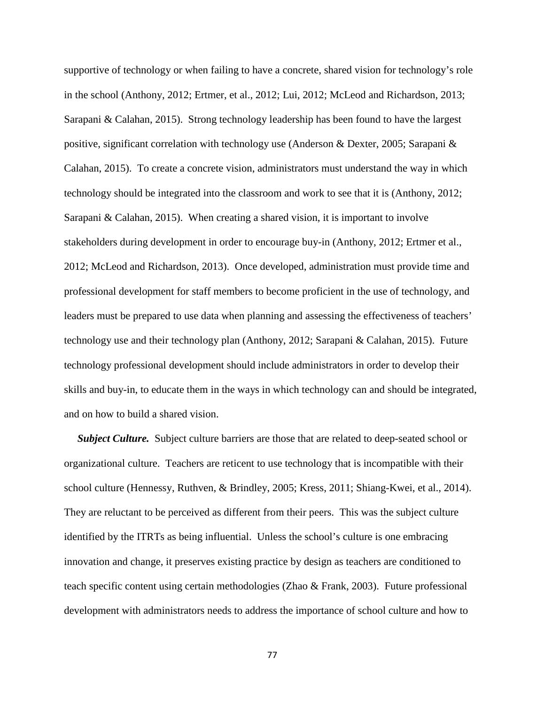supportive of technology or when failing to have a concrete, shared vision for technology's role in the school (Anthony, 2012; Ertmer, et al., 2012; Lui, 2012; McLeod and Richardson, 2013; Sarapani & Calahan, 2015). Strong technology leadership has been found to have the largest positive, significant correlation with technology use (Anderson & Dexter, 2005; Sarapani & Calahan, 2015). To create a concrete vision, administrators must understand the way in which technology should be integrated into the classroom and work to see that it is (Anthony, 2012; Sarapani & Calahan, 2015). When creating a shared vision, it is important to involve stakeholders during development in order to encourage buy-in (Anthony, 2012; Ertmer et al., 2012; McLeod and Richardson, 2013). Once developed, administration must provide time and professional development for staff members to become proficient in the use of technology, and leaders must be prepared to use data when planning and assessing the effectiveness of teachers' technology use and their technology plan (Anthony, 2012; Sarapani & Calahan, 2015). Future technology professional development should include administrators in order to develop their skills and buy-in, to educate them in the ways in which technology can and should be integrated, and on how to build a shared vision.

*Subject Culture.* Subject culture barriers are those that are related to deep-seated school or organizational culture. Teachers are reticent to use technology that is incompatible with their school culture (Hennessy, Ruthven, & Brindley, 2005; Kress, 2011; Shiang-Kwei, et al., 2014). They are reluctant to be perceived as different from their peers. This was the subject culture identified by the ITRTs as being influential. Unless the school's culture is one embracing innovation and change, it preserves existing practice by design as teachers are conditioned to teach specific content using certain methodologies (Zhao & Frank, 2003). Future professional development with administrators needs to address the importance of school culture and how to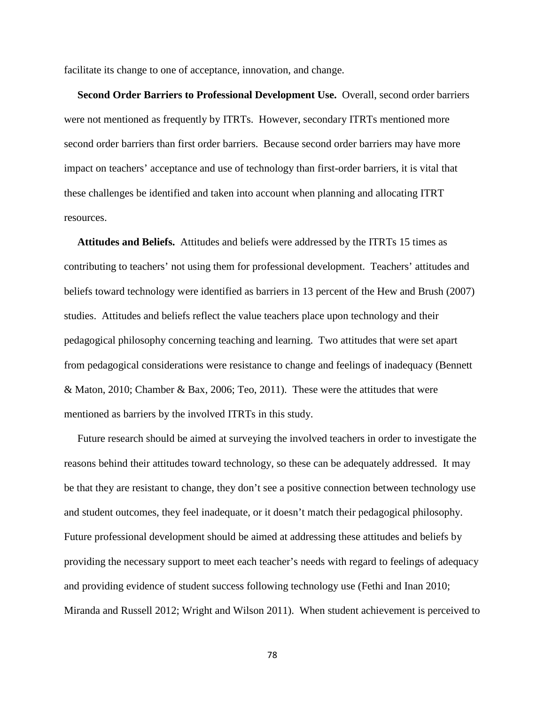facilitate its change to one of acceptance, innovation, and change.

 **Second Order Barriers to Professional Development Use.** Overall, second order barriers were not mentioned as frequently by ITRTs. However, secondary ITRTs mentioned more second order barriers than first order barriers. Because second order barriers may have more impact on teachers' acceptance and use of technology than first-order barriers, it is vital that these challenges be identified and taken into account when planning and allocating ITRT resources.

 **Attitudes and Beliefs.** Attitudes and beliefs were addressed by the ITRTs 15 times as contributing to teachers' not using them for professional development. Teachers' attitudes and beliefs toward technology were identified as barriers in 13 percent of the Hew and Brush (2007) studies. Attitudes and beliefs reflect the value teachers place upon technology and their pedagogical philosophy concerning teaching and learning. Two attitudes that were set apart from pedagogical considerations were resistance to change and feelings of inadequacy (Bennett & Maton, 2010; Chamber & Bax, 2006; Teo, 2011). These were the attitudes that were mentioned as barriers by the involved ITRTs in this study.

 Future research should be aimed at surveying the involved teachers in order to investigate the reasons behind their attitudes toward technology, so these can be adequately addressed. It may be that they are resistant to change, they don't see a positive connection between technology use and student outcomes, they feel inadequate, or it doesn't match their pedagogical philosophy. Future professional development should be aimed at addressing these attitudes and beliefs by providing the necessary support to meet each teacher's needs with regard to feelings of adequacy and providing evidence of student success following technology use (Fethi and Inan 2010; Miranda and Russell 2012; Wright and Wilson 2011). When student achievement is perceived to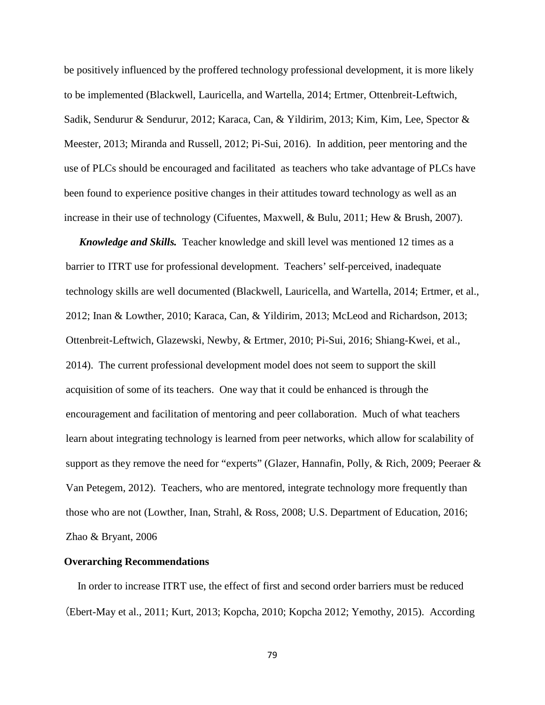be positively influenced by the proffered technology professional development, it is more likely to be implemented (Blackwell, Lauricella, and Wartella, 2014; Ertmer, Ottenbreit-Leftwich, Sadik, Sendurur & Sendurur, 2012; Karaca, Can, & Yildirim, 2013; Kim, Kim, Lee, Spector & Meester, 2013; Miranda and Russell, 2012; Pi-Sui, 2016). In addition, peer mentoring and the use of PLCs should be encouraged and facilitated as teachers who take advantage of PLCs have been found to experience positive changes in their attitudes toward technology as well as an increase in their use of technology (Cifuentes, Maxwell, & Bulu, 2011; Hew & Brush, 2007).

 *Knowledge and Skills.* Teacher knowledge and skill level was mentioned 12 times as a barrier to ITRT use for professional development. Teachers' self-perceived, inadequate technology skills are well documented (Blackwell, Lauricella, and Wartella, 2014; Ertmer, et al., 2012; Inan & Lowther, 2010; Karaca, Can, & Yildirim, 2013; McLeod and Richardson, 2013; Ottenbreit-Leftwich, Glazewski, Newby, & Ertmer, 2010; Pi-Sui, 2016; Shiang-Kwei, et al., 2014). The current professional development model does not seem to support the skill acquisition of some of its teachers. One way that it could be enhanced is through the encouragement and facilitation of mentoring and peer collaboration. Much of what teachers learn about integrating technology is learned from peer networks, which allow for scalability of support as they remove the need for "experts" (Glazer, Hannafin, Polly, & Rich, 2009; Peeraer & Van Petegem, 2012). Teachers, who are mentored, integrate technology more frequently than those who are not (Lowther, Inan, Strahl, & Ross, 2008; U.S. Department of Education, 2016; Zhao & Bryant, 2006

### **Overarching Recommendations**

 In order to increase ITRT use, the effect of first and second order barriers must be reduced (Ebert-May et al., 2011; Kurt, 2013; Kopcha, 2010; Kopcha 2012; Yemothy, 2015). According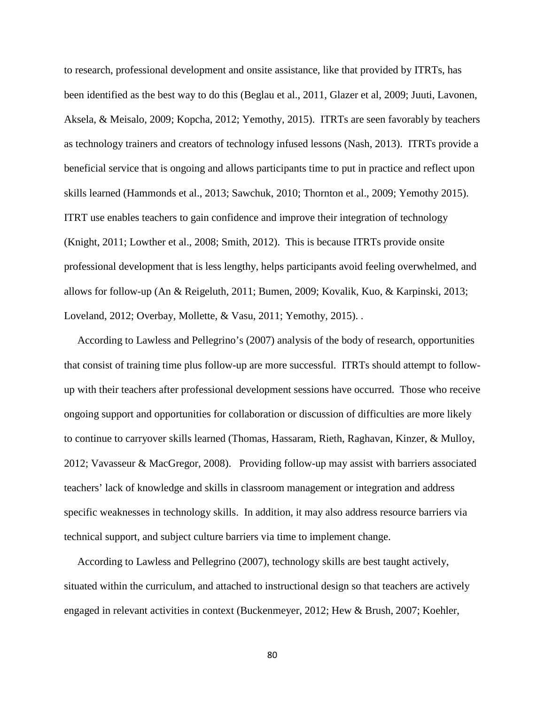to research, professional development and onsite assistance, like that provided by ITRTs, has been identified as the best way to do this (Beglau et al., 2011, Glazer et al, 2009; Juuti, Lavonen, Aksela, & Meisalo, 2009; Kopcha, 2012; Yemothy, 2015). ITRTs are seen favorably by teachers as technology trainers and creators of technology infused lessons (Nash, 2013). ITRTs provide a beneficial service that is ongoing and allows participants time to put in practice and reflect upon skills learned (Hammonds et al., 2013; Sawchuk, 2010; Thornton et al., 2009; Yemothy 2015). ITRT use enables teachers to gain confidence and improve their integration of technology (Knight, 2011; Lowther et al., 2008; Smith, 2012). This is because ITRTs provide onsite professional development that is less lengthy, helps participants avoid feeling overwhelmed, and allows for follow-up (An & Reigeluth, 2011; Bumen, 2009; Kovalik, Kuo, & Karpinski, 2013; Loveland, 2012; Overbay, Mollette, & Vasu, 2011; Yemothy, 2015). .

 According to Lawless and Pellegrino's (2007) analysis of the body of research, opportunities that consist of training time plus follow-up are more successful. ITRTs should attempt to followup with their teachers after professional development sessions have occurred. Those who receive ongoing support and opportunities for collaboration or discussion of difficulties are more likely to continue to carryover skills learned (Thomas, Hassaram, Rieth, Raghavan, Kinzer, & Mulloy, 2012; Vavasseur & MacGregor, 2008). Providing follow-up may assist with barriers associated teachers' lack of knowledge and skills in classroom management or integration and address specific weaknesses in technology skills. In addition, it may also address resource barriers via technical support, and subject culture barriers via time to implement change.

According to Lawless and Pellegrino (2007), technology skills are best taught actively, situated within the curriculum, and attached to instructional design so that teachers are actively engaged in relevant activities in context (Buckenmeyer, 2012; Hew & Brush, 2007; Koehler,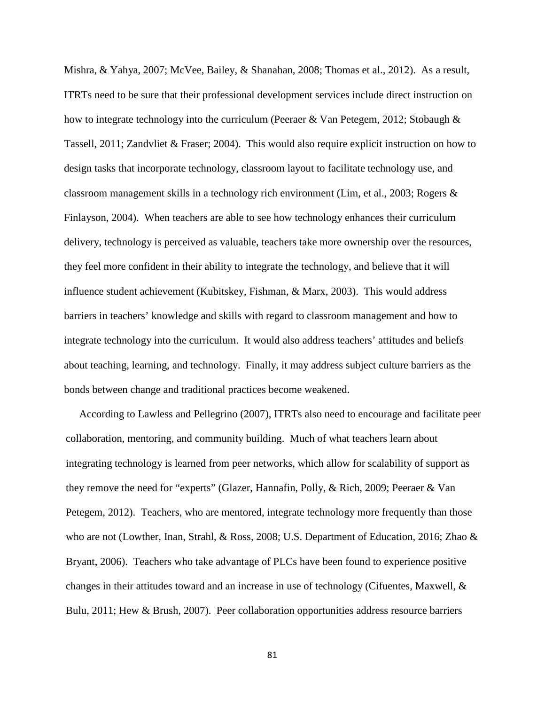Mishra, & Yahya, 2007; McVee, Bailey, & Shanahan, 2008; Thomas et al., 2012). As a result, ITRTs need to be sure that their professional development services include direct instruction on how to integrate technology into the curriculum (Peeraer & Van Petegem, 2012; Stobaugh & Tassell, 2011; Zandvliet & Fraser; 2004). This would also require explicit instruction on how to design tasks that incorporate technology, classroom layout to facilitate technology use, and classroom management skills in a technology rich environment (Lim, et al., 2003; Rogers & Finlayson, 2004). When teachers are able to see how technology enhances their curriculum delivery, technology is perceived as valuable, teachers take more ownership over the resources, they feel more confident in their ability to integrate the technology, and believe that it will influence student achievement (Kubitskey, Fishman, & Marx, 2003). This would address barriers in teachers' knowledge and skills with regard to classroom management and how to integrate technology into the curriculum. It would also address teachers' attitudes and beliefs about teaching, learning, and technology. Finally, it may address subject culture barriers as the bonds between change and traditional practices become weakened.

According to Lawless and Pellegrino (2007), ITRTs also need to encourage and facilitate peer collaboration, mentoring, and community building. Much of what teachers learn about integrating technology is learned from peer networks, which allow for scalability of support as they remove the need for "experts" (Glazer, Hannafin, Polly, & Rich, 2009; Peeraer & Van Petegem, 2012). Teachers, who are mentored, integrate technology more frequently than those who are not (Lowther, Inan, Strahl, & Ross, 2008; U.S. Department of Education, 2016; Zhao & Bryant, 2006). Teachers who take advantage of PLCs have been found to experience positive changes in their attitudes toward and an increase in use of technology (Cifuentes, Maxwell, & Bulu, 2011; Hew & Brush, 2007). Peer collaboration opportunities address resource barriers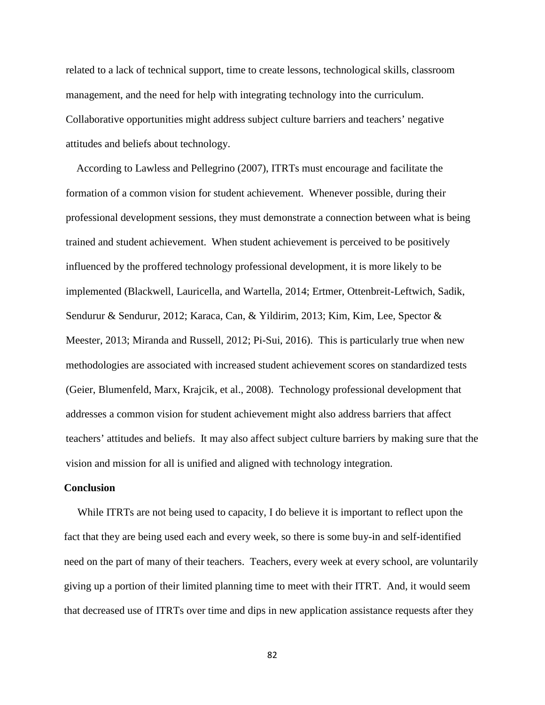related to a lack of technical support, time to create lessons, technological skills, classroom management, and the need for help with integrating technology into the curriculum. Collaborative opportunities might address subject culture barriers and teachers' negative attitudes and beliefs about technology.

According to Lawless and Pellegrino (2007), ITRTs must encourage and facilitate the formation of a common vision for student achievement. Whenever possible, during their professional development sessions, they must demonstrate a connection between what is being trained and student achievement. When student achievement is perceived to be positively influenced by the proffered technology professional development, it is more likely to be implemented (Blackwell, Lauricella, and Wartella, 2014; Ertmer, Ottenbreit-Leftwich, Sadik, Sendurur & Sendurur, 2012; Karaca, Can, & Yildirim, 2013; Kim, Kim, Lee, Spector & Meester, 2013; Miranda and Russell, 2012; Pi-Sui, 2016). This is particularly true when new methodologies are associated with increased student achievement scores on standardized tests (Geier, Blumenfeld, Marx, Krajcik, et al., 2008). Technology professional development that addresses a common vision for student achievement might also address barriers that affect teachers' attitudes and beliefs. It may also affect subject culture barriers by making sure that the vision and mission for all is unified and aligned with technology integration.

## **Conclusion**

 While ITRTs are not being used to capacity, I do believe it is important to reflect upon the fact that they are being used each and every week, so there is some buy-in and self-identified need on the part of many of their teachers. Teachers, every week at every school, are voluntarily giving up a portion of their limited planning time to meet with their ITRT. And, it would seem that decreased use of ITRTs over time and dips in new application assistance requests after they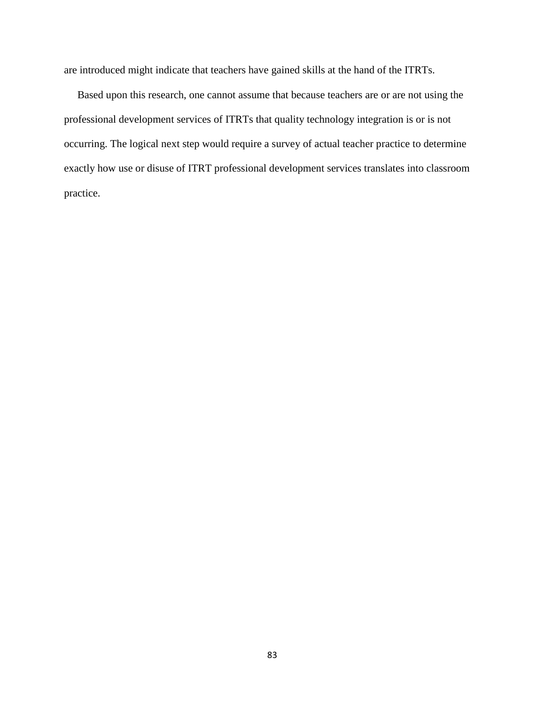are introduced might indicate that teachers have gained skills at the hand of the ITRTs.

 Based upon this research, one cannot assume that because teachers are or are not using the professional development services of ITRTs that quality technology integration is or is not occurring. The logical next step would require a survey of actual teacher practice to determine exactly how use or disuse of ITRT professional development services translates into classroom practice.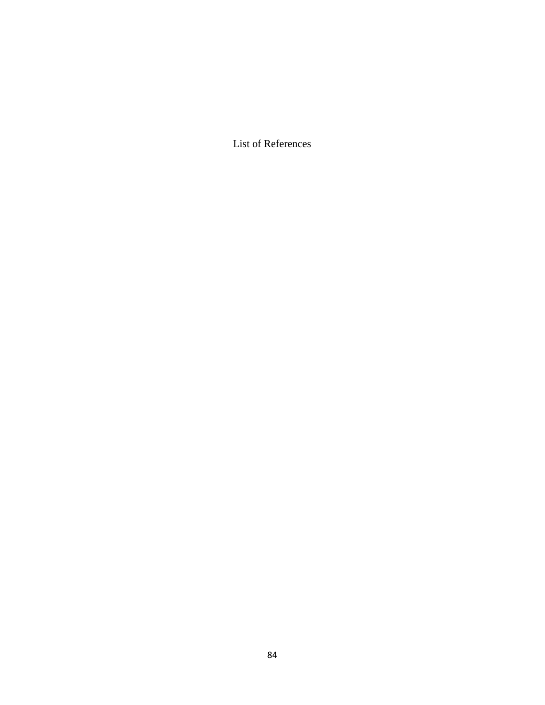List of References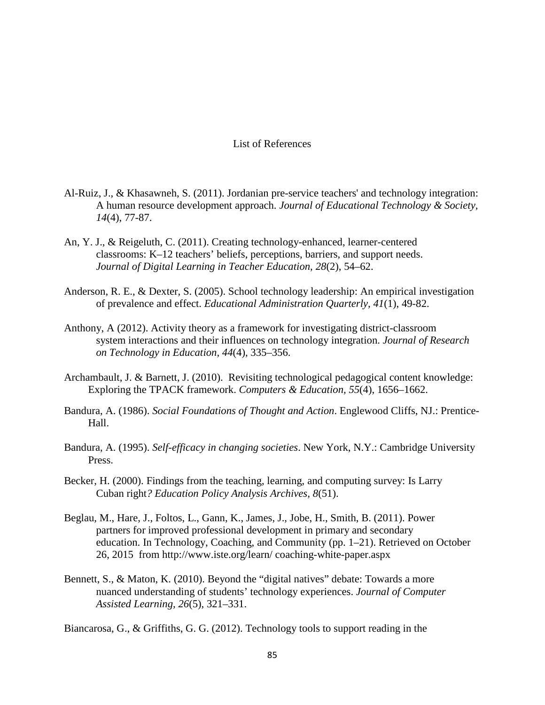# List of References

- Al-Ruiz, J., & Khasawneh, S. (2011). Jordanian pre-service teachers' and technology integration: A human resource development approach. *Journal of Educational Technology & Society, 14*(4), 77-87.
- An, Y. J., & Reigeluth, C. (2011). Creating technology-enhanced, learner-centered classrooms: K–12 teachers' beliefs, perceptions, barriers, and support needs. *Journal of Digital Learning in Teacher Education, 28*(2), 54–62.
- Anderson, R. E., & Dexter, S. (2005). School technology leadership: An empirical investigation of prevalence and effect. *Educational Administration Quarterly, 41*(1), 49-82.
- Anthony, A (2012). Activity theory as a framework for investigating district-classroom system interactions and their influences on technology integration. *Journal of Research on Technology in Education, 44*(4), 335–356.
- Archambault, J. & Barnett, J. (2010). Revisiting technological pedagogical content knowledge: Exploring the TPACK framework. *Computers & Education, 55*(4), 1656–1662.
- Bandura, A. (1986). *Social Foundations of Thought and Action*. Englewood Cliffs, NJ.: Prentice-Hall.
- Bandura, A. (1995). *Self-efficacy in changing societies*. New York, N.Y.: Cambridge University Press.
- Becker, H. (2000). Findings from the teaching, learning, and computing survey: Is Larry Cuban right*? Education Policy Analysis Archives, 8*(51).
- Beglau, M., Hare, J., Foltos, L., Gann, K., James, J., Jobe, H., Smith, B. (2011). Power partners for improved professional development in primary and secondary education. In Technology, Coaching, and Community (pp. 1–21). Retrieved on October 26, 2015 from http://www.iste.org/learn/ coaching-white-paper.aspx
- Bennett, S., & Maton, K. (2010). Beyond the "digital natives" debate: Towards a more nuanced understanding of students' technology experiences. *Journal of Computer Assisted Learning, 26*(5), 321–331.

Biancarosa, G., & Griffiths, G. G. (2012). Technology tools to support reading in the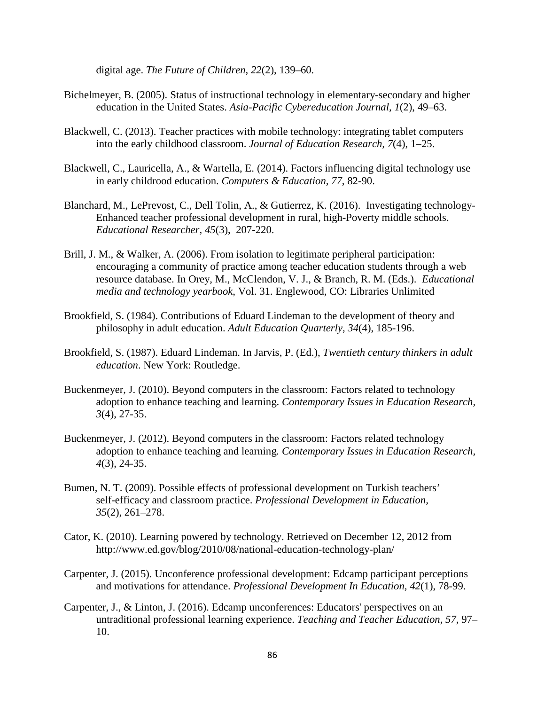digital age. *The Future of Children, 22*(2), 139–60.

- Bichelmeyer, B. (2005). Status of instructional technology in elementary-secondary and higher education in the United States. *Asia-Pacific Cybereducation Journal, 1*(2), 49–63.
- Blackwell, C. (2013). Teacher practices with mobile technology: integrating tablet computers into the early childhood classroom. *Journal of Education Research, 7*(4), 1–25.
- Blackwell, C., Lauricella, A., & Wartella, E. (2014). Factors influencing digital technology use in early childrood education. *Computers & Education, 77*, 82-90.
- Blanchard, M., LePrevost, C., Dell Tolin, A., & Gutierrez, K. (2016). Investigating technology-Enhanced teacher professional development in rural, high-Poverty middle schools. *Educational Researcher, 45*(3), 207-220.
- Brill, J. M., & Walker, A. (2006). From isolation to legitimate peripheral participation: encouraging a community of practice among teacher education students through a web resource database. In Orey, M., McClendon, V. J., & Branch, R. M. (Eds.). *Educational media and technology yearbook*, Vol. 31. Englewood, CO: Libraries Unlimited
- Brookfield, S. (1984). Contributions of Eduard Lindeman to the development of theory and philosophy in adult education. *Adult Education Quarterly, 34*(4), 185-196.
- Brookfield, S. (1987). Eduard Lindeman. In Jarvis, P. (Ed.), *Twentieth century thinkers in adult education*. New York: Routledge.
- Buckenmeyer, J. (2010). Beyond computers in the classroom: Factors related to technology adoption to enhance teaching and learning. *Contemporary Issues in Education Research, 3*(4), 27-35.
- Buckenmeyer, J. (2012). Beyond computers in the classroom: Factors related technology adoption to enhance teaching and learning*. Contemporary Issues in Education Research, 4*(3), 24-35.
- Bumen, N. T. (2009). Possible effects of professional development on Turkish teachers' self-efficacy and classroom practice. *Professional Development in Education, 35*(2), 261–278.
- Cator, K. (2010). Learning powered by technology. Retrieved on December 12, 2012 from http://www.ed.gov/blog/2010/08/national-education-technology-plan/
- Carpenter, J. (2015). Unconference professional development: Edcamp participant perceptions and motivations for attendance. *Professional Development In Education, 42*(1), 78-99.
- Carpenter, J., & Linton, J. (2016). Edcamp unconferences: Educators' perspectives on an untraditional professional learning experience. *Teaching and Teacher Education, 57*, 97– 10.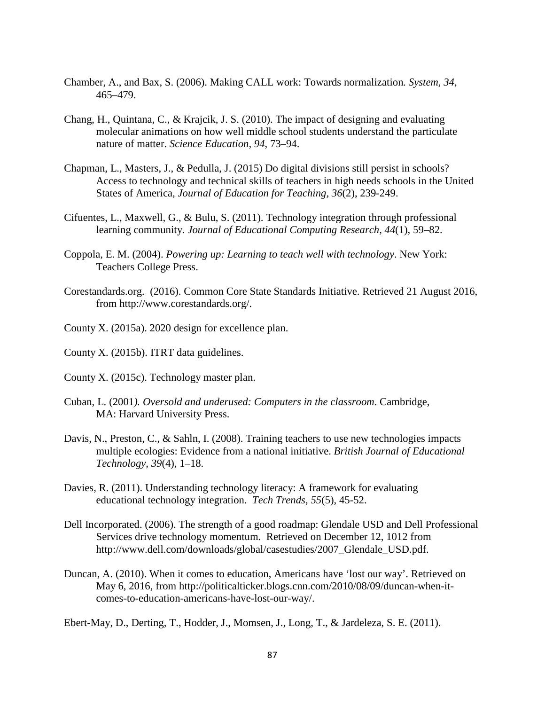- Chamber, A., and Bax, S. (2006). Making CALL work: Towards normalization*. System, 34*, 465–479.
- Chang, H., Quintana, C., & Krajcik, J. S. (2010). The impact of designing and evaluating molecular animations on how well middle school students understand the particulate nature of matter. *Science Education, 94*, 73–94.
- Chapman, L., Masters, J., & Pedulla, J. (2015) Do digital divisions still persist in schools? Access to technology and technical skills of teachers in high needs schools in the United States of America, *Journal of Education for Teaching, 36*(2), 239-249.
- Cifuentes, L., Maxwell, G., & Bulu, S. (2011). Technology integration through professional learning community. *Journal of Educational Computing Research, 44*(1), 59–82.
- Coppola, E. M. (2004). *Powering up: Learning to teach well with technology*. New York: Teachers College Press.
- Corestandards.org. (2016). Common Core State Standards Initiative. Retrieved 21 August 2016, from http://www.corestandards.org/.
- County X. (2015a). 2020 design for excellence plan.
- County X. (2015b). ITRT data guidelines.
- County X. (2015c). Technology master plan.
- Cuban, L. (2001*). Oversold and underused: Computers in the classroom*. Cambridge, MA: Harvard University Press.
- Davis, N., Preston, C., & Sahln, I. (2008). Training teachers to use new technologies impacts multiple ecologies: Evidence from a national initiative. *British Journal of Educational Technology, 39*(4), 1–18.
- Davies, R. (2011). Understanding technology literacy: A framework for evaluating educational technology integration. *Tech Trends, 55*(5), 45-52.
- Dell Incorporated. (2006). The strength of a good roadmap: Glendale USD and Dell Professional Services drive technology momentum. Retrieved on December 12, 1012 from http://www.dell.com/downloads/global/casestudies/2007 Glendale USD.pdf.
- Duncan, A. (2010). When it comes to education, Americans have 'lost our way'. Retrieved on May 6, 2016, from http://politicalticker.blogs.cnn.com/2010/08/09/duncan-when-itcomes-to-education-americans-have-lost-our-way/.

Ebert-May, D., Derting, T., Hodder, J., Momsen, J., Long, T., & Jardeleza, S. E. (2011).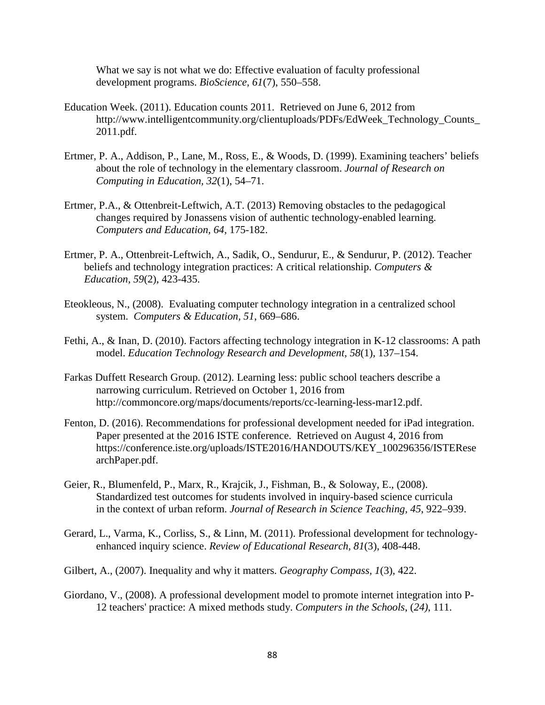What we say is not what we do: Effective evaluation of faculty professional development programs. *BioScience, 61*(7), 550–558.

- Education Week. (2011). Education counts 2011. Retrieved on June 6, 2012 from [http://www.intelligentcommunity.org/clientuploads/PDFs/EdWeek\\_Technology\\_Counts\\_](http://www.intelligentcommunity.org/clientuploads/PDFs/EdWeek_Technology_Counts_2011.pdf) [2011.pdf.](http://www.intelligentcommunity.org/clientuploads/PDFs/EdWeek_Technology_Counts_2011.pdf)
- Ertmer, P. A., Addison, P., Lane, M., Ross, E., & Woods, D. (1999). Examining teachers' beliefs about the role of technology in the elementary classroom. *Journal of Research on Computing in Education, 32*(1), 54–71.
- Ertmer, P.A., & Ottenbreit-Leftwich, A.T. (2013) Removing obstacles to the pedagogical changes required by Jonassens vision of authentic technology-enabled learning. *Computers and Education, 64,* 175-182.
- Ertmer, P. A., Ottenbreit-Leftwich, A., Sadik, O., Sendurur, E., & Sendurur, P. (2012). Teacher beliefs and technology integration practices: A critical relationship. *Computers & Education, 59*(2), 423-435.
- Eteokleous, N., (2008). Evaluating computer technology integration in a centralized school system. *Computers & Education, 51*, 669–686.
- Fethi, A., & Inan, D. (2010). Factors affecting technology integration in K-12 classrooms: A path model. *Education Technology Research and Development, 58*(1), 137–154.
- Farkas Duffett Research Group. (2012). Learning less: public school teachers describe a narrowing curriculum. Retrieved on October 1, 2016 from http://commoncore.org/maps/documents/reports/cc-learning-less-mar12.pdf.
- Fenton, D. (2016). Recommendations for professional development needed for iPad integration. Paper presented at the 2016 ISTE conference. Retrieved on August 4, 2016 from https://conference.iste.org/uploads/ISTE2016/HANDOUTS/KEY\_100296356/ISTERese archPaper.pdf.
- Geier, R., Blumenfeld, P., Marx, R., Krajcik, J., Fishman, B., & Soloway, E., (2008). Standardized test outcomes for students involved in inquiry-based science curricula in the context of urban reform. *Journal of Research in Science Teaching, 45*, 922–939.
- Gerard, L., Varma, K., Corliss, S., & Linn, M. (2011). Professional development for technologyenhanced inquiry science. *Review of Educational Research, 81*(3), 408-448.
- Gilbert, A., (2007). Inequality and why it matters. *Geography Compass, 1*(3), 422.
- Giordano, V., (2008). A professional development model to promote internet integration into P-12 teachers' practice: A mixed methods study. *Computers in the Schools*, (*24)*, 111.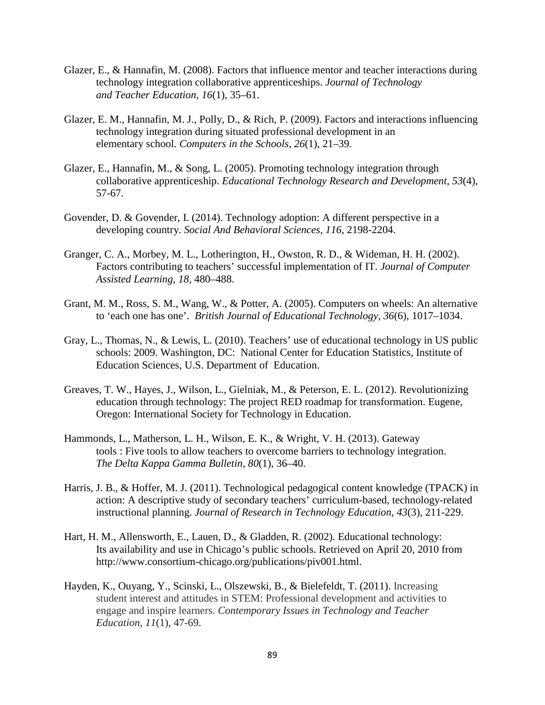- Glazer, E., & Hannafin, M. (2008). Factors that influence mentor and teacher interactions during technology integration collaborative apprenticeships. *Journal of Technology and Teacher Education, 16*(1), 35–61.
- Glazer, E. M., Hannafin, M. J., Polly, D., & Rich, P. (2009). Factors and interactions influencing technology integration during situated professional development in an elementary school. *Computers in the Schools, 26*(1), 21–39.
- Glazer, E., Hannafin, M., & Song, L. (2005). Promoting technology integration through collaborative apprenticeship. *Educational Technology Research and Development, 53*(4), 57-67.
- Govender, D. & Govender, I. (2014). Technology adoption: A different perspective in a developing country. *Social And Behavioral Sciences, 116*, 2198-2204.
- Granger, C. A., Morbey, M. L., Lotherington, H., Owston, R. D., & Wideman, H. H. (2002). Factors contributing to teachers' successful implementation of IT. *Journal of Computer Assisted Learning, 18,* 480–488.
- Grant, M. M., Ross, S. M., Wang, W., & Potter, A. (2005). Computers on wheels: An alternative to 'each one has one'. *British Journal of Educational Technology, 36*(6), 1017–1034.
- Gray, L., Thomas, N., & Lewis, L. (2010). Teachers' use of educational technology in US public schools: 2009. Washington, DC: National Center for Education Statistics, Institute of Education Sciences, U.S. Department of Education.
- Greaves, T. W., Hayes, J., Wilson, L., Gielniak, M., & Peterson, E. L. (2012). Revolutionizing education through technology: The project RED roadmap for transformation. Eugene, Oregon: International Society for Technology in Education.
- Hammonds, L., Matherson, L. H., Wilson, E. K., & Wright, V. H. (2013). Gateway tools : Five tools to allow teachers to overcome barriers to technology integration. *The Delta Kappa Gamma Bulletin*, *80*(1), 36–40.
- Harris, J. B., & Hoffer, M. J. (2011). Technological pedagogical content knowledge (TPACK) in action: A descriptive study of secondary teachers' curriculum-based, technology-related instructional planning. *Journal of Research in Technology Education, 43*(3), 211-229.
- Hart, H. M., Allensworth, E., Lauen, D., & Gladden, R. (2002). Educational technology: Its availability and use in Chicago's public schools. Retrieved on April 20, 2010 from http://www.consortium-chicago.org/publications/piv001.html.
- Hayden, K., Ouyang, Y., Scinski, L., Olszewski, B., & Bielefeldt, T. (2011). Increasing student interest and attitudes in STEM: Professional development and activities to engage and inspire learners. *Contemporary Issues in Technology and Teacher Education, 11*(1), 47-69.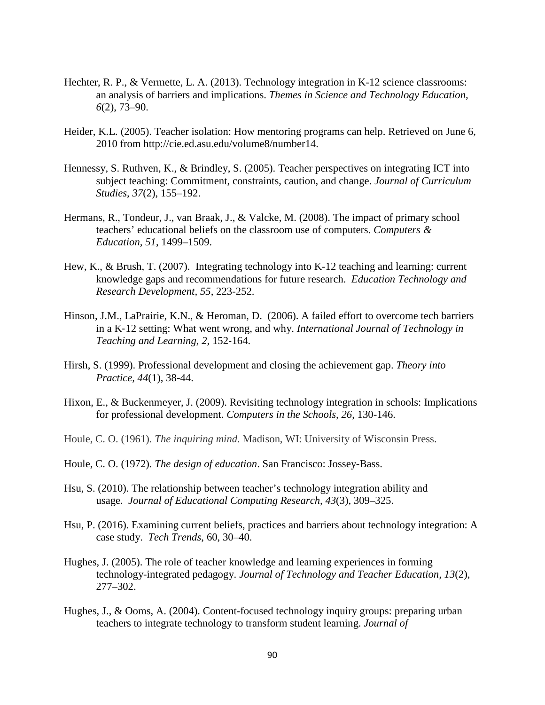- Hechter, R. P., & Vermette, L. A. (2013). Technology integration in K-12 science classrooms: an analysis of barriers and implications. *Themes in Science and Technology Education, 6*(2), 73–90.
- Heider, K.L. (2005). Teacher isolation: How mentoring programs can help. Retrieved on June 6, 2010 from http://cie.ed.asu.edu/volume8/number14.
- Hennessy, S. Ruthven, K., & Brindley, S. (2005). Teacher perspectives on integrating ICT into subject teaching: Commitment, constraints, caution, and change. *Journal of Curriculum Studies, 37*(2), 155–192.
- Hermans, R., Tondeur, J., van Braak, J., & Valcke, M. (2008). The impact of primary school teachers' educational beliefs on the classroom use of computers. *Computers & Education, 51*, 1499–1509.
- Hew, K., & Brush, T. (2007). Integrating technology into K-12 teaching and learning: current knowledge gaps and recommendations for future research. *Education Technology and Research Development, 55*, 223-252.
- Hinson, J.M., LaPrairie, K.N., & Heroman, D. (2006). A failed effort to overcome tech barriers in a K‐12 setting: What went wrong, and why. *International Journal of Technology in Teaching and Learning, 2,* 152‐164.
- Hirsh, S. (1999). Professional development and closing the achievement gap. *Theory into Practice, 44*(1), 38-44.
- Hixon, E., & Buckenmeyer, J. (2009). Revisiting technology integration in schools: Implications for professional development. *Computers in the Schools, 26*, 130-146.
- Houle, C. O. (1961). *The inquiring mind*. Madison, WI: University of Wisconsin Press.
- Houle, C. O. (1972). *The design of education*. San Francisco: Jossey-Bass.
- Hsu, S. (2010). The relationship between teacher's technology integration ability and usage. *Journal of Educational Computing Research, 43*(3), 309–325.
- Hsu, P. (2016). Examining current beliefs, practices and barriers about technology integration: A case study. *Tech Trends*, 60, 30–40.
- Hughes, J. (2005). The role of teacher knowledge and learning experiences in forming technology-integrated pedagogy. *Journal of Technology and Teacher Education, 13*(2), 277–302.
- Hughes, J., & Ooms, A. (2004). Content-focused technology inquiry groups: preparing urban teachers to integrate technology to transform student learning. *Journal of*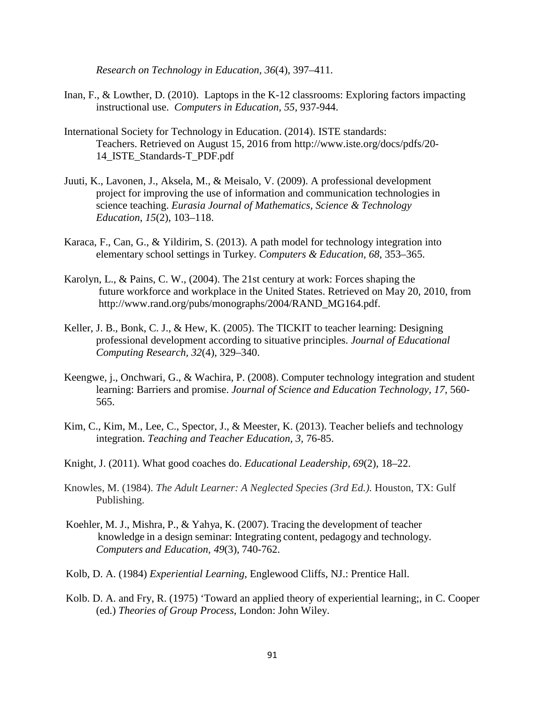*Research on Technology in Education, 36*(4), 397–411.

- Inan, F., & Lowther, D. (2010). Laptops in the K-12 classrooms: Exploring factors impacting instructional use. *Computers in Education, 55*, 937-944.
- International Society for Technology in Education. (2014). ISTE standards: Teachers. Retrieved on August 15, 2016 from http://www.iste.org/docs/pdfs/20- 14\_ISTE\_Standards-T\_PDF.pdf
- Juuti, K., Lavonen, J., Aksela, M., & Meisalo, V. (2009). A professional development project for improving the use of information and communication technologies in science teaching. *Eurasia Journal of Mathematics, Science & Technology Education, 15*(2), 103–118.
- Karaca, F., Can, G., & Yildirim, S. (2013). A path model for technology integration into elementary school settings in Turkey. *Computers & Education, 68*, 353–365.
- Karolyn, L., & Pains, C. W., (2004). The 21st century at work: Forces shaping the future workforce and workplace in the United States. Retrieved on May 20, 2010, from http://www.rand.org/pubs/monographs/2004/RAND\_MG164.pdf.
- Keller, J. B., Bonk, C. J., & Hew, K. (2005). The TICKIT to teacher learning: Designing professional development according to situative principles. *Journal of Educational Computing Research, 32*(4), 329–340.
- Keengwe, j., Onchwari, G., & Wachira, P. (2008). Computer technology integration and student learning: Barriers and promise. *Journal of Science and Education Technology, 17,* 560- 565.
- Kim, C., Kim, M., Lee, C., Spector, J., & Meester, K. (2013). Teacher beliefs and technology integration. *Teaching and Teacher Education, 3,* 76-85.
- Knight, J. (2011). What good coaches do. *Educational Leadership, 69*(2), 18–22.
- Knowles, M. (1984). *The Adult Learner: A Neglected Species (3rd Ed.).* Houston, TX: Gulf Publishing.
- Koehler, M. J., Mishra, P., & Yahya, K. (2007). Tracing the development of teacher knowledge in a design seminar: Integrating content, pedagogy and technology. *Computers and Education, 49*(3), 740-762.
- Kolb, D. A. (1984) *Experiential Learning*, Englewood Cliffs, NJ.: Prentice Hall.
- Kolb. D. A. and Fry, R. (1975) 'Toward an applied theory of experiential learning;, in C. Cooper (ed.) *Theories of Group Process*, London: John Wiley.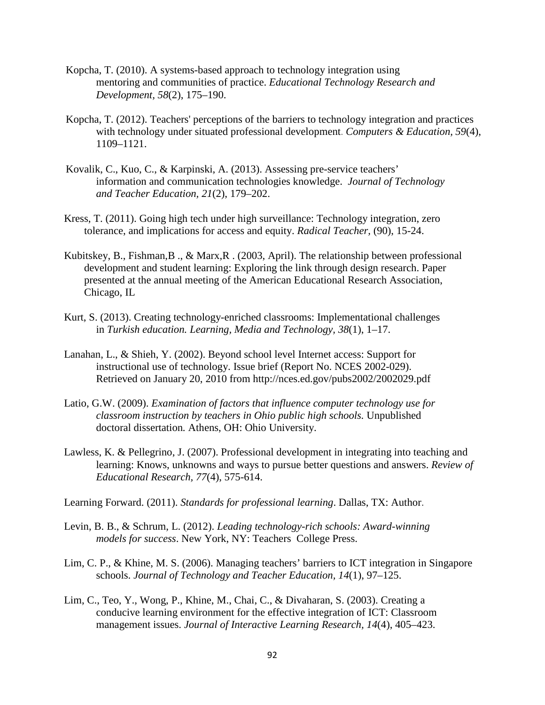- Kopcha, T. (2010). A systems-based approach to technology integration using mentoring and communities of practice. *Educational Technology Research and Development, 58*(2), 175–190.
- Kopcha, T. (2012). Teachers' perceptions of the barriers to technology integration and practices with technology under situated professional development. *Computers & Education, 59*(4), 1109–1121.
- Kovalik, C., Kuo, C., & Karpinski, A. (2013). Assessing pre-service teachers' information and communication technologies knowledge. *Journal of Technology and Teacher Education, 21*(2), 179–202.
- Kress, T. (2011). Going high tech under high surveillance: Technology integration, zero tolerance, and implications for access and equity. *Radical Teacher,* (90), 15-24.
- Kubitskey, B., Fishman,B ., & Marx,R . (2003, April). The relationship between professional development and student learning: Exploring the link through design research. Paper presented at the annual meeting of the American Educational Research Association, Chicago, IL
- Kurt, S. (2013). Creating technology-enriched classrooms: Implementational challenges in *Turkish education. Learning, Media and Technology, 38*(1), 1–17.
- Lanahan, L., & Shieh, Y. (2002). Beyond school level Internet access: Support for instructional use of technology. Issue brief (Report No. NCES 2002-029). Retrieved on January 20, 2010 from http://nces.ed.gov/pubs2002/2002029.pdf
- Latio, G.W. (2009). *Examination of factors that influence computer technology use for classroom instruction by teachers in Ohio public high schools.* Unpublished doctoral dissertation*.* Athens, OH: Ohio University.
- Lawless, K. & Pellegrino, J. (2007). Professional development in integrating into teaching and learning: Knows, unknowns and ways to pursue better questions and answers. *Review of Educational Research, 77*(4), 575-614.

Learning Forward. (2011). *Standards for professional learning*. Dallas, TX: Author.

- Levin, B. B., & Schrum, L. (2012). *Leading technology-rich schools: Award-winning models for success*. New York, NY: Teachers College Press.
- Lim, C. P., & Khine, M. S. (2006). Managing teachers' barriers to ICT integration in Singapore schools. *Journal of Technology and Teacher Education, 14*(1), 97–125.
- Lim, C., Teo, Y., Wong, P., Khine, M., Chai, C., & Divaharan, S. (2003). Creating a conducive learning environment for the effective integration of ICT: Classroom management issues. *Journal of Interactive Learning Research, 14*(4), 405–423.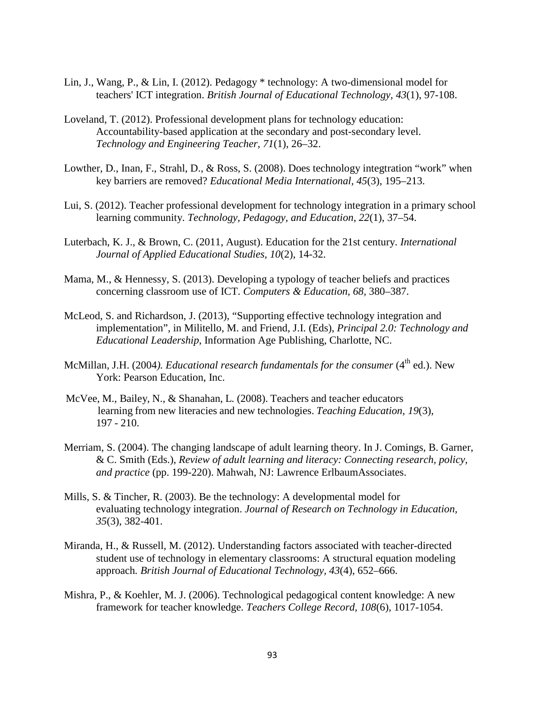- Lin, J., Wang, P., & Lin, I. (2012). Pedagogy \* technology: A two-dimensional model for teachers' ICT integration. *British Journal of Educational Technology, 43*(1), 97-108.
- Loveland, T. (2012). Professional development plans for technology education: Accountability-based application at the secondary and post-secondary level. *Technology and Engineering Teacher, 71*(1), 26–32.
- Lowther, D., Inan, F., Strahl, D., & Ross, S. (2008). Does technology integtration "work" when key barriers are removed? *Educational Media International, 45*(3), 195–213.
- Lui, S. (2012). Teacher professional development for technology integration in a primary school learning community. *Technology, Pedagogy, and Education, 22*(1), 37–54.
- Luterbach, K. J., & Brown, C. (2011, August). Education for the 21st century. *International Journal of Applied Educational Studies, 10*(2), 14-32.
- Mama, M., & Hennessy, S. (2013). Developing a typology of teacher beliefs and practices concerning classroom use of ICT. *Computers & Education, 68,* 380–387.
- McLeod, S. and Richardson, J. (2013), "Supporting effective technology integration and implementation", in Militello, M. and Friend, J.I. (Eds), *Principal 2.0: Technology and Educational Leadership*, Information Age Publishing, Charlotte, NC.
- McMillan, J.H. (2004). *Educational research fundamentals for the consumer* (4<sup>th</sup> ed.). New York: Pearson Education, Inc.
- McVee, M., Bailey, N., & Shanahan, L. (2008). Teachers and teacher educators learning from new literacies and new technologies. *Teaching Education, 19*(3), 197 - 210.
- Merriam, S. (2004). The changing landscape of adult learning theory. In J. Comings, B. Garner, & C. Smith (Eds.), *Review of adult learning and literacy: Connecting research, policy, and practice* (pp. 199-220). Mahwah, NJ: Lawrence ErlbaumAssociates.
- Mills, S. & Tincher, R. (2003). Be the technology: A developmental model for evaluating technology integration. *Journal of Research on Technology in Education, 35*(3), 382-401.
- Miranda, H., & Russell, M. (2012). Understanding factors associated with teacher-directed student use of technology in elementary classrooms: A structural equation modeling approach*. British Journal of Educational Technology, 43*(4), 652–666.
- Mishra, P., & Koehler, M. J. (2006). Technological pedagogical content knowledge: A new framework for teacher knowledge. *Teachers College Record, 108*(6), 1017-1054.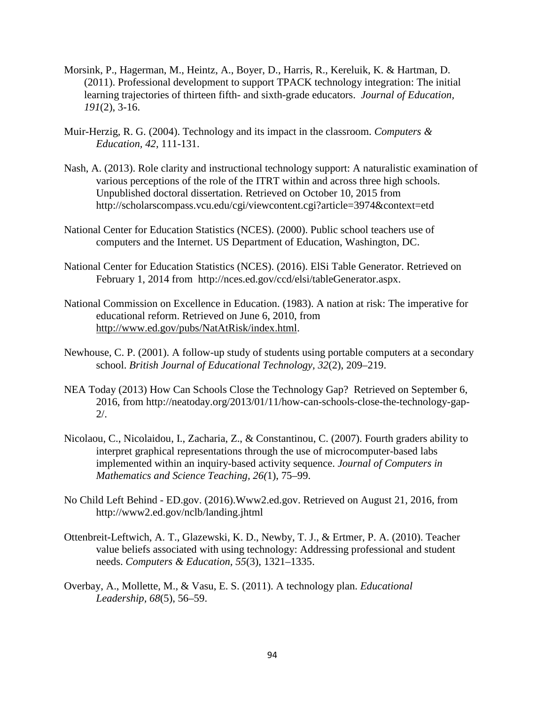- Morsink, P., Hagerman, M., Heintz, A., Boyer, D., Harris, R., Kereluik, K. & Hartman, D. (2011). Professional development to support TPACK technology integration: The initial learning trajectories of thirteen fifth- and sixth-grade educators. *Journal of Education, 191*(2), 3-16.
- Muir-Herzig, R. G. (2004). Technology and its impact in the classroom. *Computers & Education, 42,* 111-131.
- Nash, A. (2013). Role clarity and instructional technology support: A naturalistic examination of various perceptions of the role of the ITRT within and across three high schools. Unpublished doctoral dissertation. Retrieved on October 10, 2015 from http://scholarscompass.vcu.edu/cgi/viewcontent.cgi?article=3974&context=etd
- National Center for Education Statistics (NCES). (2000). Public school teachers use of computers and the Internet. US Department of Education, Washington, DC.
- National Center for Education Statistics (NCES). (2016). ElSi Table Generator. Retrieved on February 1, 2014 from http://nces.ed.gov/ccd/elsi/tableGenerator.aspx.
- National Commission on Excellence in Education. (1983). A nation at risk: The imperative for educational reform. Retrieved on June 6, 2010, from [http://www.ed.gov/pubs/NatAtRisk/index.html.](http://www.ed.gov/pubs/NatAtRisk/index.html)
- Newhouse, C. P. (2001). A follow-up study of students using portable computers at a secondary school. *British Journal of Educational Technology, 32*(2), 209–219.
- NEA Today (2013) How Can Schools Close the Technology Gap? Retrieved on September 6, 2016, from [http://neatoday.org/2013/01/11/how-can-schools-close-the-technology-gap-](http://neatoday.org/2013/01/11/how-can-schools-close-the-technology-gap-2/)[2/.](http://neatoday.org/2013/01/11/how-can-schools-close-the-technology-gap-2/)
- Nicolaou, C., Nicolaidou, I., Zacharia, Z., & Constantinou, C. (2007). Fourth graders ability to interpret graphical representations through the use of microcomputer-based labs implemented within an inquiry-based activity sequence. *Journal of Computers in Mathematics and Science Teaching, 26(*1), 75–99.
- No Child Left Behind ED.gov. (2016).Www2.ed.gov. Retrieved on August 21, 2016, from http://www2.ed.gov/nclb/landing.jhtml
- Ottenbreit-Leftwich, A. T., Glazewski, K. D., Newby, T. J., & Ertmer, P. A. (2010). Teacher value beliefs associated with using technology: Addressing professional and student needs. *Computers & Education, 55*(3), 1321–1335.
- Overbay, A., Mollette, M., & Vasu, E. S. (2011). A technology plan. *Educational Leadership, 68*(5), 56–59.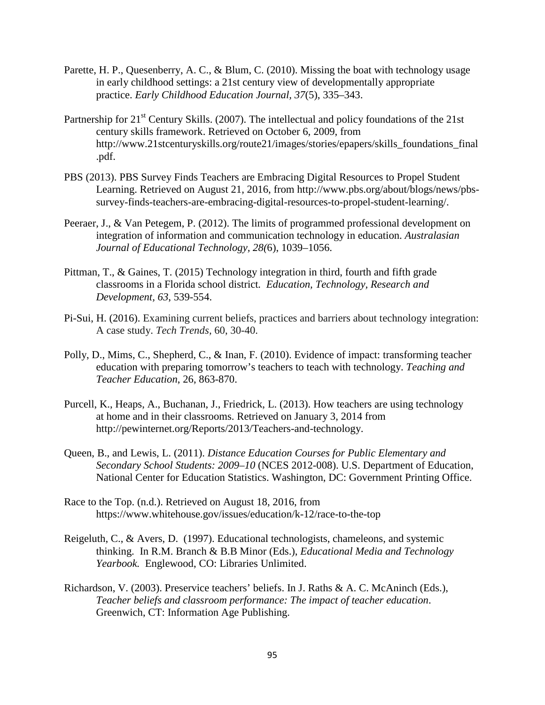- Parette, H. P., Quesenberry, A. C., & Blum, C. (2010). Missing the boat with technology usage in early childhood settings: a 21st century view of developmentally appropriate practice. *Early Childhood Education Journal, 37*(5), 335–343.
- Partnership for 21<sup>st</sup> Century Skills. (2007). The intellectual and policy foundations of the 21st century skills framework. Retrieved on October 6, 2009, from http://www.21stcenturyskills.org/route21/images/stories/epapers/skills\_foundations\_final .pdf.
- PBS (2013). PBS Survey Finds Teachers are Embracing Digital Resources to Propel Student Learning. Retrieved on August 21, 2016, from http://www.pbs.org/about/blogs/news/pbssurvey-finds-teachers-are-embracing-digital-resources-to-propel-student-learning/.
- Peeraer, J., & Van Petegem, P. (2012). The limits of programmed professional development on integration of information and communication technology in education. *Australasian Journal of Educational Technology, 28(*6), 1039–1056.
- Pittman, T., & Gaines, T. (2015) Technology integration in third, fourth and fifth grade classrooms in a Florida school district*. Education, Technology, Research and Development, 63*, 539-554.
- Pi-Sui, H. (2016). Examining current beliefs, practices and barriers about technology integration: A case study. *Tech Trends,* 60, 30-40.
- Polly, D., Mims, C., Shepherd, C., & Inan, F. (2010). Evidence of impact: transforming teacher education with preparing tomorrow's teachers to teach with technology. *Teaching and Teacher Education*, 26, 863-870.
- Purcell, K., Heaps, A., Buchanan, J., Friedrick, L. (2013). How teachers are using technology at home and in their classrooms. Retrieved on January 3, 2014 from http://pewinternet.org/Reports/2013/Teachers-and-technology.
- Queen, B., and Lewis, L. (2011). *Distance Education Courses for Public Elementary and Secondary School Students: 2009–10* (NCES 2012-008). U.S. Department of Education, National Center for Education Statistics. Washington, DC: Government Printing Office.
- Race to the Top. (n.d.). Retrieved on August 18, 2016, from https://www.whitehouse.gov/issues/education/k-12/race-to-the-top
- Reigeluth, C., & Avers, D. (1997). Educational technologists, chameleons, and systemic thinking. In R.M. Branch & B.B Minor (Eds.), *Educational Media and Technology Yearbook.* Englewood, CO: Libraries Unlimited.
- Richardson, V. (2003). Preservice teachers' beliefs. In J. Raths & A. C. McAninch (Eds.), *Teacher beliefs and classroom performance: The impact of teacher education*. Greenwich, CT: Information Age Publishing.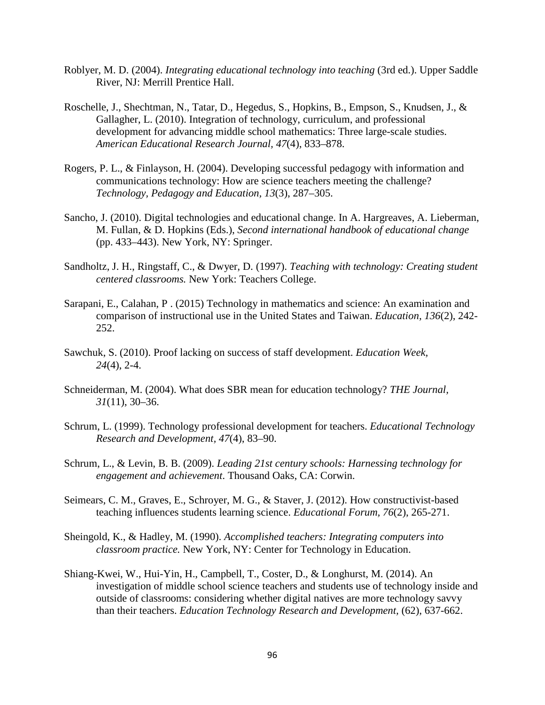- Roblyer, M. D. (2004). *Integrating educational technology into teaching* (3rd ed.). Upper Saddle River, NJ: Merrill Prentice Hall.
- Roschelle, J., Shechtman, N., Tatar, D., Hegedus, S., Hopkins, B., Empson, S., Knudsen, J., & Gallagher, L. (2010). Integration of technology, curriculum, and professional development for advancing middle school mathematics: Three large-scale studies. *American Educational Research Journal, 47*(4), 833–878.
- Rogers, P. L., & Finlayson, H. (2004). Developing successful pedagogy with information and communications technology: How are science teachers meeting the challenge? *Technology, Pedagogy and Education, 13*(3), 287–305.
- Sancho, J. (2010). Digital technologies and educational change. In A. Hargreaves, A. Lieberman, M. Fullan, & D. Hopkins (Eds.), *Second international handbook of educational change*  (pp. 433–443). New York, NY: Springer.
- Sandholtz, J. H., Ringstaff, C., & Dwyer, D. (1997). *Teaching with technology: Creating student centered classrooms.* New York: Teachers College.
- Sarapani, E., Calahan, P . (2015) Technology in mathematics and science: An examination and comparison of instructional use in the United States and Taiwan. *Education, 136*(2), 242- 252.
- Sawchuk, S. (2010). Proof lacking on success of staff development. *Education Week, 24*(4), 2-4.
- Schneiderman, M. (2004). What does SBR mean for education technology? *THE Journal, 31*(11), 30–36.
- Schrum, L. (1999). Technology professional development for teachers. *Educational Technology Research and Development, 47*(4), 83–90.
- Schrum, L., & Levin, B. B. (2009). *Leading 21st century schools: Harnessing technology for engagement and achievement*. Thousand Oaks, CA: Corwin.
- Seimears, C. M., Graves, E., Schroyer, M. G., & Staver, J. (2012). How constructivist-based teaching influences students learning science. *Educational Forum, 76*(2), 265-271.
- Sheingold, K., & Hadley, M. (1990). *Accomplished teachers: Integrating computers into classroom practice.* New York, NY: Center for Technology in Education.
- Shiang-Kwei, W., Hui-Yin, H., Campbell, T., Coster, D., & Longhurst, M. (2014). An investigation of middle school science teachers and students use of technology inside and outside of classrooms: considering whether digital natives are more technology savvy than their teachers. *Education Technology Research and Development,* (62), 637-662.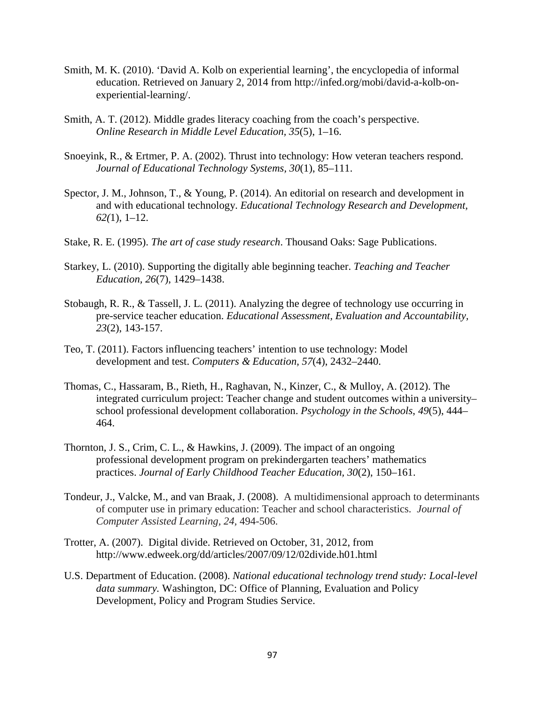- Smith, M. K. (2010). 'David A. Kolb on experiential learning', the encyclopedia of informal education. Retrieved on January 2, 2014 from [http://infed.org/mobi/david-a-kolb-on](http://infed.org/mobi/david-a-kolb-on-experiential-learning/)[experiential-learning/.](http://infed.org/mobi/david-a-kolb-on-experiential-learning/)
- Smith, A. T. (2012). Middle grades literacy coaching from the coach's perspective. *Online Research in Middle Level Education, 35*(5), 1–16.
- Snoeyink, R., & Ertmer, P. A. (2002). Thrust into technology: How veteran teachers respond. *Journal of Educational Technology Systems, 30*(1), 85–111.
- Spector, J. M., Johnson, T., & Young, P. (2014). An editorial on research and development in and with educational technology. *Educational Technology Research and Development, 62(*1), 1–12.
- Stake, R. E. (1995). *The art of case study research*. Thousand Oaks: Sage Publications.
- Starkey, L. (2010). Supporting the digitally able beginning teacher. *Teaching and Teacher Education, 26*(7), 1429–1438.
- Stobaugh, R. R., & Tassell, J. L. (2011). Analyzing the degree of technology use occurring in pre-service teacher education. *Educational Assessment, Evaluation and Accountability, 23*(2), 143-157.
- Teo, T. (2011). Factors influencing teachers' intention to use technology: Model development and test. *Computers & Education, 57*(4), 2432–2440.
- Thomas, C., Hassaram, B., Rieth, H., Raghavan, N., Kinzer, C., & Mulloy, A. (2012). The integrated curriculum project: Teacher change and student outcomes within a university– school professional development collaboration. *Psychology in the Schools*, *49*(5), 444– 464.
- Thornton, J. S., Crim, C. L., & Hawkins, J. (2009). The impact of an ongoing professional development program on prekindergarten teachers' mathematics practices. *Journal of Early Childhood Teacher Education, 30*(2), 150–161.
- Tondeur, J., Valcke, M., and van Braak, J. (2008). A multidimensional approach to determinants of computer use in primary education: Teacher and school characteristics. *Journal of Computer Assisted Learning, 24,* 494-506.
- Trotter, A. (2007). Digital divide. Retrieved on October, 31, 2012, from http://www.edweek.org/dd/articles/2007/09/12/02divide.h01.html
- U.S. Department of Education. (2008). *National educational technology trend study: Local-level data summary.* Washington, DC: Office of Planning, Evaluation and Policy Development, Policy and Program Studies Service.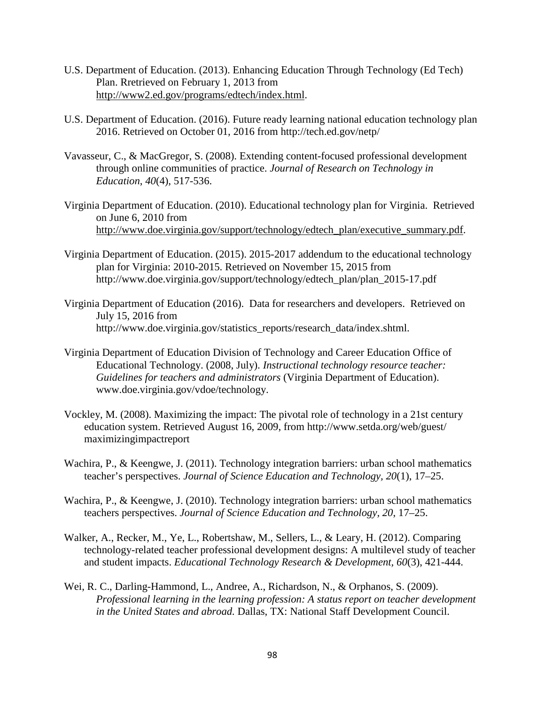- U.S. Department of Education. (2013). Enhancing Education Through Technology (Ed Tech) Plan. Rretrieved on February 1, 2013 from [http://www2.ed.gov/programs/edtech/index.html.](http://www2.ed.gov/programs/edtech/index.html)
- U.S. Department of Education. (2016). Future ready learning national education technology plan 2016. Retrieved on October 01, 2016 from http://tech.ed.gov/netp/
- Vavasseur, C., & MacGregor, S. (2008). Extending content-focused professional development through online communities of practice. *Journal of Research on Technology in Education*, *40*(4), 517-536.
- Virginia Department of Education. (2010). Educational technology plan for Virginia. Retrieved on June 6, 2010 from [http://www.doe.virginia.gov/support/technology/edtech\\_plan/executive\\_summary.pdf.](http://www.doe.virginia.gov/support/technology/edtech_plan/executive_summary.pdf)
- Virginia Department of Education. (2015). 2015-2017 addendum to the educational technology plan for Virginia: 2010-2015. Retrieved on November 15, 2015 from http://www.doe.virginia.gov/support/technology/edtech\_plan/plan\_2015-17.pdf
- Virginia Department of Education (2016). Data for researchers and developers. Retrieved on July 15, 2016 from http://www.doe.virginia.gov/statistics\_reports/research\_data/index.shtml.
- Virginia Department of Education Division of Technology and Career Education Office of Educational Technology. (2008, July). *Instructional technology resource teacher: Guidelines for teachers and administrators* (Virginia Department of Education). www.doe.virginia.gov/vdoe/technology.
- Vockley, M. (2008). Maximizing the impact: The pivotal role of technology in a 21st century education system. Retrieved August 16, 2009, from http://www.setda.org/web/guest/ maximizingimpactreport
- Wachira, P., & Keengwe, J. (2011). Technology integration barriers: urban school mathematics teacher's perspectives. *Journal of Science Education and Technology, 20*(1), 17–25.
- Wachira, P., & Keengwe, J. (2010). Technology integration barriers: urban school mathematics teachers perspectives. *Journal of Science Education and Technology, 20*, 17–25.
- Walker, A., Recker, M., Ye, L., Robertshaw, M., Sellers, L., & Leary, H. (2012). Comparing technology-related teacher professional development designs: A multilevel study of teacher and student impacts. *Educational Technology Research & Development, 60*(3), 421-444.
- Wei, R. C., Darling-Hammond, L., Andree, A., Richardson, N., & Orphanos, S. (2009). *Professional learning in the learning profession: A status report on teacher development in the United States and abroad.* Dallas, TX: National Staff Development Council.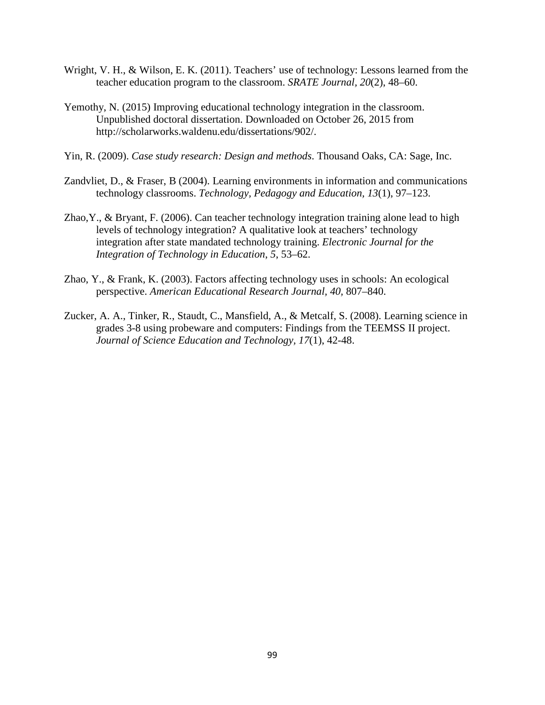- Wright, V. H., & Wilson, E. K. (2011). Teachers' use of technology: Lessons learned from the teacher education program to the classroom. *SRATE Journal, 20*(2), 48–60.
- Yemothy, N. (2015) Improving educational technology integration in the classroom. Unpublished doctoral dissertation. Downloaded on October 26, 2015 from http://scholarworks.waldenu.edu/dissertations/902/.
- Yin, R. (2009). *Case study research: Design and methods*. Thousand Oaks, CA: Sage, Inc.
- Zandvliet, D., & Fraser, B (2004). Learning environments in information and communications technology classrooms. *Technology, Pedagogy and Education, 13*(1), 97–123.
- Zhao,Y., & Bryant, F. (2006). Can teacher technology integration training alone lead to high levels of technology integration? A qualitative look at teachers' technology integration after state mandated technology training. *Electronic Journal for the Integration of Technology in Education*, *5*, 53–62.
- Zhao, Y., & Frank, K. (2003). Factors affecting technology uses in schools: An ecological perspective. *American Educational Research Journal, 40,* 807–840.
- Zucker, A. A., Tinker, R., Staudt, C., Mansfield, A., & Metcalf, S. (2008). Learning science in grades 3-8 using probeware and computers: Findings from the TEEMSS II project. *Journal of Science Education and Technology, 17*(1), 42-48.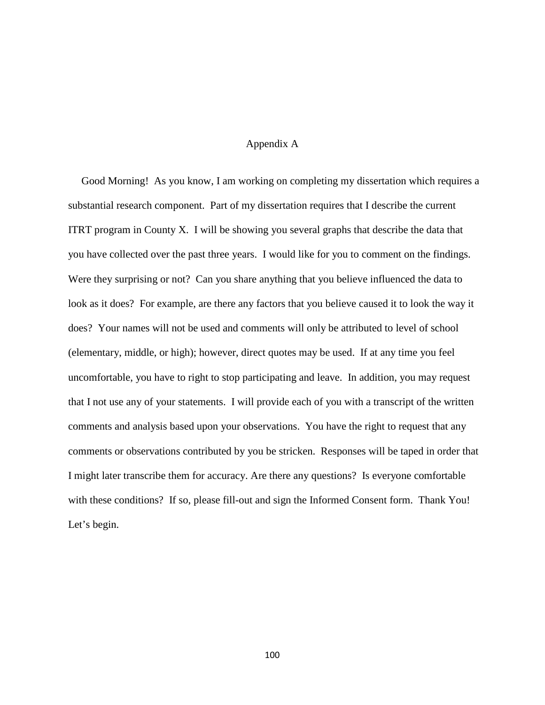## Appendix A

 Good Morning! As you know, I am working on completing my dissertation which requires a substantial research component. Part of my dissertation requires that I describe the current ITRT program in County X. I will be showing you several graphs that describe the data that you have collected over the past three years. I would like for you to comment on the findings. Were they surprising or not? Can you share anything that you believe influenced the data to look as it does? For example, are there any factors that you believe caused it to look the way it does? Your names will not be used and comments will only be attributed to level of school (elementary, middle, or high); however, direct quotes may be used. If at any time you feel uncomfortable, you have to right to stop participating and leave. In addition, you may request that I not use any of your statements. I will provide each of you with a transcript of the written comments and analysis based upon your observations. You have the right to request that any comments or observations contributed by you be stricken. Responses will be taped in order that I might later transcribe them for accuracy. Are there any questions? Is everyone comfortable with these conditions? If so, please fill-out and sign the Informed Consent form. Thank You! Let's begin.